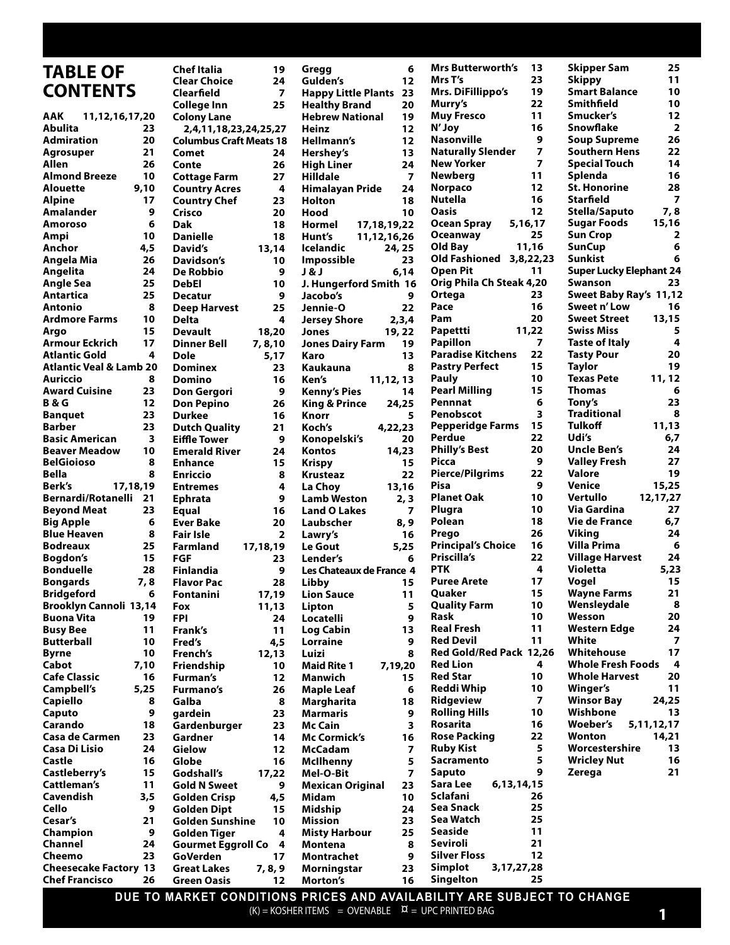#### **Chef Italia 19 Clear Choice 24 Clearfield 7 College Inn 25 Colony Lane 2,4,11,18,23,24,25,27 Columbus Craft Meats 18 Comet 24 Conte 26 Cottage Farm 27 Country Acres Country Chef 23 Crisco 20 Dak 18 Danielle 18 David's 13,14 Davidson's 10 De Robbio 9 DebEl 10 Decatur** 9<br>Deep Harvest 25 **Deep Harvest Delta 4 Devault 18,20 Dinner Bell 7, 8,10 Dole 5,17 Dominex 23 Domino 16 Don Gergori 9 Don Pepino 26 Durkee 16 Dutch Quality 21 Eiffle Tower 9 Emerald River Enhance 15 Enriccio 8 Entremes 4 Ephrata 9 Equal Ever Bake 20 Fair Isle 2 Farmland 17,18,19 FGF 23 Finlandia 9 Flavor Pac Fontanini 17,19 Fox 11,13 FPI 24 Frank's 11 Fred's 4,5 French's 12,13 Friendship 10 Furman's 12 Furmano's 26 Galba 8 gardein 23 Gardenburger 23 Gardner 14 Gielow 12 Globe** 16<br>**Godshall's** 17,22 Godshall's **Gold N Sweet 9 Golden Crisp 4,5 Golden Dipt 15 Golden Sunshine 10 Golden Tiger 4 Gourmet Eggroll Co 4 GoVerden 17 Great Lakes 7, 8, 9 Green Oasis 12 TABLE OF CONTENTS AAK 11,12,16,17,20 Abulita 23 Admiration 20 Agrosuper 21 Allen 26 Almond Breeze 10 Alouette 9,10 Alpine 17 Amalander 9 Amoroso 6 Ampi 10 Anchor 4,5 Angela Mia 26 Angelita 24 Angle Sea 25 Antartica 25 Antonio 8 Ardmore Farms 10 Argo 15 Armour Eckrich 17 Atlantic Gold 4 Atlantic Veal & Lamb 20 Auriccio 8 Award Cuisine 23 B & G 12 Banquet 23 Barber 23 Basic American 3 Beaver Meadow 10 BelGioioso 8 Bella 8 Berk's 17,18,19 Bernardi/Rotanelli 21 Beyond Meat 23 Big Apple 6 Blue Heaven 8 Bodreaux 25 Bogdon's 15 Bonduelle 28 Bongards 7, 8 Bridgeford 6 Brooklyn Cannoli 13,14 Buona Vita 19 Busy Bee 11 Butterball 10 Byrne 10 Cabot 7,10 Cafe Classic 16 Campbell's 5,25 Capiello 8 Caputo 9 Carando 18 Casa de Carmen 23 Casa Di Lisio 24 Castle 16 Castleberry's 15 Cattleman's 11 Cavendish 3,5 Cello 9 Cesar's 21 Champion 9 Channel 24 Cheemo 23 Cheesecake Factory 13 Chef Francisco 26 Gregg 6 Gulden's 12 Happy Little Plants 23 Healthy Brand 20 Hebrew National Heinz 12 Hellmann's 12 Hershey's 13 High Liner Hilldale 7 Himalayan Pride 24 Holton 18** Hood 10<br>**Hormel 17,18,19**,22 **Hormel 17,18,19,22 Hunt's 11,12,16,26 Icelandic 24, 25 Impossible 23 J & J 6,14 J. Hungerford Smith 16 Jacobo's 9 Jennie-O 22 Jersey Shore 2,3,4 Jones 19, 22 Jones Dairy Farm 19 Karo 13 Kaukauna 8 Ken's 11,12, 13 Kenny's Pies 14 King & Prince 24,25 Knorr 5 Koch's 4,22,23 Konopelski's 20 Kontos Krispy 15 Krusteaz 22 La Choy 13,16 Lamb Weston 2, 3 Land O Lakes 7 Laubscher 8, 9 Lawry's 16 Le Gout 5,25 Lender's 6 Les Chateaux de France 4 Libby 15 Lion Sauce 11 Lipton 5 Locatelli 9 Log Cabin 13 Lorraine 9 Luizi 8 Maid Rite 1 Manwich 15 Maple Leaf 6 Margharita 18 Marmaris 9 Mc Cain 3 Mc Cormick's 16 McCadam 7 McIlhenny 5 Mel-O-Bit 7 Mexican Original 23 Midam 10 Midship 24 Mission 23 Misty Harbour 25 Montena 8 Montrachet 9 Morningstar 23 Morton's 16 Mrs Butterworth's 13 Mrs T's 23 Mrs. DiFillippo's 19 Murry's 22 Muy Fresco 11 N' Joy 16 Nasonville 9**<br>**Naturally Slender** 7 **Naturally Slender 7 New Yorker** 7<br>**Newberg** 11 **Newberg Norpaco 12 Nutella 16 Oasis 12 Ocean Spray 5,16,17 Oceanway 25 Old Bay 11,16 Old Fashioned 3,8,22,23 Open Pit 11 Orig Phila Ch Steak 4,20 Ortega 23 Pace 16 Pam 20 Papettti 11,22 Papillon 7 Paradise Kitchens 22 Pastry Perfect Pauly 10 Pearl Milling 15 Pennnat 6 Penobscot 3 Pepperidge Farms 15 Perdue 22 Philly's Best 20 Picca 9 Pierce/Pilgrims 22 Pisa 9 Planet Oak Plugra 10** Polean 18<br>Prego 26 **Prego 26 Principal's Choice 16 Priscilla's 22** PTK 4<br>Puree Arete 17 **Puree Arete 17 Quaker 15 Quality Farm 10 Rask 10 Real Fresh 11 Red Devil 11 Red Gold/Red Pack 12,26 Red Lion 4 Red Star** 10<br>Reddi Whin 10 **Reddi Whip Ridgeview 7 Rolling Hills 10 Rosarita 16 Rose Packing 22 Ruby Kist 5 Sacramento 5 Saputo 9 Sara Lee 6,13,14,15 Sclafani 26 Sea Snack 25 Sea Watch 25 Seaside 11 Seviroli 21 Silver Floss 12 Simplot 3,17,27,28 Singelton 25 Skipper Sam 25 Skippy Smart Balance 10 Smithfield 10 Smucker's 12 Snowflake 2 Soup Supreme 26 Southern Hens 22 Special Touch 14** Splenda 16<br>St. Honorine 28 **St. Honorine Starfield 7 Stella/Saputo 7, 8 Sugar Foods 15,16 Sun Crop 2 SunCup 6 Sunkist 6 Super Lucky Elephant 24 Swanson 23 Sweet Baby Ray's 11,12 Sweet n' Low 16 Sweet Street 13,15 Swiss Miss 5 Taste of Italy 4 Tasty Pour 19**<br>Tavlor 19 **Taylor 19 Texas Pete 11, 12 Thomas 6 Tony's 23 Traditional 8 Tulkoff Udi's 6,7 Uncle Ben's 24 Valley Fresh 27 Valore 19 Venice 15,25 Vertullo 12,17,27 Via Gardina 27 Vie de France 6,7 Viking 24 Villa Prima 6 Village Harvest 24 Violetta 5,23 Vogel 15 Wayne Farms 21 Wensleydale 8 Wesson 20 Western Edge 24 White 7 Whitehouse 17 Whole Fresh Foods 4** Whole Harvest 20<br>Winger's 11 **Winger's Winsor Bay 24,25 Wishbone 13 Woeber's 5,11,12,17 Wonton 14,21 Worcestershire 13 Wricley Nut Zerega 21**

**DUE TO MARKET CONDITIONS PRICES AND AVAILABILITY ARE SUBJECT TO CHANGE**  $(K)$  = KOSHER ITEMS = OVENABLE  $\alpha$  = UPC PRINTED BAG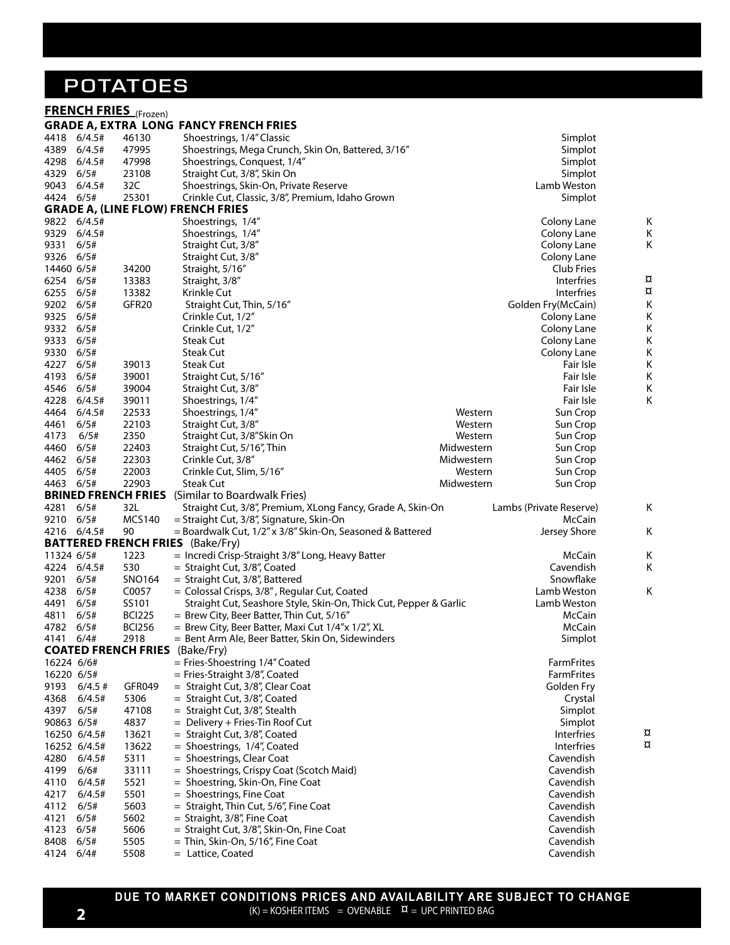### **POTATOES**

|              |                | <b>FRENCH FRIES</b> (Frozen) | <b>GRADE A, EXTRA LONG FANCY FRENCH FRIES</b>                                                  |            |                         |          |
|--------------|----------------|------------------------------|------------------------------------------------------------------------------------------------|------------|-------------------------|----------|
| 4418         | 6/4.5#         | 46130                        | Shoestrings, 1/4" Classic                                                                      |            | Simplot                 |          |
| 4389         | 6/4.5#         | 47995                        | Shoestrings, Mega Crunch, Skin On, Battered, 3/16"                                             |            | Simplot                 |          |
| 4298         | 6/4.5#         | 47998                        | Shoestrings, Conquest, 1/4"                                                                    |            | Simplot                 |          |
| 4329         | 6/5#           | 23108                        | Straight Cut, 3/8", Skin On                                                                    |            | Simplot                 |          |
| 9043         | 6/4.5#         | 32C                          | Shoestrings, Skin-On, Private Reserve                                                          |            | Lamb Weston             |          |
| 4424 6/5#    |                | 25301                        | Crinkle Cut, Classic, 3/8", Premium, Idaho Grown                                               |            | Simplot                 |          |
|              |                |                              | <b>GRADE A, (LINE FLOW) FRENCH FRIES</b>                                                       |            |                         |          |
| 9822         | 6/4.5#         |                              | Shoestrings, 1/4"                                                                              |            | Colony Lane             | Κ        |
| 9329         | 6/4.5#         |                              | Shoestrings, 1/4"                                                                              |            | Colony Lane             | Κ        |
| 9331         | 6/5#           |                              | Straight Cut, 3/8"                                                                             |            | Colony Lane             | Κ        |
| 9326         | 6/5#           |                              | Straight Cut, 3/8"                                                                             |            | Colony Lane             |          |
| 14460 6/5#   |                | 34200                        | Straight, 5/16"                                                                                |            | Club Fries              |          |
| 6254         | 6/5#           | 13383                        | Straight, 3/8"                                                                                 |            | Interfries              | $\alpha$ |
| 6255         | 6/5#           | 13382                        | Krinkle Cut                                                                                    |            | Interfries              | $\alpha$ |
| 9202         | 6/5#           | GFR <sub>20</sub>            | Straight Cut, Thin, 5/16"                                                                      |            | Golden Fry(McCain)      | Κ        |
| 9325         | 6/5#           |                              | Crinkle Cut, 1/2"                                                                              |            | Colony Lane             | Κ        |
| 9332         | 6/5#           |                              | Crinkle Cut, 1/2"                                                                              |            | Colony Lane             | Κ        |
| 9333         | 6/5#           |                              | <b>Steak Cut</b>                                                                               |            | Colony Lane             | Κ        |
| 9330         | 6/5#           |                              | <b>Steak Cut</b>                                                                               |            | Colony Lane             | Κ        |
| 4227         | 6/5#           | 39013                        | <b>Steak Cut</b>                                                                               |            | Fair Isle               | Κ        |
| 4193         | 6/5#           | 39001                        | Straight Cut, 5/16"                                                                            |            | Fair Isle               | Κ        |
| 4546<br>4228 | 6/5#<br>6/4.5# | 39004<br>39011               | Straight Cut, 3/8"                                                                             |            | Fair Isle<br>Fair Isle  | Κ<br>Κ   |
| 4464         | 6/4.5#         | 22533                        | Shoestrings, 1/4"<br>Shoestrings, 1/4"                                                         | Western    | Sun Crop                |          |
| 4461         | 6/5#           | 22103                        | Straight Cut, 3/8"                                                                             | Western    | Sun Crop                |          |
| 4173         | 6/5#           | 2350                         | Straight Cut, 3/8"Skin On                                                                      | Western    | Sun Crop                |          |
| 4460         | 6/5#           | 22403                        | Straight Cut, 5/16", Thin                                                                      | Midwestern | Sun Crop                |          |
| 4462         | 6/5#           | 22303                        | Crinkle Cut, 3/8"                                                                              | Midwestern | Sun Crop                |          |
| 4405         | 6/5#           | 22003                        | Crinkle Cut, Slim, 5/16"                                                                       | Western    | Sun Crop                |          |
| 4463         | 6/5#           | 22903                        | <b>Steak Cut</b>                                                                               | Midwestern | Sun Crop                |          |
|              |                | <b>BRINED FRENCH FRIES</b>   | (Similar to Boardwalk Fries)                                                                   |            |                         |          |
| 4281         | 6/5#           | 32L                          | Straight Cut, 3/8", Premium, XLong Fancy, Grade A, Skin-On                                     |            | Lambs (Private Reserve) | Κ        |
| 9210         | 6/5#           | <b>MCS140</b>                | = Straight Cut, 3/8", Signature, Skin-On                                                       |            | McCain                  |          |
| 4216         | 6/4.5#         | 90                           | = Boardwalk Cut, 1/2" x 3/8" Skin-On, Seasoned & Battered                                      |            | Jersey Shore            | Κ        |
|              |                |                              | <b>BATTERED FRENCH FRIES</b> (Bake/Fry)                                                        |            |                         |          |
| 11324 6/5#   |                | 1223                         | = Incredi Crisp-Straight 3/8" Long, Heavy Batter                                               |            | McCain                  | Κ        |
| 4224         | 6/4.5#         | 530                          | = Straight Cut, 3/8", Coated                                                                   |            | Cavendish               | Κ        |
| 9201         | 6/5#           | SNO164                       | = Straight Cut, 3/8", Battered                                                                 |            | Snowflake               |          |
| 4238         | 6/5#           | C0057                        | = Colossal Crisps, 3/8", Regular Cut, Coated                                                   |            | Lamb Weston             | Κ        |
| 4491         | 6/5#           | SS101<br><b>BCI225</b>       | Straight Cut, Seashore Style, Skin-On, Thick Cut, Pepper & Garlic                              |            | Lamb Weston             |          |
| 4811<br>4782 | 6/5#<br>6/5#   | <b>BCI256</b>                | = Brew City, Beer Batter, Thin Cut, 5/16"<br>= Brew City, Beer Batter, Maxi Cut 1/4"x 1/2", XL |            | McCain<br>McCain        |          |
| 4141 6/4#    |                | 2918                         | = Bent Arm Ale, Beer Batter, Skin On, Sidewinders                                              |            | Simplot                 |          |
|              |                | <b>COATED FRENCH FRIES</b>   | (Bake/Fry)                                                                                     |            |                         |          |
| 16224 6/6#   |                |                              | = Fries-Shoestring 1/4" Coated                                                                 |            | <b>FarmFrites</b>       |          |
| 16220 6/5#   |                |                              | = Fries-Straight 3/8", Coated                                                                  |            | FarmFrites              |          |
| 9193         | $6/4.5$ #      | <b>GFR049</b>                | = Straight Cut, 3/8", Clear Coat                                                               |            | Golden Fry              |          |
| 4368         | 6/4.5#         | 5306                         | = Straight Cut, 3/8", Coated                                                                   |            | Crystal                 |          |
| 4397 6/5#    |                | 47108                        | = Straight Cut, 3/8", Stealth                                                                  |            | Simplot                 |          |
| 90863 6/5#   |                | 4837                         | = Delivery + Fries-Tin Roof Cut                                                                |            | Simplot                 |          |
|              | 16250 6/4.5#   | 13621                        | = Straight Cut, 3/8", Coated                                                                   |            | <b>Interfries</b>       | ¤        |
|              | 16252 6/4.5#   | 13622                        | = Shoestrings, 1/4", Coated                                                                    |            | Interfries              | $\alpha$ |
| 4280         | 6/4.5#         | 5311                         | = Shoestrings, Clear Coat                                                                      |            | Cavendish               |          |
| 4199         | 6/6#           | 33111                        | = Shoestrings, Crispy Coat (Scotch Maid)                                                       |            | Cavendish               |          |
| 4110         | 6/4.5#         | 5521                         | = Shoestring, Skin-On, Fine Coat                                                               |            | Cavendish               |          |
| 4217         | 6/4.5#         | 5501                         | $=$ Shoestrings, Fine Coat                                                                     |            | Cavendish               |          |
| 4112         | 6/5#           | 5603                         | = Straight, Thin Cut, 5/6", Fine Coat                                                          |            | Cavendish               |          |
| 4121         | 6/5#           | 5602                         | = Straight, 3/8", Fine Coat                                                                    |            | Cavendish               |          |
| 4123         | 6/5#           | 5606                         | = Straight Cut, 3/8", Skin-On, Fine Coat                                                       |            | Cavendish<br>Cavendish  |          |
| 8408<br>4124 | 6/5#<br>6/4#   | 5505<br>5508                 | = Thin, Skin-On, 5/16", Fine Coat<br>= Lattice, Coated                                         |            | Cavendish               |          |
|              |                |                              |                                                                                                |            |                         |          |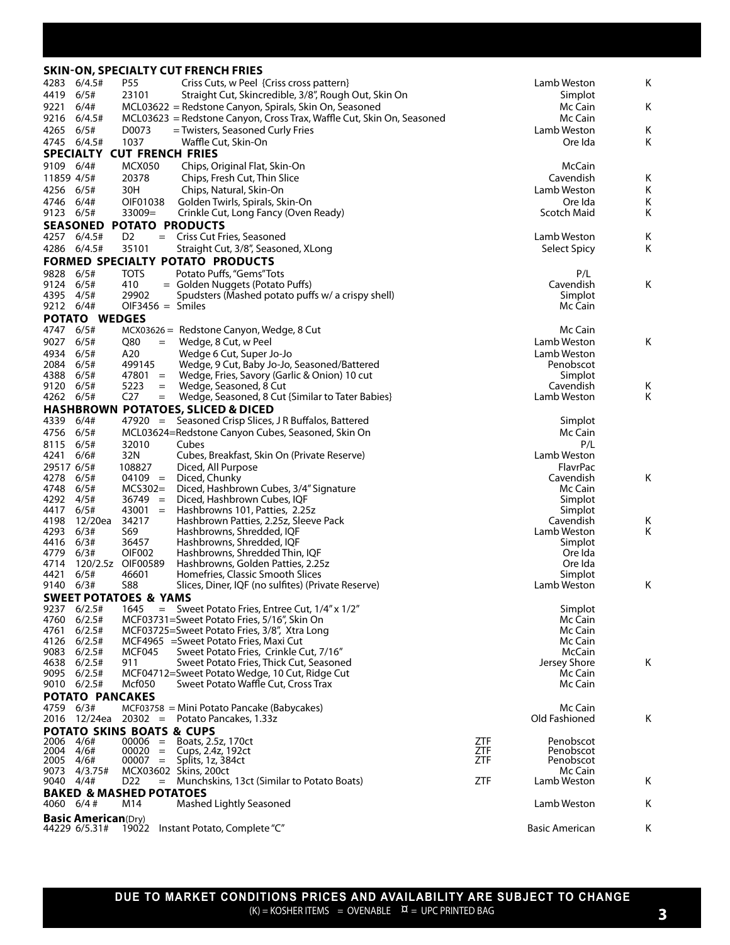|                   |                                              |                                      | <b>SKIN-ON, SPECIALTY CUT FRENCH FRIES</b>                                                  |            |                               |        |
|-------------------|----------------------------------------------|--------------------------------------|---------------------------------------------------------------------------------------------|------------|-------------------------------|--------|
| 4283              | 6/4.5#                                       | P55                                  | Criss Cuts, w Peel {Criss cross pattern}                                                    |            | Lamb Weston                   | Κ      |
| 4419              | 6/5#                                         | 23101                                | Straight Cut, Skincredible, 3/8", Rough Out, Skin On                                        |            | Simplot                       |        |
| 9221              | 6/4#                                         |                                      | MCL03622 = Redstone Canyon, Spirals, Skin On, Seasoned                                      |            | Mc Cain                       | Κ      |
| 9216              | 6/4.5#                                       |                                      | MCL03623 = Redstone Canyon, Cross Trax, Waffle Cut, Skin On, Seasoned                       |            | Mc Cain                       |        |
| 4265              | 6/5#                                         | D0073                                | = Twisters, Seasoned Curly Fries                                                            |            | Lamb Weston                   | Κ      |
|                   | 4745 6/4.5#                                  | 1037                                 | Waffle Cut, Skin-On                                                                         |            | Ore Ida                       | Κ      |
|                   |                                              | SPECIALTY CUT FRENCH FRIES           |                                                                                             |            |                               |        |
| 9109 6/4#         |                                              | MCX050                               | Chips, Original Flat, Skin-On                                                               |            | McCain                        |        |
| 11859 4/5#        |                                              | 20378                                | Chips, Fresh Cut, Thin Slice                                                                |            | Cavendish                     | Κ      |
| 4256              | 6/5#<br>6/4#                                 | 30H<br>OIF01038                      | Chips, Natural, Skin-On<br>Golden Twirls, Spirals, Skin-On                                  |            | Lamb Weston                   | Κ      |
| 4746<br>9123 6/5# |                                              | $33009=$                             | Crinkle Cut, Long Fancy (Oven Ready)                                                        |            | Ore Ida<br><b>Scotch Maid</b> | Κ<br>Κ |
|                   | <b>SEASONED</b>                              | <b>POTATO PRODUCTS</b>               |                                                                                             |            |                               |        |
|                   | 4257 6/4.5#                                  | D <sub>2</sub>                       | = Criss Cut Fries, Seasoned                                                                 |            | Lamb Weston                   | Κ      |
|                   | 4286 6/4.5#                                  | 35101                                | Straight Cut, 3/8", Seasoned, XLong                                                         |            | Select Spicy                  | Κ      |
|                   |                                              |                                      | FORMED SPECIALTY POTATO PRODUCTS                                                            |            |                               |        |
| 9828              | 6/5#                                         | <b>TOTS</b>                          | Potato Puffs, "Gems"Tots                                                                    |            | P/L                           |        |
| 9124              | 6/5#                                         | 410                                  | = Golden Nuggets (Potato Puffs)                                                             |            | Cavendish                     | Κ      |
| 4395              | 4/5#                                         | 29902                                | Spudsters (Mashed potato puffs w/ a crispy shell)                                           |            | Simplot                       |        |
| 9212 6/4#         |                                              | $OIF3456 = Smiles$                   |                                                                                             |            | Mc Cain                       |        |
|                   | POTATO WEDGES                                |                                      |                                                                                             |            |                               |        |
| 4747              | 6/5#                                         |                                      | MCX03626 = Redstone Canyon, Wedge, 8 Cut                                                    |            | Mc Cain                       |        |
| 9027              | 6/5#                                         | Q80<br>$=$                           | Wedge, 8 Cut, w Peel                                                                        |            | Lamb Weston                   | Κ      |
| 4934              | 6/5#                                         | A20                                  | Wedge 6 Cut, Super Jo-Jo                                                                    |            | Lamb Weston                   |        |
| 2084<br>4388      | 6/5#<br>6/5#                                 | 499145<br>$47801 =$                  | Wedge, 9 Cut, Baby Jo-Jo, Seasoned/Battered<br>Wedge, Fries, Savory (Garlic & Onion) 10 cut |            | Penobscot<br>Simplot          |        |
| 9120              | 6/5#                                         | 5223<br>$=$                          | Wedge, Seasoned, 8 Cut                                                                      |            | Cavendish                     | Κ      |
| 4262 6/5#         |                                              | C <sub>27</sub><br>$=$               | Wedge, Seasoned, 8 Cut {Similar to Tater Babies}                                            |            | Lamb Weston                   | Κ      |
|                   |                                              |                                      | <b>HASHBROWN POTATOES, SLICED &amp; DICED</b>                                               |            |                               |        |
| 4339              | 6/4#                                         |                                      | 47920 = Seasoned Crisp Slices, J R Buffalos, Battered                                       |            | Simplot                       |        |
| 4756              | 6/5#                                         |                                      | MCL03624=Redstone Canyon Cubes, Seasoned, Skin On                                           |            | Mc Cain                       |        |
| 8115              | 6/5#                                         | 32010                                | Cubes                                                                                       |            | P/L                           |        |
| 4241              | 6/6#                                         | 32N                                  | Cubes, Breakfast, Skin On (Private Reserve)                                                 |            | Lamb Weston                   |        |
| 29517 6/5#        |                                              | 108827                               | Diced, All Purpose                                                                          |            | FlavrPac                      |        |
| 4278              | 6/5#                                         | $04109 =$                            | Diced, Chunky                                                                               |            | Cavendish                     | Κ      |
| 4748<br>4292      | 6/5#<br>4/5#                                 | MCS302=<br>$36749 =$                 | Diced, Hashbrown Cubes, 3/4" Signature<br>Diced, Hashbrown Cubes, IQF                       |            | Mc Cain<br>Simplot            |        |
| 4417              | 6/5#                                         | $43001 =$                            | Hashbrowns 101, Patties, 2.25z                                                              |            | Simplot                       |        |
| 4198              | 12/20ea                                      | 34217                                | Hashbrown Patties, 2.25z, Sleeve Pack                                                       |            | Cavendish                     | Κ      |
| 4293              | 6/3#                                         | S69                                  | Hashbrowns, Shredded, IQF                                                                   |            | Lamb Weston                   | Κ      |
| 4416              | 6/3#                                         | 36457                                | Hashbrowns, Shredded, IQF                                                                   |            | Simplot                       |        |
| 4779              | 6/3#                                         | OIF002                               | Hashbrowns, Shredded Thin, IQF                                                              |            | Ore Ida                       |        |
| 4714<br>4421      | 6/5#                                         | 120/2.5z OIF00589<br>46601           | Hashbrowns, Golden Patties, 2.25z<br>Homefries, Classic Smooth Slices                       |            | Ore Ida<br>Simplot            |        |
| 9140              | 6/3#                                         | <b>S88</b>                           | Slices, Diner, IQF (no sulfites) (Private Reserve)                                          |            | Lamb Weston                   | Κ      |
|                   |                                              | <b>SWEET POTATOES &amp; YAMS</b>     |                                                                                             |            |                               |        |
|                   | 9237 6/2.5#                                  |                                      | 1645 = Sweet Potato Fries, Entree Cut, 1/4" x 1/2"                                          |            | Simplot                       |        |
| 4760              | 6/2.5#                                       |                                      | MCF03731=Sweet Potato Fries, 5/16", Skin On                                                 |            | Mc Cain                       |        |
| 4761              | 6/2.5#                                       |                                      | MCF03725=Sweet Potato Fries, 3/8", Xtra Long                                                |            | Mc Cain                       |        |
| 4126              | 6/2.5#                                       |                                      | MCF4965 = Sweet Potato Fries, Maxi Cut                                                      |            | Mc Cain                       |        |
| 9083              | 6/2.5#                                       | MCF045<br>911                        | Sweet Potato Fries, Crinkle Cut, 7/16"<br>Sweet Potato Fries, Thick Cut, Seasoned           |            | McCain                        | Κ      |
| 4638<br>9095      | 6/2.5#<br>6/2.5#                             |                                      | MCF04712=Sweet Potato Wedge, 10 Cut, Ridge Cut                                              |            | Jersey Shore<br>Mc Cain       |        |
|                   | 9010 6/2.5#                                  | Mcf050                               | Sweet Potato Waffle Cut, Cross Trax                                                         |            | Mc Cain                       |        |
|                   |                                              | <b>POTATO PANCAKES</b>               |                                                                                             |            |                               |        |
| 4759 6/3#         |                                              |                                      | $MCF$ 03758 = Mini Potato Pancake (Babycakes)                                               |            | Mc Cain                       |        |
|                   |                                              |                                      | $2016$ 12/24ea 20302 = Potato Pancakes, 1.33z                                               |            | Old Fashioned                 | Κ      |
|                   |                                              | <b>POTATO SKINS BOATS &amp; CUPS</b> |                                                                                             |            |                               |        |
| 2006              | 4/6#                                         |                                      | $00006 =$ Boats, 2.5z, 170ct                                                                | ZTF        | Penobscot                     |        |
| 2004<br>2005      | 4/6#<br>4/6#                                 | $00007 =$                            | $00020 = Cups, 2.4z, 192ct$<br>Splits, 1z, 384ct                                            | ZTF<br>ZTF | Penobscot<br>Penobscot        |        |
| 9073              | 4/3.75#                                      |                                      | MCX03602 Skins, 200ct                                                                       |            | Mc Cain                       |        |
| 9040              | 4/4#                                         | D <sub>22</sub>                      | = Munchskins, 13ct (Similar to Potato Boats)                                                | ZTF        | Lamb Weston                   | K      |
|                   |                                              | <b>BAKED &amp; MASHED POTATOES</b>   |                                                                                             |            |                               |        |
| 4060 6/4#         |                                              | M14                                  | Mashed Lightly Seasoned                                                                     |            | Lamb Weston                   | K      |
|                   | <b>Basic American</b> (Dry)<br>44229 6/5.31# |                                      | 19022 Instant Potato, Complete "C"                                                          |            | <b>Basic American</b>         | Κ      |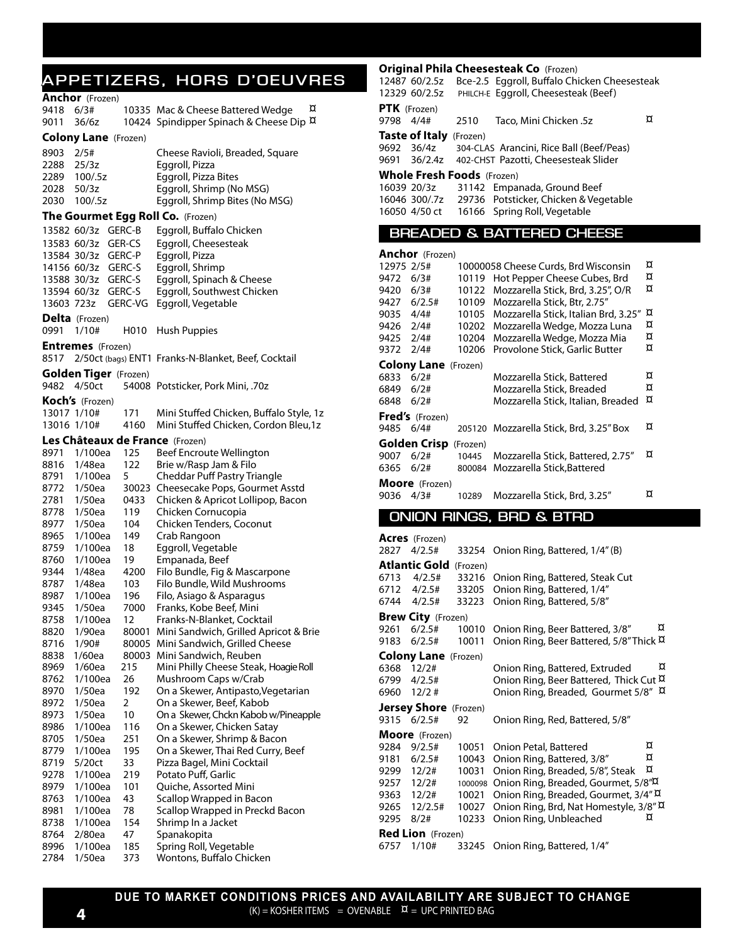### **APPETIZERS, HORS D'OEUVRES**

#### **Anchor** (Frozen)

| <b>AIILIUI</b> (FIOZEII)<br>6/3#<br>9418         | ¤<br>10335 Mac & Cheese Battered Wedge               |  |  |  |  |  |  |  |
|--------------------------------------------------|------------------------------------------------------|--|--|--|--|--|--|--|
| 9011<br>36/6z                                    | 10424 Spindipper Spinach & Cheese Dip $\overline{a}$ |  |  |  |  |  |  |  |
| <b>Colony Lane</b> (Frozen)                      |                                                      |  |  |  |  |  |  |  |
| 8903<br>2/5#                                     | Cheese Ravioli, Breaded, Square                      |  |  |  |  |  |  |  |
| 25/3z<br>2288                                    | Eggroll, Pizza                                       |  |  |  |  |  |  |  |
| 2289<br>100/.5z                                  | Eggroll, Pizza Bites                                 |  |  |  |  |  |  |  |
| 50/3z<br>2028                                    | Eggroll, Shrimp (No MSG)                             |  |  |  |  |  |  |  |
| 100/.5z<br>2030                                  | Eggroll, Shrimp Bites (No MSG)                       |  |  |  |  |  |  |  |
| The Gourmet Egg Roll Co. (Frozen)                |                                                      |  |  |  |  |  |  |  |
| GERC-B<br>13582 60/3z                            | Eggroll, Buffalo Chicken                             |  |  |  |  |  |  |  |
| 13583 60/3z<br>GER-CS                            | Eggroll, Cheesesteak                                 |  |  |  |  |  |  |  |
| 13584 30/3z GERC-P                               | Eggroll, Pizza                                       |  |  |  |  |  |  |  |
| 14156 60/3z GERC-S                               | Eggroll, Shrimp                                      |  |  |  |  |  |  |  |
| 13588 30/3z GERC-S                               | Eggroll, Spinach & Cheese                            |  |  |  |  |  |  |  |
| GERC-S<br>13594 60/3z                            | Eggroll, Southwest Chicken                           |  |  |  |  |  |  |  |
| GERC-VG<br>13603 723z                            | Eggroll, Vegetable                                   |  |  |  |  |  |  |  |
| Delta (Frozen)                                   |                                                      |  |  |  |  |  |  |  |
| 0991<br>1/10#<br>H010                            | Hush Puppies                                         |  |  |  |  |  |  |  |
| <b>Entremes</b> (Frozen)                         |                                                      |  |  |  |  |  |  |  |
| 8517                                             | 2/50ct (bags) ENT1 Franks-N-Blanket, Beef, Cocktail  |  |  |  |  |  |  |  |
| <b>Golden Tiger</b> (Frozen)                     |                                                      |  |  |  |  |  |  |  |
| 9482<br>4/50ct                                   | 54008 Potsticker, Pork Mini, .70z                    |  |  |  |  |  |  |  |
| <b>Koch's</b> (Frozen)                           |                                                      |  |  |  |  |  |  |  |
| 13017 1/10#<br>171                               | Mini Stuffed Chicken, Buffalo Style, 1z              |  |  |  |  |  |  |  |
| 13016 1/10#<br>4160                              | Mini Stuffed Chicken, Cordon Bleu, 1z                |  |  |  |  |  |  |  |
| Les Châteaux de France (Frozen)                  |                                                      |  |  |  |  |  |  |  |
| 8971<br>1/100ea<br>125                           | Beef Encroute Wellington                             |  |  |  |  |  |  |  |
| 8816<br>1/48ea<br>122                            | Brie w/Rasp Jam & Filo                               |  |  |  |  |  |  |  |
| 5<br>1/100ea<br>8791                             | Cheddar Puff Pastry Triangle                         |  |  |  |  |  |  |  |
| 8772<br>1/50ea<br>30023                          | Cheesecake Pops, Gourmet Asstd                       |  |  |  |  |  |  |  |
| 2781<br>1/50ea<br>0433                           | Chicken & Apricot Lollipop, Bacon                    |  |  |  |  |  |  |  |
| 1/50ea<br>8778<br>119                            | Chicken Cornucopia                                   |  |  |  |  |  |  |  |
| 8977<br>1/50ea<br>104                            | Chicken Tenders, Coconut                             |  |  |  |  |  |  |  |
| 8965<br>1/100ea<br>149                           | Crab Rangoon                                         |  |  |  |  |  |  |  |
| 8759<br>1/100ea<br>18                            | Eggroll, Vegetable                                   |  |  |  |  |  |  |  |
| 8760<br>19<br>1/100ea                            | Empanada, Beef                                       |  |  |  |  |  |  |  |
| 9344<br>1/48ea<br>4200                           | Filo Bundle, Fig & Mascarpone                        |  |  |  |  |  |  |  |
| 1/48ea<br>8787<br>103                            | Filo Bundle, Wild Mushrooms                          |  |  |  |  |  |  |  |
| 8987<br>1/100ea<br>196<br>9345<br>1/50ea<br>7000 | Filo, Asiago & Asparagus<br>Franks, Kobe Beef, Mini  |  |  |  |  |  |  |  |
| 8758<br>1/100ea<br>12                            | Franks-N-Blanket, Cocktail                           |  |  |  |  |  |  |  |
| 8820<br>1/90ea<br>80001                          | Mini Sandwich, Grilled Apricot & Brie                |  |  |  |  |  |  |  |
| 8716<br>1/90#                                    | 80005 Mini Sandwich, Grilled Cheese                  |  |  |  |  |  |  |  |
| 8838<br>1/60ea                                   | 80003 Mini Sandwich, Reuben                          |  |  |  |  |  |  |  |
| 215<br>8969<br>1/60ea                            | Mini Philly Cheese Steak, Hoagie Roll                |  |  |  |  |  |  |  |
| 8762<br>1/100ea<br>26                            | Mushroom Caps w/Crab                                 |  |  |  |  |  |  |  |
| 1/50ea<br>192<br>8970                            | On a Skewer, Antipasto, Vegetarian                   |  |  |  |  |  |  |  |
| 2<br>8972<br>1/50ea                              | On a Skewer, Beef, Kabob                             |  |  |  |  |  |  |  |
| 10<br>8973<br>1/50ea                             | On a Skewer, Chckn Kabob w/Pineapple                 |  |  |  |  |  |  |  |
| 116<br>8986<br>1/100ea                           | On a Skewer, Chicken Satay                           |  |  |  |  |  |  |  |
| 251<br>8705<br>1/50ea                            | On a Skewer, Shrimp & Bacon                          |  |  |  |  |  |  |  |
| 8779<br>1/100ea<br>195                           | On a Skewer, Thai Red Curry, Beef                    |  |  |  |  |  |  |  |
| 33<br>8719<br>5/20ct                             | Pizza Bagel, Mini Cocktail                           |  |  |  |  |  |  |  |
| 9278<br>1/100ea<br>219                           | Potato Puff, Garlic                                  |  |  |  |  |  |  |  |
| 101<br>8979<br>1/100ea                           | Quiche, Assorted Mini                                |  |  |  |  |  |  |  |
| 43<br>8763<br>1/100ea                            | Scallop Wrapped in Bacon                             |  |  |  |  |  |  |  |
| 78<br>8981<br>1/100ea                            | Scallop Wrapped in Preckd Bacon                      |  |  |  |  |  |  |  |
| 154<br>8738<br>1/100ea                           | Shrimp In a Jacket                                   |  |  |  |  |  |  |  |
| 47<br>8764<br>2/80ea                             | Spanakopita                                          |  |  |  |  |  |  |  |
| 8996<br>1/100ea<br>185                           | Spring Roll, Vegetable                               |  |  |  |  |  |  |  |
| 2784<br>1/50ea<br>373                            | Wontons, Buffalo Chicken                             |  |  |  |  |  |  |  |

|              | 12487 60/2.5z<br>12329 60/2.5z                     |                         | Bce-2.5 Eggroll, Buffalo Chicken Cheesesteak<br>PHILCH-E Eggroll, Cheesesteak (Beef) |          |
|--------------|----------------------------------------------------|-------------------------|--------------------------------------------------------------------------------------|----------|
| PTK (Frozen) |                                                    |                         |                                                                                      |          |
| 9798         | 4/4#                                               | 2510                    | Taco, Mini Chicken .5z                                                               | ¤        |
| 9692<br>9691 | <b>Taste of Italy</b> (Frozen)<br>36/4z<br>36/2.4z |                         | 304-CLAS Arancini, Rice Ball (Beef/Peas)<br>402-CHST Pazotti, Cheesesteak Slider     |          |
|              | <b>Whole Fresh Foods</b> (Frozen)                  |                         |                                                                                      |          |
| 16039 20/3z  | 16046 300/.7z<br>16050 4/50 ct                     | 31142<br>29736<br>16166 | Empanada, Ground Beef<br>Potsticker, Chicken & Vegetable<br>Spring Roll, Vegetable   |          |
|              |                                                    |                         | <b>BREADED &amp; BATTERED CHEESE</b>                                                 |          |
|              | <b>Anchor</b> (Frozen)                             |                         |                                                                                      |          |
| 12975 2/5#   |                                                    |                         | 10000058 Cheese Curds, Brd Wisconsin                                                 | ¤        |
| 9472         | 6/3#                                               | 10119                   | Hot Pepper Cheese Cubes, Brd                                                         | $\alpha$ |
| 9420         | 6/3#                                               | 10122                   | Mozzarella Stick, Brd, 3.25", O/R                                                    | $\alpha$ |
| 9427         | 6/2.5#                                             | 10109                   | Mozzarella Stick, Btr, 2.75"                                                         |          |
| 9035         | 4/4#                                               | 10105                   | Mozzarella Stick, Italian Brd, 3.25"                                                 | ¤        |
| 9426         | 2/4#                                               | 10202                   | Mozzarella Wedge, Mozza Luna                                                         | ¤        |
| 9425         | 2/4#                                               | 10204                   | Mozzarella Wedge, Mozza Mia                                                          | ¤        |
| 9372         | 2/4#                                               | 10206                   | Provolone Stick, Garlic Butter                                                       | $\alpha$ |
|              | <b>Colony Lane</b> (Frozen)                        |                         |                                                                                      |          |
| 6833         | 6/2#                                               |                         | Mozzarella Stick, Battered                                                           | ¤        |
| 6849         | 6/2#                                               |                         | Mozzarella Stick, Breaded                                                            | ¤        |
| 6848         | 6/2#                                               |                         | Mozzarella Stick, Italian, Breaded                                                   | ¤        |
|              | Fred's (Frozen)                                    |                         |                                                                                      |          |
| 9485         | 6/4#                                               |                         | 205120 Mozzarella Stick, Brd, 3.25" Box                                              | $\alpha$ |
|              | <b>Golden Crisp</b> (Frozen)                       |                         |                                                                                      |          |
| 9007         | 6/2#                                               | 10445                   | Mozzarella Stick, Battered, 2.75"                                                    | ¤        |
| 6365         | 6/2#                                               | 800084                  | Mozzarella Stick, Battered                                                           |          |
|              | Moore (Frozen)                                     |                         |                                                                                      |          |
| 9036         | 4/3#                                               | 10289                   | Mozzarella Stick, Brd, 3.25"                                                         | ¤        |

**Original Phila Cheesesteak Co** (Frozen)

#### **ONION RINGS, BRD & BTRD**

|             | <b>Acres</b> (Frozen)        |          |                                                       |   |
|-------------|------------------------------|----------|-------------------------------------------------------|---|
| 2827        | 4/2.5#                       | 33254    | Onion Ring, Battered, 1/4"(B)                         |   |
|             | Atlantic Gold                | (Frozen) |                                                       |   |
| 6713        | 4/2.5#                       | 33216    | Onion Ring, Battered, Steak Cut                       |   |
|             | 6712 4/2.5#                  | 33205    | Onion Ring, Battered, 1/4"                            |   |
| 6744        | 4/2.5#                       | 33223    | Onion Ring, Battered, 5/8"                            |   |
|             | <b>Brew City</b> (Frozen)    |          |                                                       |   |
| 9261        | 6/2.5#                       | 10010    | Onion Ring, Beer Battered, 3/8"                       | ¤ |
| 9183        | 6/2.5#                       | 10011    | Onion Ring, Beer Battered, 5/8"Thick $\overline{\mu}$ |   |
|             | <b>Colony Lane</b> (Frozen)  |          |                                                       |   |
| 6368        | 12/2#                        |          | Onion Ring, Battered, Extruded                        | ¤ |
| 6799 4/2.5# |                              |          | Onion Ring, Beer Battered, Thick Cut ¤                |   |
| 6960        | 12/2#                        |          | Onion Ring, Breaded, Gourmet 5/8" D                   |   |
|             | <b>Jersey Shore</b> (Frozen) |          |                                                       |   |
| 9315 6/2.5# |                              | 92       | Onion Ring, Red, Battered, 5/8"                       |   |
|             | <b>Moore</b> (Frozen)        |          |                                                       |   |
| 9284        | 9/2.5#                       | 10051    | Onion Petal, Battered                                 | ¤ |
|             | 9181 6/2.5#                  | 10043    | Onion Ring, Battered, 3/8"                            | ¤ |
| 9299        | 12/2#                        | 10031    | Onion Ring, Breaded, 5/8", Steak                      | ¤ |
| 9257        | 12/2#                        | 1000098  | Onion Ring, Breaded, Gourmet, 5/8",                   |   |
| 9363 12/2#  |                              | 10021    | Onion Ring, Breaded, Gourmet, 3/4" X                  |   |
| 9265        | 12/2.5#                      | 10027    | Onion Ring, Brd, Nat Homestyle, 3/8" D                |   |
| 9295        | 8/2#                         | 10233    | Onion Ring, Unbleached                                | α |
|             | <b>Red Lion</b> (Frozen)     |          |                                                       |   |
| 6757        | 1/10#                        | 33245    | Onion Ring, Battered, 1/4"                            |   |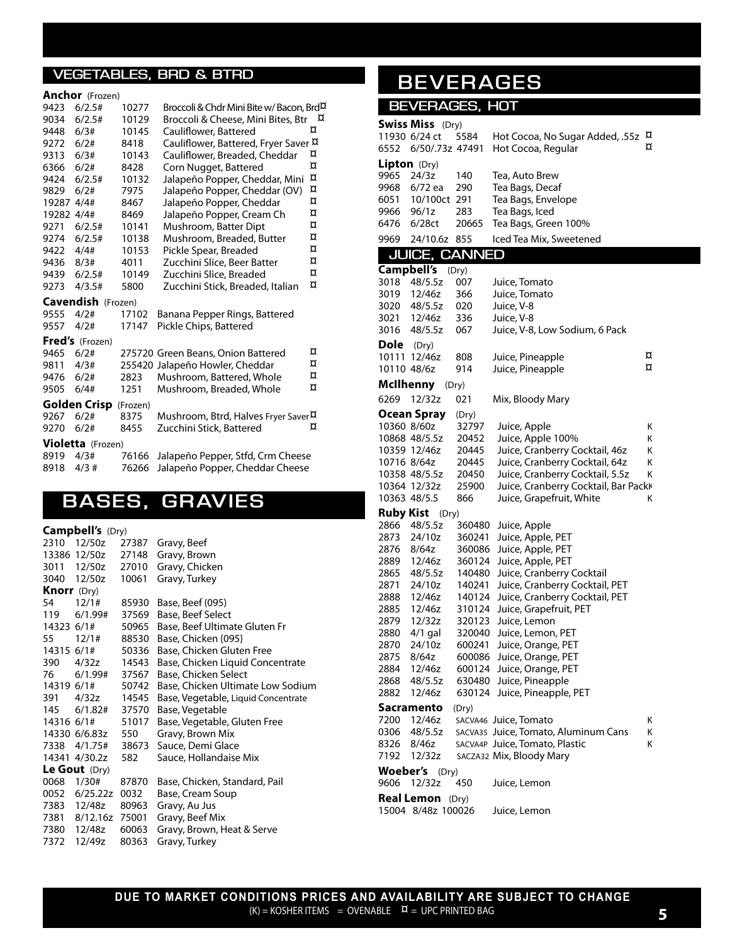#### **VEGETABLES, BRD & BTRD**

#### **Anchor** (Frozen)

| 9423       | 6/2.5#             | 10277    | Broccoli & Chdr Mini Bite w/ Bacon, Brd <sup>D</sup>    |   |
|------------|--------------------|----------|---------------------------------------------------------|---|
| 9034       | 6/2.5#             | 10129    | Broccoli & Cheese, Mini Bites, Btr                      | ¤ |
| 9448       | 6/3#               | 10145    | Cauliflower, Battered                                   | ¤ |
| 9272       | 6/2#               | 8418     | Cauliflower, Battered, Fryer Saver ¤                    |   |
| 9313       | 6/3#               | 10143    | Cauliflower, Breaded, Cheddar                           | ¤ |
| 6366       | 6/2#               | 8428     | Corn Nugget, Battered                                   | ¤ |
| 9424       | 6/2.5#             | 10132    | Jalapeño Popper, Cheddar, Mini                          | ¤ |
| 9829       | 6/2#               | 7975     | Jalapeño Popper, Cheddar (OV)                           | ¤ |
| 19287 4/4# |                    | 8467     | Jalapeño Popper, Cheddar                                | ¤ |
| 19282 4/4# |                    | 8469     | Jalapeño Popper, Cream Ch                               | ¤ |
| 9271       | 6/2.5#             | 10141    | Mushroom, Batter Dipt                                   | ¤ |
| 9274       | 6/2.5#             | 10138    | Mushroom, Breaded, Butter                               | ¤ |
| 9422       | 4/4#               | 10153    | Pickle Spear, Breaded                                   | ¤ |
| 9436       | 8/3#               | 4011     | Zucchini Slice, Beer Batter                             | ¤ |
| 9439       | 6/2.5#             | 10149    | Zucchini Slice, Breaded                                 | ¤ |
| 9273       | 4/3.5#             | 5800     | Zucchini Stick, Breaded, Italian                        | ¤ |
|            | Cavendish (Frozen) |          |                                                         |   |
| 9555       | 4/2#               | 17102    | Banana Pepper Rings, Battered                           |   |
| 9557       | 4/2#               | 17147    | Pickle Chips, Battered                                  |   |
|            | Fred's (Frozen)    |          |                                                         |   |
| 9465       | 6/2#               |          | 275720 Green Beans, Onion Battered                      | ¤ |
| 9811       | 4/3#               |          | 255420 Jalapeño Howler, Cheddar                         | ¤ |
| 9476       | 6/2#               | 2823     | Mushroom, Battered, Whole                               | ¤ |
| 9505       | 6/4#               | 1251     | Mushroom, Breaded, Whole                                | ¤ |
|            | Golden Crisp       | (Frozen) |                                                         |   |
| 9267       | 6/2#               | 8375     | Mushroom, Btrd, Halves Fryer Saver <sup><i>D</i>.</sup> |   |
| 9270       | 6/2#               | 8455     | Zucchini Stick, Battered                                | α |
|            | Violetta (Frozen)  |          |                                                         |   |
| 8919       | 4/3#               | 76166    | Jalapeño Pepper, Stfd, Crm Cheese                       |   |
| 8918       | 4/3#               | 76266    | Jalapeño Popper, Cheddar Cheese                         |   |

# **BASES, GRAVIES**

#### **Campbell's** (Dry)

| 2310               | 12/50z              | 27387 | Gravy, Beef                         |
|--------------------|---------------------|-------|-------------------------------------|
|                    | 13386 12/50z        | 27148 | Gravy, Brown                        |
|                    | 3011 12/50z         | 27010 | Gravy, Chicken                      |
|                    | 3040 12/50z         | 10061 | Gravy, Turkey                       |
| <b>Knorr</b> (Dry) |                     |       |                                     |
| 54 —               | 12/1#               | 85930 | Base, Beef (095)                    |
|                    | 119 6/1.99#         | 37569 | Base, Beef Select                   |
|                    | 14323 6/1#          |       | 50965 Base, Beef Ultimate Gluten Fr |
| 55                 | 12/1# 88530         |       | Base, Chicken {095}                 |
|                    | 14315 6/1# 50336    |       | Base, Chicken Gluten Free           |
|                    | 390 4/32z 14543     |       | Base, Chicken Liquid Concentrate    |
|                    | 76 6/1.99# 37567    |       | Base, Chicken Select                |
|                    | 14319 6/1# 50742    |       | Base, Chicken Ultimate Low Sodium   |
|                    | 391 4/32z 14545     |       | Base, Vegetable, Liquid Concentrate |
|                    | 145 6/1.82# 37570   |       | Base, Vegetable                     |
| 14316 6/1#         |                     | 51017 | Base, Vegetable, Gluten Free        |
|                    | 14330 6/6.83z 550   |       | Gravy, Brown Mix                    |
|                    | 7338 4/1.75# 38673  |       | Sauce, Demi Glace                   |
|                    | 14341 4/30.2z       | 582   | Sauce, Hollandaise Mix              |
|                    | Le Gout $(Dry)$     |       |                                     |
| 0068               | 1/30#               | 87870 | Base, Chicken, Standard, Pail       |
|                    | 0052 6/25.22z 0032  |       | Base, Cream Soup                    |
|                    | 7383 12/48z         | 80963 | Gravy, Au Jus                       |
|                    | 7381 8/12.16z 75001 |       | Gravy, Beef Mix                     |
|                    | 7380 12/48z         | 60063 | Gravy, Brown, Heat & Serve          |
|                    | 7372 12/49z         | 80363 | Gravy, Turkey                       |
|                    |                     |       |                                     |

# **BEVERAGES**

#### **BEVERAGES, HOT**

|                  | <b>Swiss Miss</b> (Dry) |                  |                                                          |   |
|------------------|-------------------------|------------------|----------------------------------------------------------|---|
|                  | 11930 6/24 ct           | 5584             | Hot Cocoa, No Sugar Added, .55z                          | д |
| 6552             | 6/50/.73z 47491         |                  | Hot Cocoa, Regular                                       | ¤ |
|                  | Lipton (Dry)            |                  |                                                          |   |
| 9965             | 24/3z                   | 140              | Tea, Auto Brew                                           |   |
| 9968             | 6/72 ea                 | 290              | Tea Bags, Decaf                                          |   |
| 6051             | 10/100ct 291            |                  | Tea Bags, Envelope                                       |   |
| 9966             | 96/1z                   | 283              | Tea Bags, Iced                                           |   |
| 6476             | 6/28ct                  | 20665            | Tea Bags, Green 100%                                     |   |
| 9969             | 24/10.6z                | 855              | Iced Tea Mix, Sweetened                                  |   |
|                  | <b>JUICE, CANNED</b>    |                  |                                                          |   |
|                  | Campbell's              | (Dry)            |                                                          |   |
| 3018             | 48/5.5z                 | 007              | Juice, Tomato                                            |   |
| 3019             | 12/46z                  | 366              | Juice, Tomato                                            |   |
| 3020             | 48/5.5z                 | 020              | Juice, V-8                                               |   |
| 3021             | 12/46z                  | 336              | Juice, V-8                                               |   |
| 3016             | 48/5.5z                 | 067              | Juice, V-8, Low Sodium, 6 Pack                           |   |
| Dole             | (Dry)                   |                  |                                                          |   |
| 10111            | 12/46z                  | 808              | Juice, Pineapple                                         | ¤ |
| 10110 48/6z      |                         | 914              | Juice, Pineapple                                         | ¤ |
| <b>McIlhenny</b> |                         | (Dry)            |                                                          |   |
| 6269             | 12/32z                  | 021              | Mix, Bloody Mary                                         |   |
|                  | Ocean Spray             | (Dry)            |                                                          |   |
| 10360 8/60z      |                         | 32797            | Juice, Apple                                             | Κ |
|                  | 10868 48/5.5z           | 20452            | Juice, Apple 100%                                        | Κ |
|                  | 10359 12/46z            | 20445            | Juice, Cranberry Cocktail, 46z                           | Κ |
| 10716 8/64z      |                         | 20445            | Juice, Cranberry Cocktail, 64z                           | Κ |
|                  | 10358 48/5.5z           | 20450            | Juice, Cranberry Cocktail, 5.5z                          | Κ |
|                  | 10364 12/32z            | 25900            | Juice, Cranberry Cocktail, Bar Packk                     |   |
|                  | 10363 48/5.5            | 866              | Juice, Grapefruit, White                                 | Κ |
| Ruby Kist        | (Dry)                   |                  |                                                          |   |
| 2866             | 48/5.5z                 | 360480           | Juice, Apple                                             |   |
| 2873             | 24/10z                  | 360241           | Juice, Apple, PET                                        |   |
| 2876             | 8/64z                   | 360086           | Juice, Apple, PET                                        |   |
| 2889             | 12/46z                  | 360124           | Juice, Apple, PET                                        |   |
| 2865             | 48/5.5z                 | 140480           | Juice, Cranberry Cocktail                                |   |
| 2871             | 24/10z                  | 140241           | Juice, Cranberry Cocktail, PET                           |   |
| 2888<br>2885     | 12/46z<br>12/46z        | 140124<br>310124 | Juice, Cranberry Cocktail, PET<br>Juice, Grapefruit, PET |   |
| 2879             | 12/32z                  | 320123           | Juice, Lemon                                             |   |
| 2880             | $4/1$ gal               | 320040           | Juice, Lemon, PET                                        |   |
| 2870             | 24/10z                  | 600241           | Juice, Orange, PET                                       |   |
| 2875             | 8/64z                   | 600086           | Juice, Orange, PET                                       |   |
| 2884             | 12/46z                  | 600124           | Juice, Orange, PET                                       |   |
| 2868             | 48/5.5z                 | 630480           | Juice, Pineapple                                         |   |
| 2882             | 12/46z                  | 630124           | Juice, Pineapple, PET                                    |   |
|                  | Sacramento              | (Dry)            |                                                          |   |
| 7200             | 12/46z                  |                  | SACVA46 Juice, Tomato                                    | Κ |
| 0306             | 48/5.5z                 |                  | SACVA35 Juice, Tomato, Aluminum Cans                     | Κ |
| 8326             | 8/46z                   |                  | SACVA4P Juice, Tomato, Plastic                           | Κ |
| 7192             | 12/32z                  |                  | SACZA32 Mix, Bloody Mary                                 |   |
| <b>Woeber's</b>  | (Dry)                   |                  |                                                          |   |
| 9606             | 12/32z                  | 450              | Juice, Lemon                                             |   |
|                  | <b>Real Lemon</b> (Dry) |                  |                                                          |   |
|                  | 15004 8/48z 100026      |                  | Juice, Lemon                                             |   |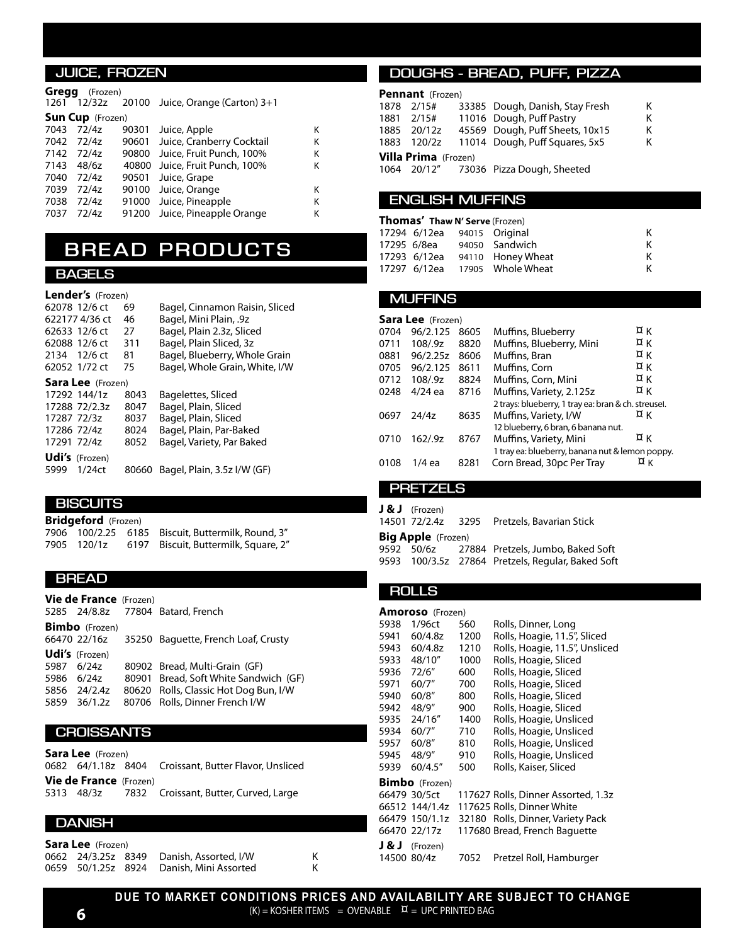#### **JUICE, FROZEN**

#### **Gregg** (Frozen)

|       |                          |                                       | κ                                                                                                                                                                                                                                                                     |
|-------|--------------------------|---------------------------------------|-----------------------------------------------------------------------------------------------------------------------------------------------------------------------------------------------------------------------------------------------------------------------|
|       |                          |                                       | Κ                                                                                                                                                                                                                                                                     |
|       | 90800                    |                                       | Κ                                                                                                                                                                                                                                                                     |
| 48/6z |                          |                                       | κ                                                                                                                                                                                                                                                                     |
| 72/4z |                          |                                       |                                                                                                                                                                                                                                                                       |
| 72/4z |                          |                                       | К                                                                                                                                                                                                                                                                     |
| 72/4z |                          |                                       | Κ                                                                                                                                                                                                                                                                     |
| 72/4z | 91200                    |                                       | Κ                                                                                                                                                                                                                                                                     |
|       | 7043 72/4z<br>7142 72/4z | <b>Sun Cup</b> (Frozen)<br>7042 72/4z | 1261 12/32z 20100 Juice, Orange (Carton) 3+1<br>90301 Juice, Apple<br>90601 Juice, Cranberry Cocktail<br>Juice, Fruit Punch, 100%<br>40800 Juice, Fruit Punch, 100%<br>90501 Juice, Grape<br>90100 Juice, Orange<br>91000 Juice, Pineapple<br>Juice, Pineapple Orange |

### **BREAD PRODUCTS**

#### **BAGELS**

#### **Lender's** (Frozen)

|             | 62078 12/6 ct            | 69    | Bagel, Cinnamon Raisin, Sliced |
|-------------|--------------------------|-------|--------------------------------|
|             | 622177 4/36 ct           | 46    | Bagel, Mini Plain, .9z         |
|             | 62633 12/6 ct            | 27    | Bagel, Plain 2.3z, Sliced      |
|             | 62088 12/6 ct            | 311   | Bagel, Plain Sliced, 3z        |
|             | 2134 12/6 ct             | 81    | Bagel, Blueberry, Whole Grain  |
|             | 62052 1/72 ct            | 75    | Bagel, Whole Grain, White, I/W |
|             | <b>Sara Lee</b> (Frozen) |       |                                |
|             | 17292 144/1z             | 8043  | Bagelettes, Sliced             |
|             | 17288 72/2.3z            | 8047  | Bagel, Plain, Sliced           |
| 17287 72/3z |                          | 8037  | Bagel, Plain, Sliced           |
| 17286 72/4z |                          | 8024  | Bagel, Plain, Par-Baked        |
| 17291 72/4z |                          | 8052  | Bagel, Variety, Par Baked      |
|             | <b>Udi's</b> (Frozen)    |       |                                |
| 5999        | 1/24ct                   | 80660 | Bagel, Plain, 3.5z I/W (GF)    |
|             |                          |       |                                |

#### **BISCUITS**

**Bridgeford** (Frozen) 7906 100/2.25 6185 Biscuit, Buttermilk, Round, 3"<br>7905 120/1z 6197 Biscuit, Buttermilk, Square, 2" 6197 Biscuit, Buttermilk, Square, 2"

#### **BREAD**

| <b>Vie de France</b> (Frozen) |                                                  |
|-------------------------------|--------------------------------------------------|
|                               | 5285 24/8.8z 77804 Batard, French                |
| <b>Bimbo</b> (Frozen)         |                                                  |
|                               | 66470 22/16z 35250 Baquette, French Loaf, Crusty |
| Udi's (Frozen)                |                                                  |
| 5987 6/24z                    | 80902 Bread, Multi-Grain (GF)                    |
| 5986 6/24z                    | 80901 Bread, Soft White Sandwich (GF)            |
| 5856 24/2.4z                  | 80620 Rolls, Classic Hot Dog Bun, I/W            |
| 5859 36/1.2z                  | 80706 Rolls, Dinner French I/W                   |

#### **CROISSANTS**

**Sara Lee** (Frozen) 0682 64/1.18z 8404 Croissant, Butter Flavor, Unsliced **Vie de France** (Frozen) 5313 48/3z 7832 Croissant, Butter, Curved, Large

#### **DANISH**

| Sara Lee (Frozen) |  |  |                                          |  |  |  |
|-------------------|--|--|------------------------------------------|--|--|--|
|                   |  |  | 0662 24/3.25z 8349 Danish, Assorted, I/W |  |  |  |
|                   |  |  | 0659 50/1.25z 8924 Danish, Mini Assorted |  |  |  |

#### **DOUGHS - BREAD, PUFF, PIZZA**

| <b>Pennant</b> (Frozen)     |             |  |                                        |   |  |  |
|-----------------------------|-------------|--|----------------------------------------|---|--|--|
|                             | 1878 2/15#  |  | 33385 Dough, Danish, Stay Fresh        | Κ |  |  |
|                             |             |  | 1881 2/15# 11016 Dough, Puff Pastry    | Κ |  |  |
|                             | 1885 20/12z |  | 45569 Dough, Puff Sheets, 10x15        | κ |  |  |
|                             | 1883 120/2z |  | 11014 Dough, Puff Squares, 5x5         | κ |  |  |
| <b>Villa Prima</b> (Frozen) |             |  |                                        |   |  |  |
|                             |             |  | 1064 20/12" 73036 Pizza Dough, Sheeted |   |  |  |

#### **ENGLISH MUFFINS**

| <b>Thomas' Thaw N' Serve (Frozen)</b> |                             |  |                                |   |  |
|---------------------------------------|-----------------------------|--|--------------------------------|---|--|
|                                       | 17294 6/12ea 94015 Original |  |                                | к |  |
|                                       |                             |  | 17295 6/8ea 94050 Sandwich     | ĸ |  |
|                                       |                             |  | 17293 6/12ea 94110 Honey Wheat | ĸ |  |
|                                       |                             |  | 17297 6/12ea 17905 Whole Wheat | ĸ |  |

#### **MUFFINS**

|      | Sara Lee (Frozen) |      |                                                     |              |  |  |  |
|------|-------------------|------|-----------------------------------------------------|--------------|--|--|--|
| 0704 | 96/2.125          | 8605 | Muffins, Blueberry                                  | ¤к           |  |  |  |
| 0711 | 108/9z            | 8820 | Muffins, Blueberry, Mini                            | ¤к           |  |  |  |
| 0881 | 96/2.25z          | 8606 | Muffins, Bran                                       | ¤к           |  |  |  |
| 0705 | 96/2.125          | 8611 | Muffins, Corn                                       | ¤к           |  |  |  |
| 0712 | 108/9z            | 8824 | Muffins, Corn, Mini                                 | ¤к           |  |  |  |
| 0248 | $4/24$ ea         | 8716 | Muffins, Variety, 2.125z                            | $\alpha$ K   |  |  |  |
|      |                   |      | 2 trays: blueberry, 1 tray ea: bran & ch. streusel. |              |  |  |  |
| 0697 | 24/4z             | 8635 | Muffins, Variety, I/W                               | ¤κ           |  |  |  |
|      |                   |      | 12 blueberry, 6 bran, 6 banana nut.                 |              |  |  |  |
| 0710 | 162/.9z           | 8767 | Muffins, Variety, Mini                              | ¤κ           |  |  |  |
|      |                   |      | 1 tray ea: blueberry, banana nut & lemon poppy.     |              |  |  |  |
| 0108 | $1/4$ ea          | 8281 | Corn Bread, 30pc Per Tray                           | $\alpha_{K}$ |  |  |  |
|      |                   |      |                                                     |              |  |  |  |

#### **PRETZELS**

| $J & J$ (Frozen)          |  |                                                   |  |  |  |
|---------------------------|--|---------------------------------------------------|--|--|--|
|                           |  | 14501 72/2.4z 3295 Pretzels, Bavarian Stick       |  |  |  |
| <b>Big Apple</b> (Frozen) |  |                                                   |  |  |  |
|                           |  |                                                   |  |  |  |
|                           |  | 9593 100/3.5z 27864 Pretzels, Regular, Baked Soft |  |  |  |

#### **ROLLS**

|             | <b>Amoroso</b> (Frozen) |      |                                     |
|-------------|-------------------------|------|-------------------------------------|
| 5938        | 1/96ct                  | 560  | Rolls, Dinner, Long                 |
| 5941        | 60/4.8z                 | 1200 | Rolls, Hoagie, 11.5", Sliced        |
| 5943        | 60/4.8z                 | 1210 | Rolls, Hoagie, 11.5", Unsliced      |
| 5933        | 48/10"                  | 1000 | Rolls, Hoagie, Sliced               |
| 5936        | 72/6"                   | 600  | Rolls, Hoagie, Sliced               |
| 5971        | 60/7"                   | 700  | Rolls, Hoagie, Sliced               |
| 5940        | 60/8"                   | 800  | Rolls, Hoagie, Sliced               |
| 5942        | 48/9"                   | 900  | Rolls, Hoagie, Sliced               |
| 5935        | 24/16"                  | 1400 | Rolls, Hoagie, Unsliced             |
| 5934        | 60/7"                   | 710  | Rolls, Hoagie, Unsliced             |
| 5957        | 60/8"                   | 810  | Rolls, Hoagie, Unsliced             |
| 5945 48/9"  |                         | 910  | Rolls, Hoagie, Unsliced             |
| 5939        | 60/4.5''                | 500  | Rolls, Kaiser, Sliced               |
|             | <b>Bimbo</b> (Frozen)   |      |                                     |
|             | 66479 30/5ct            |      | 117627 Rolls, Dinner Assorted, 1.3z |
|             | 66512 144/1.4z          |      | 117625 Rolls, Dinner White          |
|             | 66479 150/1.1z          |      | 32180 Rolls, Dinner, Variety Pack   |
|             | 66470 22/17z            |      | 117680 Bread, French Baguette       |
| J & J       | (Frozen)                |      |                                     |
| 14500 80/4z |                         | 7052 | Pretzel Roll, Hamburger             |

**DUE TO MARKET CONDITIONS PRICES AND AVAILABILITY ARE SUBJECT TO CHANGE**  $(K) = K$ OSHER ITEMS = OVENABLE  $\alpha = \alpha$  of the PRINTED BAG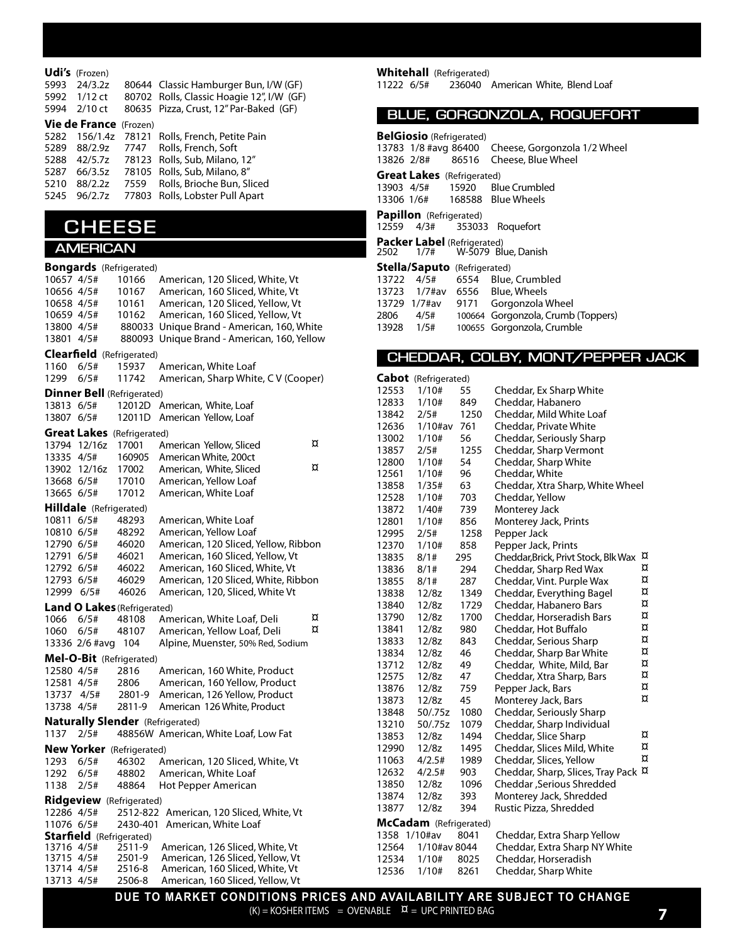| 5993<br>5992 | <b>Udi's</b> (Frozen)<br>24/3.2z<br>1/12 ct<br>5994 2/10 ct | 80644 Classic Hamburger Bun, I/W (GF)<br>80702 Rolls, Classic Hoagie 12", I/W (GF)<br>80635 Pizza, Crust, 12" Par-Baked (GF) |
|--------------|-------------------------------------------------------------|------------------------------------------------------------------------------------------------------------------------------|
|              | <b>Vie de France</b> (Frozen)                               |                                                                                                                              |
|              |                                                             | 5282 156/1.4z 78121 Rolls, French, Petite Pain                                                                               |
|              |                                                             | 5289 88/2.9z 7747 Rolls, French, Soft                                                                                        |
|              |                                                             | 5288 42/5.7z 78123 Rolls, Sub, Milano, 12"                                                                                   |
| 5287         | 66/3.5z                                                     | 78105 Rolls, Sub, Milano, 8"                                                                                                 |
| 5210         | 88/2.2z                                                     | 7559 Rolls, Brioche Bun, Sliced                                                                                              |
| 5245         | 96/2.7z                                                     | 77803 Rolls, Lobster Pull Apart                                                                                              |

### **CHEESE**

#### **AMERICAN**

|            |                                 | <b>Bongards</b> (Refrigerated)     |                                             |   |
|------------|---------------------------------|------------------------------------|---------------------------------------------|---|
| 10657 4/5# |                                 | 10166                              | American, 120 Sliced, White, Vt             |   |
| 10656 4/5# |                                 | 10167                              | American, 160 Sliced, White, Vt             |   |
| 10658 4/5# |                                 | 10161                              | American, 120 Sliced, Yellow, Vt            |   |
| 10659 4/5# |                                 | 10162                              | American, 160 Sliced, Yellow, Vt            |   |
| 13800 4/5# |                                 |                                    | 880033 Unique Brand - American, 160, White  |   |
| 13801 4/5# |                                 |                                    | 880093 Unique Brand - American, 160, Yellow |   |
|            |                                 | <b>Clearfield</b> (Refrigerated)   |                                             |   |
| 1160       | 6/5#                            | 15937                              | American, White Loaf                        |   |
| 1299       | 6/5#                            | 11742                              | American, Sharp White, CV (Cooper)          |   |
|            |                                 | <b>Dinner Bell (Refrigerated)</b>  |                                             |   |
| 13813 6/5# |                                 | 12012D                             | American, White, Loaf                       |   |
| 13807 6/5# |                                 | 12011D                             | American Yellow, Loaf                       |   |
|            |                                 | <b>Great Lakes</b> (Refrigerated)  |                                             |   |
|            | 13794 12/16z                    | 17001                              | American Yellow, Sliced                     | ¤ |
| 13335 4/5# |                                 | 160905                             | American White, 200ct                       |   |
|            | 13902 12/16z                    | 17002                              | American, White, Sliced                     | ¤ |
| 13668 6/5# |                                 | 17010                              | American, Yellow Loaf                       |   |
| 13665 6/5# |                                 | 17012                              | American, White Loaf                        |   |
|            | <b>Hilldale</b> (Refrigerated)  |                                    |                                             |   |
| 10811 6/5# |                                 | 48293                              | American, White Loaf                        |   |
| 10810 6/5# |                                 | 48292                              | American, Yellow Loaf                       |   |
| 12790 6/5# |                                 | 46020                              | American, 120 Sliced, Yellow, Ribbon        |   |
| 12791 6/5# |                                 | 46021                              | American, 160 Sliced, Yellow, Vt            |   |
| 12792 6/5# |                                 | 46022                              | American, 160 Sliced, White, Vt             |   |
| 12793 6/5# |                                 | 46029                              | American, 120 Sliced, White, Ribbon         |   |
| 12999 6/5# |                                 | 46026                              | American, 120, Sliced, White Vt             |   |
|            |                                 | <b>Land O Lakes (Refrigerated)</b> |                                             |   |
| 1066       | 6/5#                            | 48108                              | American, White Loaf, Deli                  | ¤ |
| 1060       | 6/5#                            | 48107                              | American, Yellow Loaf, Deli                 | ¤ |
|            | 13336 2/6 #avg                  | 104                                | Alpine, Muenster, 50% Red, Sodium           |   |
|            |                                 | Mel-O-Bit (Refrigerated)           |                                             |   |
| 12580 4/5# |                                 | 2816                               | American, 160 White, Product                |   |
| 12581 4/5# |                                 | 2806                               | American, 160 Yellow, Product               |   |
| 13737      | 4/5#                            | 2801-9                             | American, 126 Yellow, Product               |   |
| 13738 4/5# |                                 | 2811-9                             | American 126 White, Product                 |   |
|            |                                 |                                    | <b>Naturally Slender</b> (Refrigerated)     |   |
| 1137       | 2/5#                            |                                    | 48856W American, White Loaf, Low Fat        |   |
|            |                                 | <b>New Yorker</b> (Refrigerated)   |                                             |   |
| 1293 6/5#  |                                 | 46302                              | American, 120 Sliced, White, Vt             |   |
| 1292       | 6/5#                            | 48802                              | American, White Loaf                        |   |
| 1138       | 2/5#                            | 48864                              | Hot Pepper American                         |   |
|            |                                 | <b>Ridgeview</b> (Refrigerated)    |                                             |   |
| 12286 4/5# |                                 | 2512-822                           | American, 120 Sliced, White, Vt             |   |
| 11076 6/5# |                                 | 2430-401                           | American, White Loaf                        |   |
|            | <b>Starfield</b> (Refrigerated) |                                    |                                             |   |
| 13716 4/5# |                                 | 2511-9                             | American, 126 Sliced, White, Vt             |   |
| 13715 4/5# |                                 | 2501-9                             | American, 126 Sliced, Yellow, Vt            |   |
| 13714 4/5# |                                 | 2516-8                             | American, 160 Sliced, White, Vt             |   |
| 13713 4/5# |                                 | 2506-8                             | American, 160 Sliced, Yellow, Vt            |   |

**Whitehall** (Refrigerated)<br>11222 6/5# 236040 236040 American White, Blend Loaf

|  | BLUE, GORGONZOLA, ROQUEFORT |  |  |  |  |
|--|-----------------------------|--|--|--|--|
|  |                             |  |  |  |  |

| <b>BelGiosio</b> (Refrigerated)<br>13783 1/8 #avg 86400 Cheese, Gorgonzola 1/2 Wheel |  |                                              |  |  |  |
|--------------------------------------------------------------------------------------|--|----------------------------------------------|--|--|--|
|                                                                                      |  | 13826 2/8# 86516 Cheese, Blue Wheel          |  |  |  |
| <b>Great Lakes</b> (Refrigerated)                                                    |  |                                              |  |  |  |
|                                                                                      |  |                                              |  |  |  |
|                                                                                      |  | 13903 4/5# 15920 Blue Crumbled               |  |  |  |
|                                                                                      |  | 13306 1/6# 168588 Blue Wheels                |  |  |  |
| <b>Papillon</b> (Refrigerated)                                                       |  |                                              |  |  |  |
|                                                                                      |  | 12559 4/3# 353033 Roquefort                  |  |  |  |
| <b>Packer Label</b> (Refrigerated)                                                   |  |                                              |  |  |  |
| 2502 1/7#                                                                            |  | W-5079 Blue. Danish                          |  |  |  |
| <b>Stella/Saputo</b> (Refrigerated)                                                  |  |                                              |  |  |  |
|                                                                                      |  | 13722 4/5# 6554 Blue, Crumbled               |  |  |  |
|                                                                                      |  | 13723 1/7#av 6556 Blue, Wheels               |  |  |  |
|                                                                                      |  | 13729 1/7#av 9171 Gorgonzola Wheel           |  |  |  |
|                                                                                      |  | 2806 4/5# 100664 Gorgonzola, Crumb (Toppers) |  |  |  |
| 13928 1/5#                                                                           |  | 100655 Gorgonzola, Crumble                   |  |  |  |

#### **CHEDDAR, COLBY, MONT/PEPPER JACK**

|              | <b>Cabot</b> (Refrigerated) |      |                                      |   |
|--------------|-----------------------------|------|--------------------------------------|---|
| 12553        | 1/10#                       | 55   | Cheddar, Ex Sharp White              |   |
| 12833        | 1/10#                       | 849  | Cheddar, Habanero                    |   |
| 13842        | 2/5#                        | 1250 | Cheddar, Mild White Loaf             |   |
| 12636        | $1/10$ #av                  | 761  | Cheddar, Private White               |   |
| 13002        | 1/10#                       | 56   | Cheddar, Seriously Sharp             |   |
| 13857        | 2/5#                        | 1255 | Cheddar, Sharp Vermont               |   |
| 12800        | 1/10#                       | 54   | Cheddar, Sharp White                 |   |
| 12561        | 1/10#                       | 96   | Cheddar, White                       |   |
| 13858        | 1/35#                       | 63   | Cheddar, Xtra Sharp, White Wheel     |   |
| 12528        | 1/10#                       | 703  | Cheddar, Yellow                      |   |
| 13872        | 1/40#                       | 739  | Monterey Jack                        |   |
| 12801        | 1/10#                       | 856  | Monterey Jack, Prints                |   |
| 12995        | 2/5#                        | 1258 | Pepper Jack                          |   |
| 12370        | 1/10#                       | 858  | Pepper Jack, Prints                  |   |
| 13835        | 8/1#                        | 295  | Cheddar, Brick, Privt Stock, Blk Wax | ¤ |
| 13836        | 8/1#                        | 294  | Cheddar, Sharp Red Wax               | ¤ |
| 13855        | 8/1#                        | 287  | Cheddar, Vint. Purple Wax            | ¤ |
| 13838        | 12/8z                       | 1349 | Cheddar, Everything Bagel            | ¤ |
| 13840        | 12/8z                       | 1729 | Cheddar, Habanero Bars               | ¤ |
| 13790        | 12/8z                       | 1700 | Cheddar, Horseradish Bars            | ¤ |
| 13841        | 12/8z                       | 980  | Cheddar, Hot Buffalo                 | ¤ |
| 13833        | 12/8z                       | 843  | Cheddar, Serious Sharp               | ¤ |
| 13834        | 12/8z                       | 46   | Cheddar, Sharp Bar White             | ¤ |
| 13712        | 12/8z                       | 49   | Cheddar, White, Mild, Bar            | ¤ |
| 12575        | 12/8z                       | 47   | Cheddar, Xtra Sharp, Bars            | ¤ |
| 13876        | 12/8z                       | 759  | Pepper Jack, Bars                    | ¤ |
| 13873        | 12/8z                       | 45   | Monterey Jack, Bars                  | ¤ |
| 13848        | 50/.75z                     | 1080 | Cheddar, Seriously Sharp             |   |
| 13210        | 50/.75z                     | 1079 | Cheddar, Sharp Individual            |   |
| 13853        | 12/8z                       | 1494 | Cheddar, Slice Sharp                 | ¤ |
| 12990        | 12/8z                       | 1495 | Cheddar, Slices Mild, White          | ¤ |
| 11063        | 4/2.5#                      | 1989 | Cheddar, Slices, Yellow              | ¤ |
| 12632        | 4/2.5#                      | 903  | Cheddar, Sharp, Slices, Tray Pack ¤  |   |
| 13850        | 12/8z                       | 1096 | Cheddar , Serious Shredded           |   |
| 13874        | 12/8z                       | 393  | Monterey Jack, Shredded              |   |
| 13877        | 12/8z                       | 394  | Rustic Pizza, Shredded               |   |
|              | McCadam (Refrigerated)      |      |                                      |   |
| 1358 1/10#av |                             | 8041 | Cheddar, Extra Sharp Yellow          |   |
| 12564        | 1/10#av 8044                |      | Cheddar, Extra Sharp NY White        |   |
| 12534        | 1/10#                       | 8025 | Cheddar, Horseradish                 |   |
| 12536        | 1/10#                       | 8261 | Cheddar, Sharp White                 |   |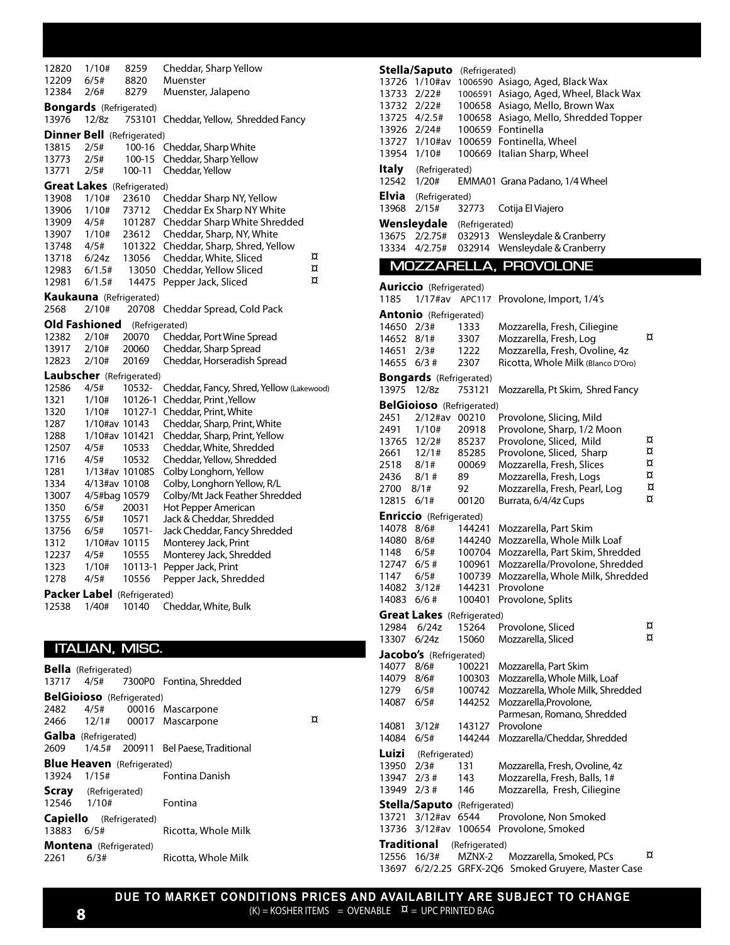| 12820<br>12209 | 1/10#<br>6/5#                              | 8259<br>8820     | Cheddar, Sharp Yellow<br>Muenster                             |   |
|----------------|--------------------------------------------|------------------|---------------------------------------------------------------|---|
| 12384          | 2/6#                                       | 8279             | Muenster, Jalapeno                                            |   |
| 13976          | <b>Bongards</b> (Refrigerated)<br>12/8z    | 753101           | Cheddar, Yellow, Shredded Fancy                               |   |
|                | <b>Dinner Bell</b> (Refrigerated)          |                  |                                                               |   |
| 13815          | 2/5#                                       | 100-16           | Cheddar, Sharp White                                          |   |
| 13773          | 2/5#                                       | 100-15           | Cheddar, Sharp Yellow                                         |   |
| 13771          | 2/5#                                       | 100-11           | Cheddar, Yellow                                               |   |
| 13908          | <b>Great Lakes</b> (Refrigerated)<br>1/10# | 23610            | Cheddar Sharp NY, Yellow                                      |   |
| 13906          | 1/10#                                      | 73712            | Cheddar Ex Sharp NY White                                     |   |
| 13909          | 4/5#                                       | 101287           | Cheddar Sharp White Shredded                                  |   |
| 13907          | 1/10#                                      | 23612            | Cheddar, Sharp, NY, White                                     |   |
| 13748          | 4/5#                                       | 101322           | Cheddar, Sharp, Shred, Yellow                                 | ¤ |
| 13718<br>12983 | 6/24z<br>6/1.5#                            | 13056<br>13050   | Cheddar, White, Sliced<br>Cheddar, Yellow Sliced              | ¤ |
| 12981          | 6/1.5#                                     | 14475            | Pepper Jack, Sliced                                           | ¤ |
|                | <b>Kaukauna</b> (Refrigerated)             |                  |                                                               |   |
| 2568           | 2/10#                                      | 20708            | Cheddar Spread, Cold Pack                                     |   |
|                | Old Fashioned                              |                  | (Refrigerated)                                                |   |
| 12382<br>13917 | 2/10#<br>2/10#                             | 20070<br>20060   | Cheddar, Port Wine Spread<br>Cheddar, Sharp Spread            |   |
| 12823          | 2/10#                                      | 20169            | Cheddar, Horseradish Spread                                   |   |
|                | Laubscher (Refrigerated)                   |                  |                                                               |   |
| 12586          | 4/5#                                       | 10532-           | Cheddar, Fancy, Shred, Yellow (Lakewood)                      |   |
| 1321           | 1/10#                                      |                  | 10126-1 Cheddar, Print, Yellow                                |   |
| 1320           | 1/10#                                      |                  | 10127-1 Cheddar, Print, White                                 |   |
| 1287<br>1288   | 1/10#av 10143<br>1/10#av 101421            |                  | Cheddar, Sharp, Print, White<br>Cheddar, Sharp, Print, Yellow |   |
| 12507          | 4/5#                                       | 10533            | Cheddar, White, Shredded                                      |   |
| 1716           | 4/5#                                       | 10532            | Cheddar, Yellow, Shredded                                     |   |
| 1281           | 1/13#av 10108S                             |                  | Colby Longhorn, Yellow                                        |   |
| 1334           | 4/13#av 10108                              |                  | Colby, Longhorn Yellow, R/L                                   |   |
| 13007<br>1350  | 4/5#bag 10579<br>6/5#                      | 20031            | Colby/Mt Jack Feather Shredded<br>Hot Pepper American         |   |
| 13755          | 6/5#                                       | 10571            | Jack & Cheddar, Shredded                                      |   |
| 13756          | 6/5#                                       | 10571-           | Jack Cheddar, Fancy Shredded                                  |   |
| 1312           | 1/10#av 10115                              |                  | Monterey Jack, Print                                          |   |
| 12237          | 4/5#                                       | 10555            | Monterey Jack, Shredded                                       |   |
| 1323<br>1278   | 1/10#<br>4/5#                              | 10113-1<br>10556 | Pepper Jack, Print<br>Pepper Jack, Shredded                   |   |
|                | Packer Label (Refrigerated)                |                  |                                                               |   |
| 12538          | 1/40#                                      | 10140            | Cheddar, White, Bulk                                          |   |
|                |                                            |                  |                                                               |   |
|                |                                            |                  |                                                               |   |
|                | <b>ITALIAN, MISC.</b>                      |                  |                                                               |   |
| 13717          | <b>Bella</b> (Refrigerated)<br>4/5#        | 7300P0           | Fontina, Shredded                                             |   |
|                | <b>BelGioioso</b> (Refrigerated)           |                  |                                                               |   |
| 2482           | 4/5#                                       | 00016            | Mascarpone                                                    | ¤ |
| 2466           | 12/1#                                      | 00017            | Mascarpone                                                    |   |
| 2609           | <b>Galba</b> (Refrigerated)<br>1/4.5#      | 200911           | Bel Paese, Traditional                                        |   |
| 13924          | <b>Blue Heaven</b> (Refrigerated)<br>1/15# |                  | Fontina Danish                                                |   |
| 12546          | <b>Scray</b> (Refrigerated)<br>1/10#       |                  | Fontina                                                       |   |
| Capiello       |                                            | (Refrigerated)   |                                                               |   |
| 13883          | 6/5#                                       |                  | Ricotta, Whole Milk                                           |   |

**Montena** (Refrigerated)<br>2261 6/3#

Ricotta, Whole Milk

| 13726<br>13733<br>13732<br>13725 4/2.5#<br>13926<br>13727<br>13954<br>Italy | Stella/Saputo (Refrigerated)<br>1/10#av<br>2/22#<br>2/22#<br>2/24#<br>1/10#av<br>1/10#<br>(Refrigerated) |                                                                    | 1006590 Asiago, Aged, Black Wax<br>1006591 Asiago, Aged, Wheel, Black Wax<br>100658 Asiago, Mello, Brown Wax<br>100658 Asiago, Mello, Shredded Topper<br>100659 Fontinella<br>100659 Fontinella, Wheel<br>100669 Italian Sharp, Wheel |                            |
|-----------------------------------------------------------------------------|----------------------------------------------------------------------------------------------------------|--------------------------------------------------------------------|---------------------------------------------------------------------------------------------------------------------------------------------------------------------------------------------------------------------------------------|----------------------------|
| 12542                                                                       | 1/20#                                                                                                    |                                                                    | EMMA01 Grana Padano, 1/4 Wheel                                                                                                                                                                                                        |                            |
| Elvia<br>13968                                                              | (Refrigerated)<br>2/15#                                                                                  | 32773                                                              | Cotija El Viajero                                                                                                                                                                                                                     |                            |
|                                                                             | Wensleydale                                                                                              | (Refrigerated)                                                     |                                                                                                                                                                                                                                       |                            |
| 13675<br>13334                                                              | 2/2.75#<br>4/2.75#                                                                                       | 032913                                                             | Wensleydale & Cranberry<br>Wensleydale & Cranberry                                                                                                                                                                                    |                            |
|                                                                             |                                                                                                          | 032914                                                             |                                                                                                                                                                                                                                       |                            |
|                                                                             |                                                                                                          |                                                                    | MOZZARELLA, PROVOLONE                                                                                                                                                                                                                 |                            |
| 1185                                                                        | <b>Auriccio</b> (Refrigerated)<br>$1/17$ #av                                                             | APC117                                                             | Provolone, Import, 1/4's                                                                                                                                                                                                              |                            |
|                                                                             | <b>Antonio</b> (Refrigerated)                                                                            |                                                                    |                                                                                                                                                                                                                                       |                            |
| 14650 2/3#<br>14652<br>14651<br>14655                                       | 8/1#<br>2/3#<br>$6/3$ #                                                                                  | 1333<br>3307<br>1222<br>2307                                       | Mozzarella, Fresh, Ciliegine<br>Mozzarella, Fresh, Log<br>Mozzarella, Fresh, Ovoline, 4z<br>Ricotta, Whole Milk (Blanco D'Oro)                                                                                                        | ¤                          |
| 13975                                                                       | <b>Bongards</b> (Refrigerated)<br>12/8z                                                                  | 753121                                                             | Mozzarella, Pt Skim, Shred Fancy                                                                                                                                                                                                      |                            |
|                                                                             | <b>BelGioioso</b> (Refrigerated)                                                                         |                                                                    |                                                                                                                                                                                                                                       |                            |
| 2451<br>2491<br>13765<br>2661<br>2518<br>2436<br>2700<br>12815              | $2/12$ #av<br>1/10#<br>12/2#<br>12/1#<br>8/1#<br>$8/1$ #<br>$8/1$ #<br>6/1#                              | 00210<br>20918<br>85237<br>85285<br>00069<br>89<br>92<br>00120     | Provolone, Slicing, Mild<br>Provolone, Sharp, 1/2 Moon<br>Provolone, Sliced, Mild<br>Provolone, Sliced, Sharp<br>Mozzarella, Fresh, Slices<br>Mozzarella, Fresh, Logs<br>Mozzarella, Fresh, Pearl, Log<br>Burrata, 6/4/4z Cups        | ¤<br>¤<br>¤<br>¤<br>¤<br>¤ |
|                                                                             |                                                                                                          |                                                                    |                                                                                                                                                                                                                                       |                            |
| 14078<br>14080<br>1148<br>12747<br>1147<br>14082<br>14083                   | <b>Enriccio</b> (Refrigerated)<br>8/6#<br>8/6#<br>6/5#<br>6/5#<br>6/5#<br>3/12#<br>6/6#                  | 144241<br>144240<br>100704<br>100961<br>100739<br>144231<br>100401 | Mozzarella, Part Skim<br>Mozzarella, Whole Milk Loaf<br>Mozzarella, Part Skim, Shredded<br>Mozzarella/Provolone, Shredded<br>Mozzarella, Whole Milk, Shredded<br>Provolone<br>Provolone, Splits                                       |                            |
| Great Lakes                                                                 |                                                                                                          | (Refrigerated)                                                     |                                                                                                                                                                                                                                       |                            |
| 12984<br>13307                                                              | 6/24z<br>6/24z                                                                                           | 15264<br>15060                                                     | Provolone, Sliced<br>Mozzarella, Sliced                                                                                                                                                                                               | ¤<br>¤                     |
|                                                                             | Jacobo's (Refrigerated)                                                                                  |                                                                    |                                                                                                                                                                                                                                       |                            |
| 14077<br>14079<br>1279<br>14087<br>14081                                    | 8/6#<br>8/6#<br>6/5#<br>6/5#<br>3/12#                                                                    | 100221<br>100303<br>100742<br>144252<br>143127                     | Mozzarella, Part Skim<br>Mozzarella, Whole Milk, Loaf<br>Mozzarella, Whole Milk, Shredded<br>Mozzarella, Provolone,<br>Parmesan, Romano, Shredded<br>Provolone                                                                        |                            |
| 14084                                                                       | 6/5#                                                                                                     | 144244                                                             | Mozzarella/Cheddar, Shredded                                                                                                                                                                                                          |                            |
| Luizi<br>13950<br>13947<br>13949                                            | (Refrigerated)<br>2/3#<br>$2/3$ #<br>$2/3$ #                                                             | 131<br>143<br>146                                                  | Mozzarella, Fresh, Ovoline, 4z<br>Mozzarella, Fresh, Balls, 1#<br>Mozzarella, Fresh, Ciliegine                                                                                                                                        |                            |

**Stella/Saputo** (Refrigerated) 13721  $3/12$ #av 6544 Provolone, Non Smoked

13736 3/12#av 100654 Provolone, Smoked **Traditional** (Refrigerated) 12556 16/3# MZNX-2 Mozzarella, Smoked, PCs  $\alpha$ 

13697 6/2/2.25 GRFX-2Q6 Smoked Gruyere, Master Case

**DUE TO MARKET CONDITIONS PRICES AND AVAILABILITY ARE SUBJECT TO CHANGE**  $(K) = KOSHER ITEMS = OVERABLE \quad \alpha = UPC PRINTED BAG$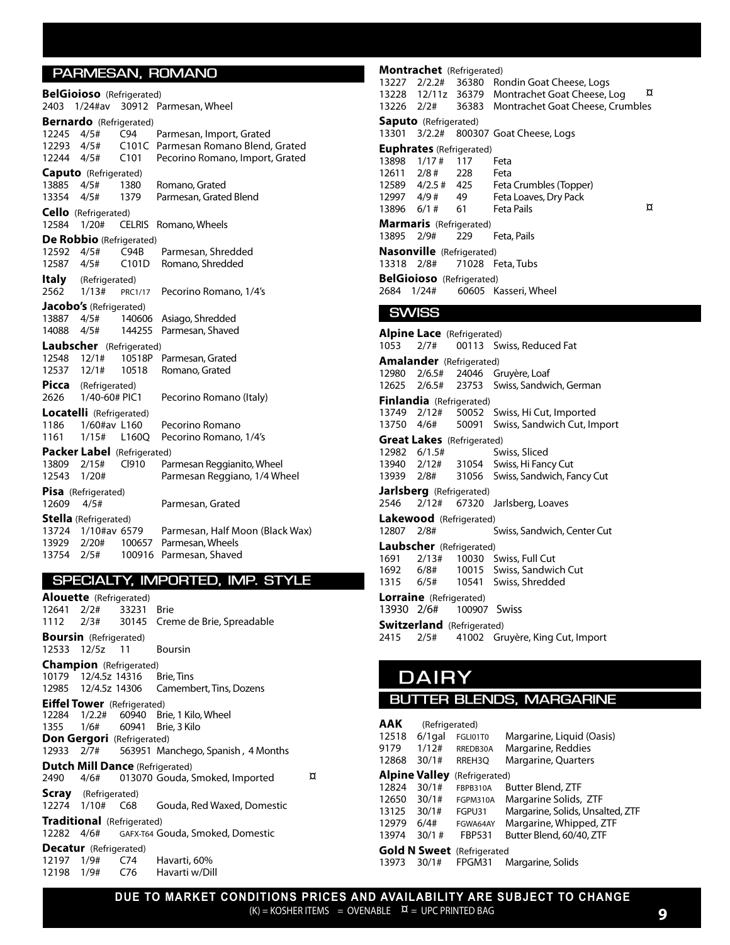#### **PARMESAN, ROMANO**

|             | <b>BelGioioso</b> (Refrigerated) |                    |                                 |
|-------------|----------------------------------|--------------------|---------------------------------|
| 2403        | $1/24$ #av                       | 30912              | Parmesan, Wheel                 |
|             | <b>Bernardo</b> (Refrigerated)   |                    |                                 |
| 12245       | 4/5#                             | C94                | Parmesan, Import, Grated        |
| 12293       | 4/5#                             | C <sub>10</sub> 1C | Parmesan Romano Blend, Grated   |
| 12244       | 4/5#                             | C <sub>101</sub>   | Pecorino Romano, Import, Grated |
|             | <b>Caputo</b> (Refrigerated)     |                    |                                 |
| 13885       | 4/5#                             | 1380               | Romano, Grated                  |
| 13354       | 4/5#                             | 1379               | Parmesan, Grated Blend          |
|             | Cello (Refrigerated)             |                    |                                 |
| 12584       | 1/20#                            | <b>CELRIS</b>      | Romano, Wheels                  |
|             | De Robbio (Refrigerated)         |                    |                                 |
| 12592       | 4/5#                             | C94B               | Parmesan, Shredded              |
| 12587       | 4/5#                             | C101D              | Romano, Shredded                |
| Italy       | (Refrigerated)                   |                    |                                 |
| 2562        | 1/13#                            | PRC1/17            | Pecorino Romano, 1/4's          |
|             | Jacobo's (Refrigerated)          |                    |                                 |
| 13887       | 4/5#                             | 140606             | Asiago, Shredded                |
| 14088       | 4/5#                             | 144255             | Parmesan, Shaved                |
|             | Laubscher (Refrigerated)         |                    |                                 |
| 12548 12/1# |                                  | 10518P             | Parmesan, Grated                |
| 12537       | 12/1#                            | 10518              | Romano, Grated                  |
| Picca       | (Refrigerated)                   |                    |                                 |
| 2626        | 1/40-60# PIC1                    |                    | Pecorino Romano (Italy)         |
|             | Locatelli (Refrigerated)         |                    |                                 |
| 1186        | 1/60#av L160                     |                    | Pecorino Romano                 |
| 1161        | 1/15#                            | L160Q              | Pecorino Romano, 1/4's          |
|             | Packer Label (Refrigerated)      |                    |                                 |
| 13809       | 2/15#                            | C <sub>1910</sub>  | Parmesan Reggianito, Wheel      |
| 12543       | 1/20#                            |                    | Parmesan Reggiano, 1/4 Wheel    |
|             | Pisa (Refrigerated)              |                    |                                 |
| 12609       | 4/5#                             |                    | Parmesan, Grated                |
|             | <b>Stella</b> (Refrigerated)     |                    |                                 |
|             | 13724 1/10#av 6579               |                    | Parmesan, Half Moon (Black Wax) |
| 13929       | 2/20#                            | 100657             | Parmesan, Wheels                |
| 13754       | 2/5#                             | 100916             | Parmesan, Shaved                |

#### **SPECIALTY, IMPORTED, IMP. STYLE**

|            | <b>Alouette</b> (Refrigerated)         |       |                                               |   |
|------------|----------------------------------------|-------|-----------------------------------------------|---|
|            | 12641 2/2# 33231 Brie                  |       |                                               |   |
|            |                                        |       | 1112 2/3# 30145 Creme de Brie, Spreadable     |   |
|            | <b>Boursin</b> (Refrigerated)          |       |                                               |   |
|            | 12533 12/5z 11                         |       | <b>Boursin</b>                                |   |
|            | <b>Champion</b> (Refrigerated)         |       |                                               |   |
|            | 10179 12/4.5z 14316                    |       | <b>Brie, Tins</b>                             |   |
|            |                                        |       | 12985 12/4.5z 14306 Camembert, Tins, Dozens   |   |
|            | <b>Eiffel Tower</b> (Refrigerated)     |       |                                               |   |
|            |                                        |       | 12284 1/2.2# 60940 Brie, 1 Kilo, Wheel        |   |
|            |                                        |       | 1355 1/6# 60941 Brie, 3 Kilo                  |   |
|            | <b>Don Gergori</b> (Refrigerated)      |       |                                               |   |
|            |                                        |       | 12933 2/7# 563951 Manchego, Spanish, 4 Months |   |
|            | <b>Dutch Mill Dance (Refrigerated)</b> |       |                                               |   |
|            | 2490 4/6#                              |       | 013070 Gouda, Smoked, Imported                | ¤ |
|            | <b>Scray</b> (Refrigerated)            |       |                                               |   |
|            |                                        |       | 12274 1/10# C68 Gouda, Red Waxed, Domestic    |   |
|            | Traditional (Refrigerated)             |       |                                               |   |
|            |                                        |       | 12282 4/6# GAFX-T64 Gouda, Smoked, Domestic   |   |
|            | <b>Decatur</b> (Refrigerated)          |       |                                               |   |
| 12197 1/9# |                                        | C74 – | Havarti, 60%                                  |   |
| 12198 1/9# |                                        | C76   | Havarti w/Dill                                |   |

#### **Montrachet** (Refrigerated)13227  $2/2.2#$  36380 Rondin Goat Cheese, Logs<br>13228 12/11z 36379 Montrachet Goat Cheese Log  $\overline{X}$ 13228 12/11z 36379 Montrachet Goat Cheese, Log<br>13226 2/2# 36383 Montrachet Goat Cheese, Crur 36383 Montrachet Goat Cheese, Crumbles **Saputo** (Refrigerated) 13301 3/2.2# 800307 Goat Cheese, Logs **Euphrates** (Refrigerated) 13898 1/17 # 117 Feta 12611 2/8 # 228 Feta 12589  $4/2.5$  # 425 Feta Crumbles (Topper)<br>12997  $4/9$  # 49 Feta Loaves. Drv Pack 12997 4/9 # 49 Feta Loaves, Dry Pack Mkt 13896 6/1# **Marmaris** (Refrigerated)<br>13895 2/9# 229 13895 2/9# 229 Feta, Pails **Nasonville** (Refrigerated) 13318 2/8# 71028 Feta, Tubs **BelGioioso** (Refrigerated)<br>2684 1/24# 60605 K 60605 Kasseri, Wheel **SWISS**

|            | <b>Alpine Lace</b> (Refrigerated) |                                              |
|------------|-----------------------------------|----------------------------------------------|
| 1053       | 2/7#                              | 00113 Swiss, Reduced Fat                     |
|            | <b>Amalander</b> (Refrigerated)   |                                              |
|            |                                   | 12980 2/6.5# 24046 Gruyère, Loaf             |
|            |                                   | 12625 2/6.5# 23753 Swiss, Sandwich, German   |
|            | <b>Finlandia</b> (Refrigerated)   |                                              |
|            |                                   | 13749 2/12# 50052 Swiss, Hi Cut, Imported    |
|            |                                   | 13750 4/6# 50091 Swiss, Sandwich Cut, Import |
|            | <b>Great Lakes</b> (Refrigerated) |                                              |
|            | 12982 6/1.5#                      | Swiss, Sliced                                |
|            |                                   | 13940 2/12# 31054 Swiss, Hi Fancy Cut        |
|            |                                   | 13939 2/8# 31056 Swiss, Sandwich, Fancy Cut  |
|            | <b>Jarlsberg</b> (Refrigerated)   |                                              |
|            |                                   | 2546 2/12# 67320 Jarlsberg, Loaves           |
|            | Lakewood (Refrigerated)           |                                              |
| 12807 2/8# |                                   | Swiss, Sandwich, Center Cut                  |
|            | <b>Laubscher</b> (Refrigerated)   |                                              |
| 1691       |                                   | 2/13# 10030 Swiss, Full Cut                  |
|            |                                   | 1692 6/8# 10015 Swiss, Sandwich Cut          |
|            |                                   | 1315 6/5# 10541 Swiss, Shredded              |
|            | <b>Lorraine</b> (Refrigerated)    |                                              |
|            | 13930 2/6# 100907 Swiss           |                                              |
|            | <b>Switzerland</b> (Refrigerated) |                                              |
|            | 2415 2/5#                         | 41002 Gruyère, King Cut, Import              |

### **DAIRY**

#### **BUTTER BLENDS, MARGARINE**

| <b>AAK</b>           | (Refrigerated) |                 |                                  |
|----------------------|----------------|-----------------|----------------------------------|
| 12518                | $6/1$ gal      | FGLI01T0        | Margarine, Liquid (Oasis)        |
| 9179                 | 1/12#          | RREDB30A        | Margarine, Reddies               |
| 12868                | 30/1#          | RREH3O          | <b>Margarine, Quarters</b>       |
| <b>Alpine Valley</b> |                | (Refrigerated)  |                                  |
| 12824                | 30/1#          | <b>FBPB310A</b> | Butter Blend, ZTF                |
| 12650                | 30/1#          | <b>FGPM310A</b> | Margarine Solids, ZTF            |
| 13125                | 30/1#          | FGPU31          | Margarine, Solids, Unsalted, ZTF |
| 12979                | 6/4#           | FGWA64AY        | Margarine, Whipped, ZTF          |
| 13974                | 30/1#          | <b>FBP531</b>   | Butter Blend, 60/40, ZTF         |
|                      | Gold N Sweet   | (Refrigerated   |                                  |
| 13973                | 30/1#          | FPGM31          | Margarine, Solids                |

**DUE TO MARKET CONDITIONS PRICES AND AVAILABILITY ARE SUBJECT TO CHANGE**  $(K)$  = KOSHER ITEMS = OVENABLE  $\overline{X}$  = UPC PRINTED BAG **9**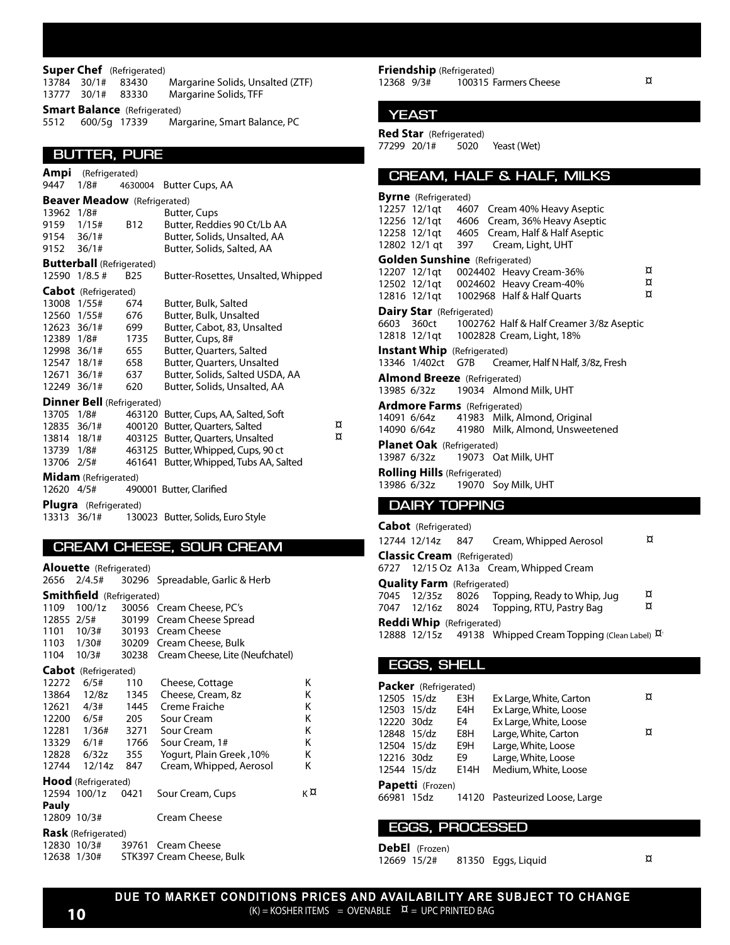#### **Super Chef** (Refrigerated)<br>13784 30/1# 83430 Margarine Solids, Unsalted (ZTF) 13777 30/1# 83330 Margarine Solids, TFF **Smart Balance** (Refrigerated)

5512 600/5g 17339 Margarine, Smart Balance, PC

#### **BUTTER, PURE**

|             | <b>Ampi</b> (Refrigerated)          |            |                                       |   |
|-------------|-------------------------------------|------------|---------------------------------------|---|
| 9447        | 1/8#                                | 4630004    | Butter Cups, AA                       |   |
|             | <b>Beaver Meadow</b> (Refrigerated) |            |                                       |   |
| 13962 1/8#  |                                     |            | Butter, Cups                          |   |
| 9159        | 1/15#                               | <b>B12</b> | Butter, Reddies 90 Ct/Lb AA           |   |
| 9154 36/1#  |                                     |            | Butter, Solids, Unsalted, AA          |   |
| 9152 36/1#  |                                     |            | Butter, Solids, Salted, AA            |   |
|             | <b>Butterball</b> (Refrigerated)    |            |                                       |   |
|             | 12590 1/8.5 #                       | <b>B25</b> | Butter-Rosettes, Unsalted, Whipped    |   |
|             | <b>Cabot</b> (Refrigerated)         |            |                                       |   |
| 13008 1/55# |                                     | 674        | Butter, Bulk, Salted                  |   |
| 12560 1/55# |                                     | 676        | Butter, Bulk, Unsalted                |   |
| 12623 36/1# |                                     | 699        | Butter, Cabot, 83, Unsalted           |   |
| 12389 1/8#  |                                     | 1735       | Butter, Cups, 8#                      |   |
| 12998 36/1# |                                     | 655        | Butter, Quarters, Salted              |   |
| 12547 18/1# |                                     | 658        | Butter, Quarters, Unsalted            |   |
| 12671 36/1# |                                     | 637        | Butter, Solids, Salted USDA, AA       |   |
| 12249 36/1# |                                     | 620        | Butter, Solids, Unsalted, AA          |   |
|             | <b>Dinner Bell</b> (Refrigerated)   |            |                                       |   |
| 13705       | 1/8#                                |            | 463120 Butter, Cups, AA, Salted, Soft |   |
| 12835 36/1# |                                     |            | 400120 Butter, Quarters, Salted       | ¤ |
| 13814 18/1# |                                     |            | 403125 Butter, Quarters, Unsalted     | ¤ |
| 13739 1/8#  |                                     |            | 463125 Butter, Whipped, Cups, 90 ct   |   |
| 13706       | 2/5#                                | 461641     | Butter, Whipped, Tubs AA, Salted      |   |
|             | <b>Midam</b> (Refrigerated)         |            |                                       |   |
| 12620 4/5#  |                                     |            | 490001 Butter, Clarified              |   |
| Plugra      | (Refrigerated)                      |            |                                       |   |
| 13313       | 36/1#                               |            | 130023 Butter, Solids, Euro Style     |   |

#### **CREAM CHEESE, SOUR CREAM**

|             | <b>Alouette</b> (Refrigerated)   |      |                                       |    |
|-------------|----------------------------------|------|---------------------------------------|----|
|             | 2656 2/4.5#                      |      | 30296 Spreadable, Garlic & Herb       |    |
|             | <b>Smithfield</b> (Refrigerated) |      |                                       |    |
| 1109        |                                  |      | 100/1z 30056 Cream Cheese, PC's       |    |
|             |                                  |      | 12855 2/5# 30199 Cream Cheese Spread  |    |
|             |                                  |      | 1101 10/3# 30193 Cream Cheese         |    |
|             |                                  |      | 1103 1/30# 30209 Cream Cheese, Bulk   |    |
|             | 1104 10/3#                       |      | 30238 Cream Cheese, Lite (Neufchatel) |    |
|             | <b>Cabot</b> (Refrigerated)      |      |                                       |    |
| 12272       | 6/5#                             | 110  | Cheese, Cottage                       | Κ  |
|             | 13864 12/8z 1345                 |      | Cheese, Cream, 8z                     | κ  |
|             | 12621 4/3# 1445                  |      | Creme Fraiche                         | Κ  |
|             |                                  |      | 12200 6/5# 205 Sour Cream             | Κ  |
|             |                                  |      | 12281 1/36# 3271 Sour Cream           | Κ  |
|             |                                  |      | 13329 6/1# 1766 Sour Cream, 1#        | Κ  |
|             |                                  |      | 10%, Yogurt, Plain Greek              | Κ  |
| 12744       | 12/14z 847                       |      | Cream, Whipped, Aerosol               | Κ  |
|             | <b>Hood</b> (Refrigerated)       |      |                                       |    |
|             | 12594 100/1z                     | 0421 | Sour Cream, Cups                      | κ¤ |
| Pauly       |                                  |      |                                       |    |
| 12809 10/3# |                                  |      | Cream Cheese                          |    |
|             | <b>Rask</b> (Refrigerated)       |      |                                       |    |
|             | 12830 10/3#                      |      | 39761 Cream Cheese                    |    |
|             | 12638 1/30#                      |      | STK397 Cream Cheese, Bulk             |    |

**Friendship** (Refrigerated)<br>12368 9/3# 100315 F  $100315$  Farmers Cheese  $\alpha$ 

#### **YEAST**

**Red Star** (Refrigerated)<br>77299 20/1# 5020 77299 20/1# 5020 Yeast (Wet)

#### **CREAM, HALF & HALF, MILKS**

|             | <b>Byrne</b> (Refrigerated)           |      |                                                     |   |
|-------------|---------------------------------------|------|-----------------------------------------------------|---|
|             | 12257 12/1gt                          |      | 4607 Cream 40% Heavy Aseptic                        |   |
|             | 12256 12/1gt                          | 4606 | Cream, 36% Heavy Aseptic                            |   |
|             |                                       |      | 12258 12/1gt 4605 Cream, Half & Half Aseptic        |   |
|             | 12802 12/1 qt 397                     |      | Cream, Light, UHT                                   |   |
|             | <b>Golden Sunshine</b> (Refrigerated) |      |                                                     |   |
|             | 12207 12/1qt                          |      | 0024402 Heavy Cream-36%                             | ¤ |
|             | 12502 12/1qt                          |      | 0024602 Heavy Cream-40%                             | ¤ |
|             | 12816 12/1gt                          |      | 1002968 Half & Half Ouarts                          | ¤ |
|             | <b>Dairy Star</b> (Refrigerated)      |      |                                                     |   |
|             |                                       |      | 6603 360ct 1002762 Half & Half Creamer 3/8z Aseptic |   |
|             |                                       |      | 12818 12/1qt 1002828 Cream, Light, 18%              |   |
|             | <b>Instant Whip</b> (Refrigerated)    |      |                                                     |   |
|             | 13346 1/402ct                         | G7B  | Creamer, Half N Half, 3/8z, Fresh                   |   |
|             | <b>Almond Breeze</b> (Refrigerated)   |      |                                                     |   |
|             | 13985 6/32z                           |      | 19034 Almond Milk, UHT                              |   |
|             | <b>Ardmore Farms</b> (Refrigerated)   |      |                                                     |   |
|             | 14091 6/64z                           |      | 41983 Milk, Almond, Original                        |   |
|             | 14090 6/64z                           |      | 41980 Milk, Almond, Unsweetened                     |   |
|             | <b>Planet Oak</b> (Refrigerated)      |      |                                                     |   |
| 13987 6/32z |                                       |      | 19073 Oat Milk, UHT                                 |   |
|             | <b>Rolling Hills (Refrigerated)</b>   |      |                                                     |   |
|             | 13986 6/32z                           |      | 19070 Soy Milk, UHT                                 |   |
|             | <b>DAIRY TOPPING</b>                  |      |                                                     |   |
|             |                                       |      |                                                     |   |
|             | <b>Cabot</b> (Refrigerated)           |      |                                                     |   |
|             | 12744 12/14z                          | 847  | Cream, Whipped Aerosol                              | ¤ |
|             | <b>Classic Cream</b> (Refrigerated)   |      |                                                     |   |

|                                    | 6727 12/15 Oz A13a Cream, Whipped Cream                         |   |
|------------------------------------|-----------------------------------------------------------------|---|
| <b>Quality Farm</b> (Refrigerated) |                                                                 |   |
|                                    | 7045 12/35z 8026 Topping, Ready to Whip, Jug                    | ¤ |
|                                    | 7047 12/16z 8024 Topping, RTU, Pastry Bag                       | ¤ |
| <b>Reddi Whip</b> (Refrigerated)   |                                                                 |   |
|                                    | 12888 12/15z 49138 Whipped Cream Topping (Clean Label) $\alpha$ |   |

**EGGS, SHELL**

|             | <b>Packer</b> (Refrigerated) |      |                                           |   |
|-------------|------------------------------|------|-------------------------------------------|---|
| 12505 15/dz |                              | E3H  | Ex Large, White, Carton                   | ¤ |
| 12503 15/dz |                              | E4H  | Ex Large, White, Loose                    |   |
| 12220 30dz  |                              | E4   | Ex Large, White, Loose                    |   |
| 12848 15/dz |                              | E8H  | Large, White, Carton                      | ¤ |
| 12504 15/dz |                              | E9H  | Large, White, Loose                       |   |
| 12216 30dz  |                              | E9   | Large, White, Loose                       |   |
| 12544 15/dz |                              | E14H | Medium, White, Loose                      |   |
|             | Papetti (Frozen)             |      |                                           |   |
|             |                              |      | 66981 15dz 14120 Pasteurized Loose, Large |   |
|             |                              |      |                                           |   |

#### , **EGGS, PROCESSED**

**DebEl** (Frozen) 81350 Eggs, Liquid  $\alpha$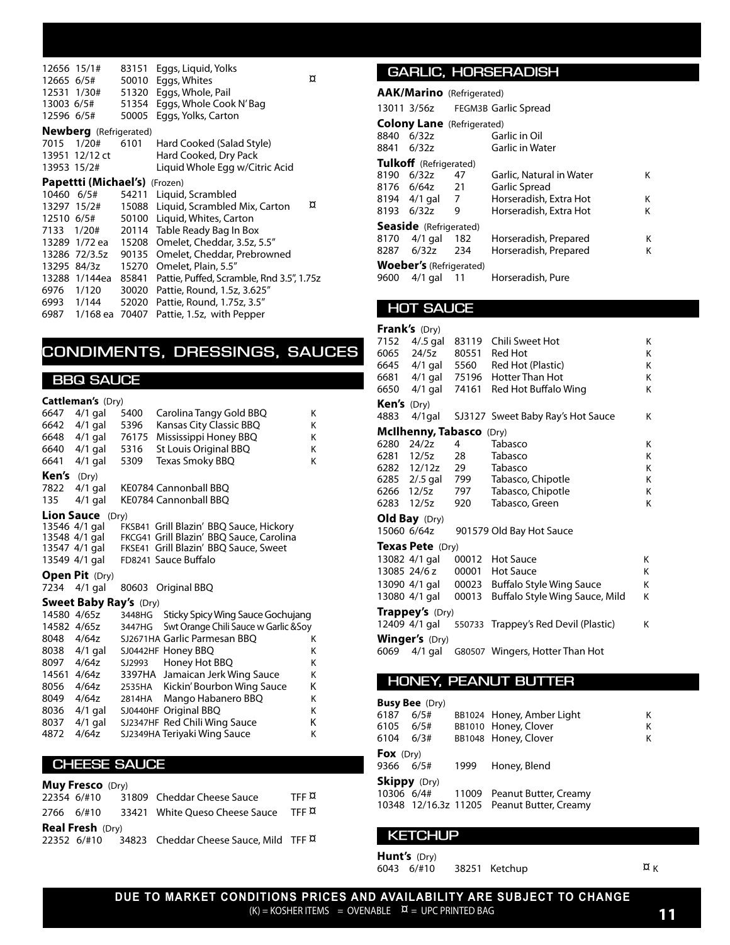| 12656 15/1#<br>12665 6/5#<br>13003 6/5#<br>12596 6/5# | 12531 1/30#                          | 83151<br>50010<br>51320<br>51354<br>50005 | Eggs, Liquid, Yolks<br>¤<br>Eggs, Whites<br>Eggs, Whole, Pail<br>Eggs, Whole Cook N'Bag<br>Eggs, Yolks, Carton |  |  |
|-------------------------------------------------------|--------------------------------------|-------------------------------------------|----------------------------------------------------------------------------------------------------------------|--|--|
|                                                       | <b>Newberg</b> (Refrigerated)        |                                           |                                                                                                                |  |  |
| 7015                                                  | 1/20#                                | 6101                                      | Hard Cooked (Salad Style)                                                                                      |  |  |
|                                                       | 13951 12/12 ct                       |                                           | Hard Cooked, Dry Pack                                                                                          |  |  |
| 13953 15/2#                                           |                                      |                                           | Liquid Whole Egg w/Citric Acid                                                                                 |  |  |
|                                                       | <b>Papettti (Michael's)</b> (Frozen) |                                           |                                                                                                                |  |  |
|                                                       | 10460 6/5#                           |                                           | 54211 Liquid, Scrambled                                                                                        |  |  |
|                                                       | 13297 15/2#                          |                                           | ¤<br>15088 Liquid, Scrambled Mix, Carton                                                                       |  |  |
|                                                       | 12510 6/5#                           | 50100                                     | Liquid, Whites, Carton                                                                                         |  |  |
| 7133                                                  | 1/20#                                |                                           | 20114 Table Ready Bag In Box                                                                                   |  |  |
|                                                       | 13289 1/72 ea 15208                  |                                           | Omelet, Cheddar, 3.5z, 5.5"                                                                                    |  |  |
|                                                       | 13286 72/3.5z                        | 90135                                     | Omelet, Cheddar, Prebrowned                                                                                    |  |  |
| 13295 84/3z                                           |                                      | 15270                                     | Omelet, Plain, 5.5"                                                                                            |  |  |
|                                                       | 13288 1/144ea                        | 85841                                     | Pattie, Puffed, Scramble, Rnd 3.5", 1.75z                                                                      |  |  |
| 6976                                                  | 1/120                                | 30020                                     | Pattie, Round, 1.5z, 3.625"                                                                                    |  |  |
|                                                       | 6993 1/144                           | 52020                                     | Pattie, Round, 1.75z, 3.5"                                                                                     |  |  |
|                                                       | 6987 1/168 ea 70407                  |                                           | Pattie, 1.5z, with Pepper                                                                                      |  |  |

### **CONDIMENTS, DRESSINGS, SAUCES**

#### **BBQ SAUCE**

#### **Cattleman's** (Dry)

|       | $\sim$                        |        |                                          |   |
|-------|-------------------------------|--------|------------------------------------------|---|
| 6647  | $4/1$ gal                     | 5400   | Carolina Tangy Gold BBQ                  | K |
| 6642  | $4/1$ gal                     | 5396   | Kansas City Classic BBQ                  | Κ |
| 6648  | $4/1$ gal                     | 76175  | Mississippi Honey BBQ                    | Κ |
| 6640  | 4/1 gal                       | 5316   | St Louis Original BBQ                    | Κ |
| 6641  | $4/1$ gal                     | 5309   | Texas Smoky BBQ                          | Κ |
| Ken's | (Dry)                         |        |                                          |   |
| 7822  | 4/1 gal                       |        | KE0784 Cannonball BBO                    |   |
| 135   | $4/1$ gal                     |        | KE0784 Cannonball BBQ                    |   |
|       | <b>Lion Sauce</b> (Dry)       |        |                                          |   |
|       | 13546 4/1 gal                 |        | FKSB41 Grill Blazin' BBQ Sauce, Hickory  |   |
|       | 13548 4/1 gal                 |        | FKCG41 Grill Blazin' BBQ Sauce, Carolina |   |
|       | 13547 4/1 gal                 |        | FKSE41 Grill Blazin' BBQ Sauce, Sweet    |   |
|       | 13549 4/1 gal                 |        | FD8241 Sauce Buffalo                     |   |
|       |                               |        |                                          |   |
|       | Open Pit (Dry)                |        |                                          |   |
| 7234  | $4/1$ gal                     |        | 80603 Original BBQ                       |   |
|       | <b>Sweet Baby Ray's (Dry)</b> |        |                                          |   |
|       | 14580 4/65z                   | 3448HG | Sticky Spicy Wing Sauce Gochujang        |   |
|       | 14582 4/65z                   | 3447HG | Swt Orange Chili Sauce w Garlic & Soy    |   |
|       | 8048 4/64z                    |        | SJ2671HA Garlic Parmesan BBO             | Κ |
| 8038  | 4/1 gal                       |        | SJ0442HF Honey BBQ                       | K |
| 8097  | 4/64z                         | SJ2993 | Honey Hot BBQ                            | K |
|       | 14561 4/64z                   |        | 3397HA Jamaican Jerk Wing Sauce          | Κ |
| 8056  | 4/64z                         | 2535HA | Kickin' Bourbon Wing Sauce               | Κ |
| 8049  | 4/64z                         | 2814HA | Mango Habanero BBQ                       | K |
| 8036  | 4/1 gal                       |        | SJ0440HF Original BBQ                    | Κ |
| 8037  | $4/1$ gal                     |        | SJ2347HF Red Chili Wing Sauce            | Κ |
| 4872  | 4/64z                         |        | SJ2349HA Teriyaki Wing Sauce             | Κ |
|       |                               |        |                                          |   |

#### **CHEESE SAUCE**

|                         | <b>Muy Fresco</b> (Dry) |  |                                                                      |              |  |
|-------------------------|-------------------------|--|----------------------------------------------------------------------|--------------|--|
|                         |                         |  | 22354 6/#10 31809 Cheddar Cheese Sauce                               | TFF <b>X</b> |  |
|                         |                         |  | 2766 6/#10 33421 White Queso Cheese Sauce TFF $\overline{\mu}$       |              |  |
| <b>Real Fresh</b> (Dry) |                         |  |                                                                      |              |  |
|                         |                         |  | 22352 6/#10 34823 Cheddar Cheese Sauce, Mild TFF $\overline{\alpha}$ |              |  |

#### **GARLIC, HORSERADISH**

|            | <b>AAK/Marino</b> (Refrigerated)  |     |                                  |   |
|------------|-----------------------------------|-----|----------------------------------|---|
|            |                                   |     | 13011 3/56z FEGM3B Garlic Spread |   |
|            | <b>Colony Lane</b> (Refrigerated) |     |                                  |   |
| 8840       | 6/32z                             |     | Garlic in Oil                    |   |
| 8841 6/32z |                                   |     | Garlic in Water                  |   |
|            | Tulkoff (Refrigerated)            |     |                                  |   |
| 8190       | 6/32z                             | 47  | Garlic, Natural in Water         | κ |
|            | 8176 6/64z 21                     |     | Garlic Spread                    |   |
|            | 8194 4/1 gal 7                    |     | Horseradish, Extra Hot           | Κ |
| 8193 6/32z |                                   | 9   | Horseradish, Extra Hot           | Κ |
|            | <b>Seaside</b> (Refrigerated)     |     |                                  |   |
| 8170       | $4/1$ gal                         | 182 | Horseradish, Prepared            | Κ |
|            | 8287 6/32z                        | 234 | Horseradish, Prepared            | Κ |
|            | <b>Woeber's</b> (Refrigerated)    |     |                                  |   |
| 9600       | $4/1$ gal                         | -11 | Horseradish, Pure                |   |

#### **HOT SAUCE**

|                    | <b>Frank's</b> $(Dry)$   |       |                                          |   |
|--------------------|--------------------------|-------|------------------------------------------|---|
| 7152               | $4/0.5$ gal              |       | 83119 Chili Sweet Hot                    | K |
| 6065               | 24/5z                    |       | 80551 Red Hot                            | K |
|                    |                          |       | 6645 4/1 gal 5560 Red Hot (Plastic)      | K |
|                    |                          |       | 6681 4/1 gal 75196 Hotter Than Hot       | K |
| 6650               |                          |       | 4/1 gal 74161 Red Hot Buffalo Wing       | K |
| <b>Ken's</b> (Dry) |                          |       |                                          |   |
| 4883               |                          |       | 4/1gal SJ3127 Sweet Baby Ray's Hot Sauce | K |
|                    | McIlhenny, Tabasco (Dry) |       |                                          |   |
| 6280               | 24/2z                    | 4     | Tabasco                                  | K |
|                    | 6281 12/5z               | 28    | Tabasco                                  | K |
|                    | 6282 12/12z 29           |       | Tabasco                                  | K |
|                    |                          |       | 6285 2/.5 gal 799 Tabasco, Chipotle      | K |
|                    |                          |       | 6266 12/5z 797 Tabasco, Chipotle         | K |
| 6283               | 12/5z                    | 920   | Tabasco, Green                           | K |
|                    | Old Bay (Dry)            |       |                                          |   |
| 15060 6/64z        |                          |       | 901579 Old Bay Hot Sauce                 |   |
|                    | <b>Texas Pete</b> (Dry)  |       |                                          |   |
|                    | 13082 4/1 gal            |       | 00012 Hot Sauce                          | K |
|                    | 13085 24/6 z             |       | 00001 Hot Sauce                          | K |
|                    | 13090 4/1 gal            |       | 00023 Buffalo Style Wing Sauce           | K |
|                    | 13080 4/1 gal            | 00013 | Buffalo Style Wing Sauce, Mild           | Κ |
|                    | <b>Trappey's (Dry)</b>   |       |                                          |   |
|                    | 12409 4/1 gal            |       | 550733 Trappey's Red Devil (Plastic)     | Κ |
|                    | <b>Winger's (Dry)</b>    |       |                                          |   |
| 6069               | $4/1$ gal                |       | G80507 Wingers, Hotter Than Hot          |   |

#### **HONEY, PEANUT BUTTER**

|                     | <b>Busy Bee</b> (Dry) |      |                                            |   |
|---------------------|-----------------------|------|--------------------------------------------|---|
| 6187                | 6/5#                  |      | BB1024 Honey, Amber Light                  | Κ |
| 6105                | 6/5#                  |      | BB1010 Honey, Clover                       | Κ |
| 6104                | 6/3#                  |      | BB1048 Honey, Clover                       | К |
| Fox $(Dry)$         |                       |      |                                            |   |
| 9366                | 6/5#                  | 1999 | Honey, Blend                               |   |
| <b>Skippy</b> (Dry) |                       |      |                                            |   |
| 10306 6/4#          |                       |      | 11009 Peanut Butter, Creamy                |   |
|                     |                       |      | 10348 12/16.3z 11205 Peanut Butter, Creamy |   |

#### **KETCHUP**

**Hunt's** (Dry)<br>6043 6/#10

38251 Ketchup  $\alpha_K$ 

**DUE TO MARKET CONDITIONS PRICES AND AVAILABILITY ARE SUBJECT TO CHANGE**  $(K)$  = KOSHER ITEMS = OVENABLE  $\alpha$  = UPC PRINTED BAG **11**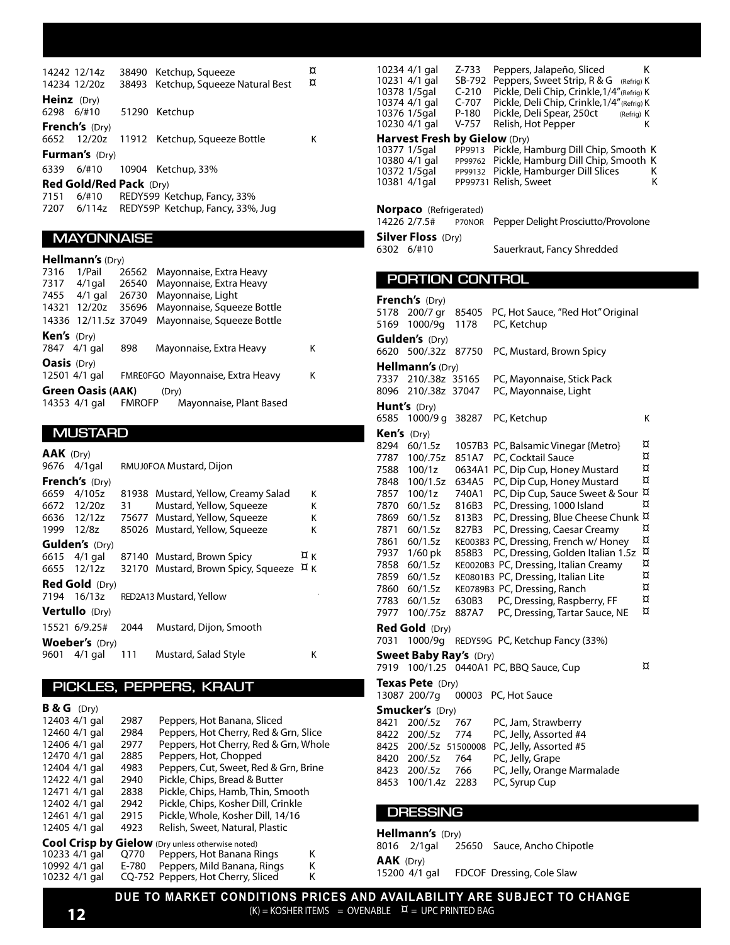|                    | 14242 12/14z<br>14234 12/20z | 38490 Ketchup, Squeeze<br>38493 Ketchup, Squeeze Natural Best | ¤<br>¤ |
|--------------------|------------------------------|---------------------------------------------------------------|--------|
| <b>Heinz</b> (Dry) | 6298 6/#10 51290 Ketchup     |                                                               |        |
|                    | <b>French's</b> $(Dry)$      | 6652 12/20z 11912 Ketchup, Squeeze Bottle                     | κ      |
|                    | <b>Furman's (Dry)</b>        |                                                               |        |
|                    |                              | 6339 6/#10 10904 Ketchup, 33%                                 |        |
|                    | Red Gold/Red Pack (Dry)      |                                                               |        |
|                    |                              | 7151 6/#10 REDY599 Ketchup, Fancy, 33%                        |        |

7207 6/114z REDY59P Ketchup, Fancy, 33%, Jug

### **MAYONNAISE**

#### **Hellmann's** (Dry)

| 7316                 | 1/Pail                   | 26562         | Mayonnaise, Extra Heavy          |   |
|----------------------|--------------------------|---------------|----------------------------------|---|
| 7317                 | $4/1$ gal                | 26540         | Mayonnaise, Extra Heavy          |   |
| 7455                 | $4/1$ gal                | 26730         | Mayonnaise, Light                |   |
| 14321                | 12/20z                   | 35696         | Mayonnaise, Squeeze Bottle       |   |
|                      | 14336 12/11.5z 37049     |               | Mayonnaise, Squeeze Bottle       |   |
| <b>Ken's</b> $(Dry)$ |                          |               |                                  |   |
|                      | 7847 4/1 gal             | 898           | Mayonnaise, Extra Heavy          | Κ |
| <b>Oasis</b> (Dry)   |                          |               |                                  |   |
|                      | 12501 4/1 gal            |               | FMRE0FGO Mayonnaise, Extra Heavy | Κ |
|                      | <b>Green Oasis (AAK)</b> |               | (Drv)                            |   |
|                      | 14353 4/1 gal            | <b>FMROFP</b> | Mayonnaise, Plant Based          |   |

#### **MUSTARD**

| <b>AAK</b> (Dry) |                       |       |                                |                  |   |
|------------------|-----------------------|-------|--------------------------------|------------------|---|
| 9676             | $4/1$ gal             |       | RMUJ0FOA Mustard, Dijon        |                  |   |
|                  | <b>French's</b> (Dry) |       |                                |                  |   |
| 6659             | 4/105z                | 81938 | Mustard, Yellow, Creamy Salad  |                  | Κ |
| 6672             | 12/20z                | 31    | Mustard, Yellow, Squeeze       |                  | ĸ |
|                  | 6636 12/12z           |       | 75677 Mustard, Yellow, Squeeze |                  | к |
| 1999             | 12/8z                 | 85026 | Mustard, Yellow, Squeeze       |                  | K |
|                  | <b>Gulden's</b> (Dry) |       |                                |                  |   |
|                  | 6615 4/1 gal          | 87140 | Mustard, Brown Spicy           | ¤κ               |   |
| 6655             | 12/12z                | 32170 | Mustard, Brown Spicy, Squeeze  | $\alpha_{\rm K}$ |   |
|                  | <b>Red Gold</b> (Dry) |       |                                |                  |   |
| 7194             | 16/13z                |       | RED2A13 Mustard, Yellow        |                  |   |
|                  | <b>Vertullo</b> (Dry) |       |                                |                  |   |
|                  | 15521 6/9.25#         | 2044  | Mustard, Dijon, Smooth         |                  |   |
|                  | <b>Woeber's</b> (Dry) |       |                                |                  |   |
| 9601             | $4/1$ gal             | 111   | Mustard, Salad Style           |                  | Κ |

### **PICKLES, PEPPERS, KRAUT**

| <b>B &amp; G</b> $(Dry)$ |       |                                                          |   |
|--------------------------|-------|----------------------------------------------------------|---|
| 12403 4/1 gal            | 2987  | Peppers, Hot Banana, Sliced                              |   |
| 12460 4/1 gal            | 2984  | Peppers, Hot Cherry, Red & Grn, Slice                    |   |
| 12406 4/1 gal            | 2977  | Peppers, Hot Cherry, Red & Grn, Whole                    |   |
| 12470 4/1 gal            | 2885  | Peppers, Hot, Chopped                                    |   |
| 12404 4/1 gal            | 4983  | Peppers, Cut, Sweet, Red & Grn, Brine                    |   |
| 12422 4/1 gal            | 2940  | Pickle, Chips, Bread & Butter                            |   |
| 12471 4/1 gal            | 2838  | Pickle, Chips, Hamb, Thin, Smooth                        |   |
| 12402 4/1 gal            | 2942  | Pickle, Chips, Kosher Dill, Crinkle                      |   |
| 12461 4/1 gal            | 2915  | Pickle, Whole, Kosher Dill, 14/16                        |   |
| 12405 4/1 gal            | 4923  | Relish, Sweet, Natural, Plastic                          |   |
|                          |       | <b>Cool Crisp by Gielow</b> (Dry unless otherwise noted) |   |
| 10233 4/1 gal            | 0770  | Peppers, Hot Banana Rings                                | κ |
| 10992 4/1 gal            | E-780 | Peppers, Mild Banana, Rings                              | κ |
| 10232 4/1 gal            |       | CQ-752 Peppers, Hot Cherry, Sliced                       | Κ |

| 10234 4/1 gal<br>10231 4/1 gal<br>10378 1/5gal<br>10374 4/1 gal<br>10376 1/5gal<br>10230 4/1 gal<br>Harvest Fresh by Gielow (Dry)<br>10377 1/5gal<br>10380 4/1 gal<br>10372 1/5gal | Z-733<br>Peppers, Jalapeño, Sliced<br>κ<br>Peppers, Sweet Strip, R & G (Refrig) K<br>SB-792<br>Pickle, Deli Chip, Crinkle, 1/4" (Refrig) K<br>C-210<br>Pickle, Deli Chip, Crinkle, 1/4" (Refrig) K<br>C-707<br>P-180<br>Pickle, Deli Spear, 250ct<br>(Refrig) K<br>$V-757$<br>Relish, Hot Pepper<br>Κ<br>Pickle, Hamburg Dill Chip, Smooth K<br>PP9913<br>Pickle, Hamburg Dill Chip, Smooth K<br>PP99762<br>Pickle, Hamburger Dill Slices<br>Κ<br>PP99132 |
|------------------------------------------------------------------------------------------------------------------------------------------------------------------------------------|-----------------------------------------------------------------------------------------------------------------------------------------------------------------------------------------------------------------------------------------------------------------------------------------------------------------------------------------------------------------------------------------------------------------------------------------------------------|
| 10381 4/1gal<br><b>Norpaco</b> (Refrigerated)                                                                                                                                      | PP99731 Relish, Sweet<br>Κ                                                                                                                                                                                                                                                                                                                                                                                                                                |
| 14226 2/7.5#<br><b>Silver Floss (Dry)</b>                                                                                                                                          | Pepper Delight Prosciutto/Provolone<br>P70NOR                                                                                                                                                                                                                                                                                                                                                                                                             |
| 6302 6/#10                                                                                                                                                                         | Sauerkraut, Fancy Shredded                                                                                                                                                                                                                                                                                                                                                                                                                                |
| PORTION CONTROL                                                                                                                                                                    |                                                                                                                                                                                                                                                                                                                                                                                                                                                           |
| <b>French's (Dry)</b>                                                                                                                                                              |                                                                                                                                                                                                                                                                                                                                                                                                                                                           |
| 5178<br>200/7 gr                                                                                                                                                                   | PC, Hot Sauce, "Red Hot" Original<br>85405                                                                                                                                                                                                                                                                                                                                                                                                                |
| 5169<br>1000/9q                                                                                                                                                                    | PC, Ketchup<br>1178                                                                                                                                                                                                                                                                                                                                                                                                                                       |
| <b>Gulden's</b> (Dry)<br>6620<br>500/.32z                                                                                                                                          | PC, Mustard, Brown Spicy<br>87750                                                                                                                                                                                                                                                                                                                                                                                                                         |
| <b>Hellmann's (Dry)</b>                                                                                                                                                            |                                                                                                                                                                                                                                                                                                                                                                                                                                                           |
| 7337<br>210/.38z 35165                                                                                                                                                             | PC, Mayonnaise, Stick Pack                                                                                                                                                                                                                                                                                                                                                                                                                                |
| 8096<br>210/.38z 37047                                                                                                                                                             | PC, Mayonnaise, Light                                                                                                                                                                                                                                                                                                                                                                                                                                     |
| Hunt's (Dry)                                                                                                                                                                       |                                                                                                                                                                                                                                                                                                                                                                                                                                                           |
| 6585<br>1000/9 g 38287                                                                                                                                                             | PC, Ketchup<br>Κ                                                                                                                                                                                                                                                                                                                                                                                                                                          |
| Ken's (Dry)<br>8294<br>60/1.5z                                                                                                                                                     | ¤<br>1057B3 PC, Balsamic Vinegar {Metro}                                                                                                                                                                                                                                                                                                                                                                                                                  |
| 7787<br>100/.75z                                                                                                                                                                   | ¤<br>851A7<br>PC, Cocktail Sauce                                                                                                                                                                                                                                                                                                                                                                                                                          |
| 7588<br>100/1z                                                                                                                                                                     | ¤<br>0634A1 PC, Dip Cup, Honey Mustard                                                                                                                                                                                                                                                                                                                                                                                                                    |
| 7848<br>100/1.5z                                                                                                                                                                   | ¤<br>PC, Dip Cup, Honey Mustard<br>634A5                                                                                                                                                                                                                                                                                                                                                                                                                  |
| 7857<br>100/1z                                                                                                                                                                     | PC, Dip Cup, Sauce Sweet & Sour $\overline{\mu}$<br>740A1                                                                                                                                                                                                                                                                                                                                                                                                 |
| 60/1.5z<br>7870                                                                                                                                                                    | ¤<br>PC, Dressing, 1000 Island<br>816B3                                                                                                                                                                                                                                                                                                                                                                                                                   |
| 7869<br>60/1.5z                                                                                                                                                                    | PC, Dressing, Blue Cheese Chunk ¤<br>813B3                                                                                                                                                                                                                                                                                                                                                                                                                |
| 7871<br>60/1.5z                                                                                                                                                                    | ¤<br>PC, Dressing, Caesar Creamy<br>827B3<br>¤                                                                                                                                                                                                                                                                                                                                                                                                            |
| 7861<br>60/1.5z                                                                                                                                                                    | KE003B3 PC, Dressing, French w/ Honey<br>¤                                                                                                                                                                                                                                                                                                                                                                                                                |
| 7937<br>$1/60$ pk<br>7858<br>60/1.5z                                                                                                                                               | PC, Dressing, Golden Italian 1.5z<br>858B3<br>¤<br>KE0020B3 PC, Dressing, Italian Creamy                                                                                                                                                                                                                                                                                                                                                                  |
| 7859<br>60/1.5z                                                                                                                                                                    | ¤<br>KE0801B3 PC, Dressing, Italian Lite                                                                                                                                                                                                                                                                                                                                                                                                                  |
| 60/1.5z<br>7860                                                                                                                                                                    | ¤<br>KE0789B3 PC, Dressing, Ranch                                                                                                                                                                                                                                                                                                                                                                                                                         |
| 7783<br>60/1.5z                                                                                                                                                                    | ¤<br>630B3 PC, Dressing, Raspberry, FF                                                                                                                                                                                                                                                                                                                                                                                                                    |
| 7977<br>100/.75z                                                                                                                                                                   | ¤<br>887A7 PC, Dressing, Tartar Sauce, NE                                                                                                                                                                                                                                                                                                                                                                                                                 |
| <b>Red Gold</b> (Dry)                                                                                                                                                              |                                                                                                                                                                                                                                                                                                                                                                                                                                                           |
| 7031<br>1000/9q                                                                                                                                                                    | REDY59G PC, Ketchup Fancy (33%)                                                                                                                                                                                                                                                                                                                                                                                                                           |
| <b>Sweet Baby Ray's (Dry)</b>                                                                                                                                                      | ¤<br>7919 100/1.25 0440A1 PC, BBQ Sauce, Cup                                                                                                                                                                                                                                                                                                                                                                                                              |
| <b>Texas Pete</b> (Dry)                                                                                                                                                            |                                                                                                                                                                                                                                                                                                                                                                                                                                                           |
| 13087 200/7g                                                                                                                                                                       | 00003 PC, Hot Sauce                                                                                                                                                                                                                                                                                                                                                                                                                                       |
| <b>Smucker's</b> (Dry)                                                                                                                                                             |                                                                                                                                                                                                                                                                                                                                                                                                                                                           |
| 8421<br>200/.5z                                                                                                                                                                    | 767<br>PC, Jam, Strawberry                                                                                                                                                                                                                                                                                                                                                                                                                                |
| 8422 200/.5z                                                                                                                                                                       | PC, Jelly, Assorted #4<br>774                                                                                                                                                                                                                                                                                                                                                                                                                             |
| 8425 200/.5z 51500008<br>8420 200/.5z                                                                                                                                              | PC, Jelly, Assorted #5<br>PC, Jelly, Grape<br>764                                                                                                                                                                                                                                                                                                                                                                                                         |
| 8423 200/.5z                                                                                                                                                                       | 766<br>PC, Jelly, Orange Marmalade                                                                                                                                                                                                                                                                                                                                                                                                                        |
| 8453 100/1.4z                                                                                                                                                                      | PC, Syrup Cup<br>2283                                                                                                                                                                                                                                                                                                                                                                                                                                     |
|                                                                                                                                                                                    |                                                                                                                                                                                                                                                                                                                                                                                                                                                           |
| <b>DRESSING</b>                                                                                                                                                                    |                                                                                                                                                                                                                                                                                                                                                                                                                                                           |
| Hellmann's (Dry)                                                                                                                                                                   |                                                                                                                                                                                                                                                                                                                                                                                                                                                           |
| $2/1$ gal<br>8016                                                                                                                                                                  | Sauce, Ancho Chipotle<br>25650                                                                                                                                                                                                                                                                                                                                                                                                                            |
| <b>AAK</b> (Dry)<br>15200 4/1 gal                                                                                                                                                  | FDCOF Dressing, Cole Slaw                                                                                                                                                                                                                                                                                                                                                                                                                                 |

**DUE TO MARKET CONDITIONS PRICES AND AVAILABILITY ARE SUBJECT TO CHANGE**  $(K) = KOSHER ITEMS = OVERABLE \times = UPCP RINTED BAG$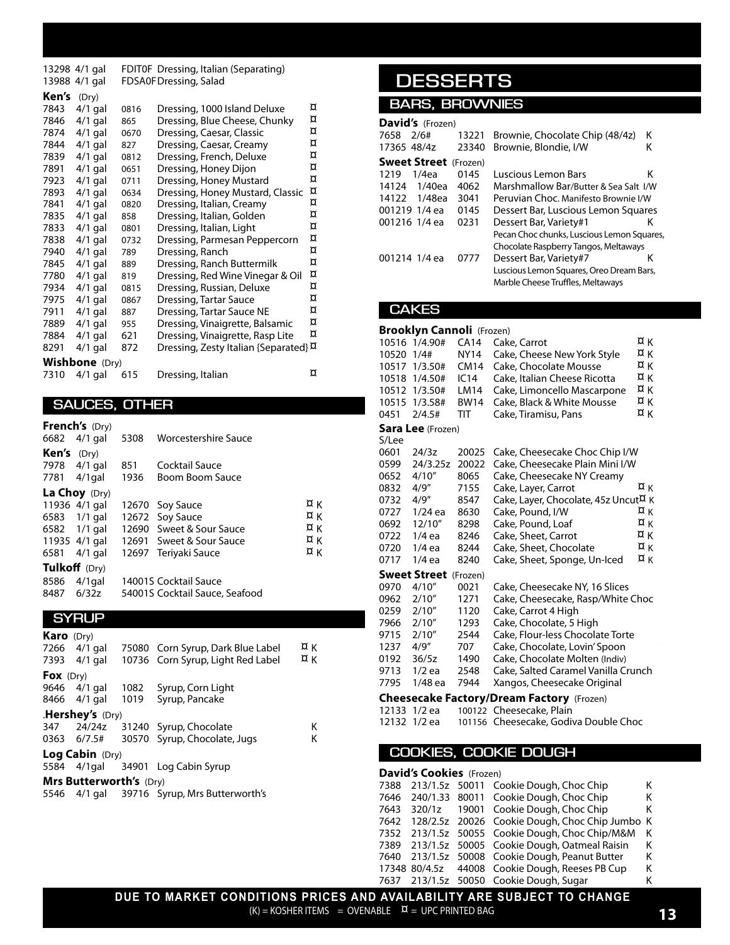13298 4/1 gal FDIT0F Dressing, Italian (Separating) 13988 4/1 gal FDSA0FDressing, Salad

| Ken's | (Dry)          |      |                                                  |   |
|-------|----------------|------|--------------------------------------------------|---|
| 7843  | $4/1$ gal      | 0816 | Dressing, 1000 Island Deluxe                     | ¤ |
| 7846  | $4/1$ gal      | 865  | Dressing, Blue Cheese, Chunky                    | ¤ |
| 7874  | $4/1$ gal      | 0670 | Dressing, Caesar, Classic                        | ¤ |
| 7844  | $4/1$ gal      | 827  | Dressing, Caesar, Creamy                         | ¤ |
| 7839  | $4/1$ gal      | 0812 | Dressing, French, Deluxe                         | ¤ |
| 7891  | $4/1$ gal      | 0651 | Dressing, Honey Dijon                            | ¤ |
| 7923  | $4/1$ gal      | 0711 | Dressing, Honey Mustard                          | ¤ |
| 7893  | $4/1$ gal      | 0634 | Dressing, Honey Mustard, Classic                 | ¤ |
| 7841  | $4/1$ gal      | 0820 | Dressing, Italian, Creamy                        | ¤ |
| 7835  | $4/1$ gal      | 858  | Dressing, Italian, Golden                        | ¤ |
| 7833  | $4/1$ gal      | 0801 | Dressing, Italian, Light                         | ¤ |
| 7838  | $4/1$ gal      | 0732 | Dressing, Parmesan Peppercorn                    | ¤ |
| 7940  | $4/1$ gal      | 789  | Dressing, Ranch                                  | ¤ |
| 7845  | $4/1$ gal      | 889  | Dressing, Ranch Buttermilk                       | ¤ |
| 7780  | $4/1$ gal      | 819  | Dressing, Red Wine Vinegar & Oil                 | ¤ |
| 7934  | $4/1$ gal      | 0815 | Dressing, Russian, Deluxe                        | ¤ |
| 7975  | $4/1$ gal      | 0867 | <b>Dressing, Tartar Sauce</b>                    | ¤ |
| 7911  | $4/1$ gal      | 887  | Dressing, Tartar Sauce NE                        | ¤ |
| 7889  | $4/1$ gal      | 955  | Dressing, Vinaigrette, Balsamic                  | ¤ |
| 7884  | $4/1$ gal      | 621  | Dressing, Vinaigrette, Rasp Lite                 | ¤ |
| 8291  | $4/1$ gal      | 872  | Dressing, Zesty Italian {Separated} <sup>¤</sup> |   |
|       | Wishbone (Dry) |      |                                                  |   |
| 7310  | $4/1$ gal      | 615  | Dressing, Italian                                | ¤ |

#### **SAUCES, OTHER**

|                      | <b>French's</b> (Dry)<br>6682 4/1 gal | 5308        | Worcestershire Sauce              |            |
|----------------------|---------------------------------------|-------------|-----------------------------------|------------|
| <b>Ken's</b> $(Dry)$ |                                       |             |                                   |            |
|                      | 7978 4/1 gal<br>7781 4/1 gal          | 851<br>1936 | Cocktail Sauce<br>Boom Boom Sauce |            |
|                      | La Choy (Dry)                         |             |                                   |            |
|                      | 11936 4/1 gal                         |             | 12670 Soy Sauce                   | ¤κ         |
| 6583                 | 1/1 gal                               |             | 12672 Soy Sauce                   | ¤κ         |
|                      | 6582 1/1 gal                          |             | 12690 Sweet & Sour Sauce          | ¤κ         |
|                      | 11935 4/1 gal                         |             | 12691 Sweet & Sour Sauce          | ¤κ         |
| 6581                 | $4/1$ gal                             |             | 12697 Teriyaki Sauce              | $\alpha$ K |
|                      | Tulkoff (Dry)                         |             |                                   |            |
| 8586                 | $4/1$ gal                             |             | 14001S Cocktail Sauce             |            |
| 8487                 | 6/32z                                 |             | 54001S Cocktail Sauce, Seafood    |            |

#### **SYRUP**

| <b>Karo</b> (Dry) |                                |      |                                    |            |  |
|-------------------|--------------------------------|------|------------------------------------|------------|--|
|                   | 7266 4/1 gal                   |      | 75080 Corn Syrup, Dark Blue Label  | ¤κ         |  |
|                   | 7393 4/1 gal                   |      | 10736 Corn Syrup, Light Red Label  | $\alpha$ K |  |
| Fox $(Dry)$       |                                |      |                                    |            |  |
|                   | 9646 4/1 gal                   | 1082 | Syrup, Corn Light                  |            |  |
|                   | 8466 4/1 gal                   | 1019 | Syrup, Pancake                     |            |  |
|                   | <b>.Hershey's</b> $(Dry)$      |      |                                    |            |  |
| 347               | 24/24z                         |      | 31240 Syrup, Chocolate             | Κ          |  |
|                   | 0363 6/7.5#                    |      | 30570 Syrup, Chocolate, Jugs       | Κ          |  |
|                   | <b>Log Cabin</b> $(Dry)$       |      |                                    |            |  |
|                   |                                |      | 5584 4/1 gal 34901 Log Cabin Syrup |            |  |
|                   | <b>Mrs Butterworth's (Dry)</b> |      |                                    |            |  |
|                   |                                |      |                                    |            |  |

5546 4/1 gal 39716 Syrup, Mrs Butterworth's

### **DESSERTS**

#### **BARS, BROWNIES**

| <b>David's</b> (Frozen)      |       |                                            |   |
|------------------------------|-------|--------------------------------------------|---|
| 7658 2/6#                    | 13221 | Brownie, Chocolate Chip (48/4z)            | κ |
| 17365 48/4z                  | 23340 | Brownie, Blondie, I/W                      | κ |
| <b>Sweet Street</b> (Frozen) |       |                                            |   |
| 1219<br>1/4ea                | 0145  | Luscious Lemon Bars                        | Κ |
| 14124<br>1/40ea              | 4062  | Marshmallow Bar/Butter & Sea Salt I/W      |   |
| 14122<br>1/48ea              | 3041  | Peruvian Choc. Manifesto Brownie I/W       |   |
| 001219 1/4 ea                | 0145  | Dessert Bar, Luscious Lemon Squares        |   |
| 001216 1/4 ea                | 0231  | Dessert Bar, Variety#1                     | κ |
|                              |       | Pecan Choc chunks, Luscious Lemon Squares, |   |
|                              |       | Chocolate Raspberry Tangos, Meltaways      |   |
| 001214 1/4 ea                | 0777  | Dessert Bar, Variety#7                     | κ |
|                              |       | Luscious Lemon Squares, Oreo Dream Bars,   |   |
|                              |       | Marble Cheese Truffles, Meltaways          |   |
|                              |       |                                            |   |

#### **CAKES**

|                       | <b>Brooklyn Cannoli</b> (Frozen) |             |                                                  |              |  |  |
|-----------------------|----------------------------------|-------------|--------------------------------------------------|--------------|--|--|
|                       | 10516 1/4.90#                    | <b>CA14</b> | Cake, Carrot                                     | ¤κ           |  |  |
| 10520                 | 1/4#                             | <b>NY14</b> | Cake, Cheese New York Style                      | ¤κ           |  |  |
|                       | 10517 1/3.50#                    | <b>CM14</b> | Cake, Chocolate Mousse                           | ¤κ           |  |  |
|                       | 10518 1/4.50#                    | IC14        | Cake, Italian Cheese Ricotta                     | ¤κ           |  |  |
|                       | 10512 1/3.50#                    | LM14        | Cake, Limoncello Mascarpone                      | ¤κ           |  |  |
|                       | 10515 1/3.58#                    | <b>BW14</b> | Cake, Black & White Mousse                       | ¤κ           |  |  |
| 0451                  | 2/4.5#                           | TIT         | Cake, Tiramisu, Pans                             | ¤κ           |  |  |
|                       | <b>Sara Lee</b> (Frozen)         |             |                                                  |              |  |  |
| S/Lee                 |                                  |             |                                                  |              |  |  |
| 0601                  | 24/3z                            | 20025       | Cake, Cheesecake Choc Chip I/W                   |              |  |  |
| 0599                  | 24/3.25z                         | 20022       | Cake, Cheesecake Plain Mini I/W                  |              |  |  |
| 0652                  | 4/10''                           | 8065        | Cake, Cheesecake NY Creamy                       |              |  |  |
| 0832                  | 4/9''                            | 7155        | Cake, Layer, Carrot                              | $\alpha$ K   |  |  |
| 0732                  | 4/9''                            | 8547        | Cake, Layer, Chocolate, 45z Uncut <sup>X</sup> K |              |  |  |
| 0727                  | $1/24$ ea                        | 8630        | Cake, Pound, I/W                                 | ¤κ           |  |  |
| 0692                  | 12/10"                           | 8298        | Cake, Pound, Loaf                                | $\alpha_{K}$ |  |  |
| 0722                  | $1/4$ ea                         | 8246        | Cake, Sheet, Carrot                              | ¤κ           |  |  |
| 0720                  | $1/4$ ea                         | 8244        | Cake, Sheet, Chocolate                           | ¤κ           |  |  |
| 0717                  | $1/4$ ea                         | 8240        | Cake, Sheet, Sponge, Un-Iced                     | ¤κ           |  |  |
|                       | <b>Sweet Street</b> (Frozen)     |             |                                                  |              |  |  |
| 0970                  | 4/10''                           | 0021        | Cake, Cheesecake NY, 16 Slices                   |              |  |  |
| 0962                  | 2/10"                            | 1271        | Cake, Cheesecake, Rasp/White Choc                |              |  |  |
| 0259                  | 2/10''                           | 1120        | Cake, Carrot 4 High                              |              |  |  |
| 7966                  | 2/10''                           | 1293        | Cake, Chocolate, 5 High                          |              |  |  |
| 9715                  | 2/10''                           | 2544        | Cake, Flour-less Chocolate Torte                 |              |  |  |
| 1237                  | 4/9''                            | 707         | Cake, Chocolate, Lovin' Spoon                    |              |  |  |
| 0192                  | 36/5z                            | 1490        | Cake, Chocolate Molten (Indiv)                   |              |  |  |
| 9713                  | $1/2$ ea                         | 2548        | Cake, Salted Caramel Vanilla Crunch              |              |  |  |
| 7795                  | 1/48 ea                          | 7944        | Xangos, Cheesecake Original                      |              |  |  |
|                       |                                  |             | <b>Cheesecake Factory/Dream Factory</b> (Frozen) |              |  |  |
|                       | 12133 1/2 ea                     |             | 100122 Cheesecake, Plain                         |              |  |  |
|                       | 12132 1/2 ea                     |             | 101156 Cheesecake, Godiva Double Choc            |              |  |  |
|                       |                                  |             |                                                  |              |  |  |
| COOKIES, COOKIE DOUGH |                                  |             |                                                  |              |  |  |
|                       | David's Cookies (Frozen)         |             |                                                  |              |  |  |
| 7388                  | 213/1.5z                         | 50011       | Cookie Dough, Choc Chip                          | Κ            |  |  |
| 7646                  | 240/1.33                         | 80011       | Cookie Dough, Choc Chip                          | Κ            |  |  |
| 7643                  | 320/1z                           | 19001       | Cookie Dough, Choc Chip                          | Κ            |  |  |
| 7642                  | 128/2.5z                         | 20026       | Cookie Dough, Choc Chip Jumbo                    | K            |  |  |

|                                                                        |  | 7352 213/1.5z 50055 Cookie Dough, Choc Chip/M&M K  |   |
|------------------------------------------------------------------------|--|----------------------------------------------------|---|
|                                                                        |  | 7389 213/1.5z 50005 Cookie Dough, Oatmeal Raisin K |   |
|                                                                        |  | 7640 213/1.5z 50008 Cookie Dough, Peanut Butter K  |   |
|                                                                        |  | 17348 80/4.5z 44008 Cookie Dough, Reeses PB Cup    | K |
|                                                                        |  | 7637 213/1.5z 50050 Cookie Dough, Sugar            |   |
| DUE TO MARKET CONDITIONS PRICES AND AVAILABILITY ARE SUBJECT TO CHANGE |  |                                                    |   |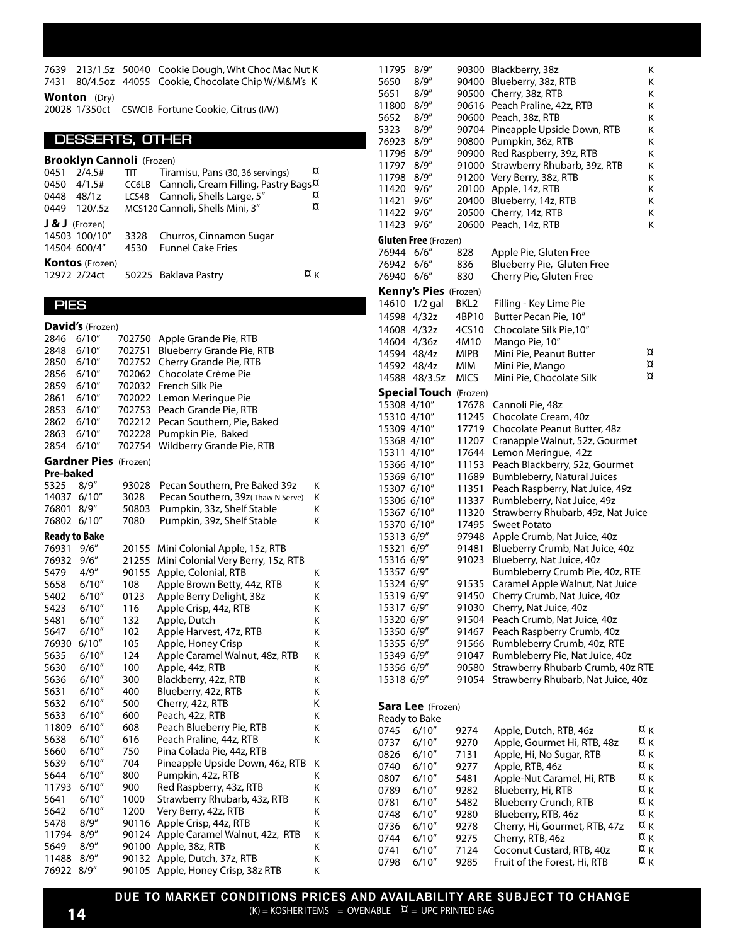7639 213/1.5z 50040 Cookie Dough, Wht Choc Mac Nut K 7431 80/4.5oz 44055 Cookie, Chocolate Chip W/M&M's K **Wonton** (Dry)

20028 1/350ct CSWCIB Fortune Cookie, Citrus (I/W)

#### **DESSERTS, OTHER**

|      | <b>Brooklyn Cannoli (Frozen)</b> |            |                                                        |    |  |  |  |
|------|----------------------------------|------------|--------------------------------------------------------|----|--|--|--|
| 0451 | 2/4.5#                           | <b>TIT</b> | Tiramisu, Pans (30, 36 servings)                       | ¤  |  |  |  |
| 0450 | 4/1.5#                           |            | CC6LB Cannoli, Cream Filling, Pastry Bags <sup>X</sup> |    |  |  |  |
|      | 0448 48/1z                       |            | LCS48 Cannoli, Shells Large, 5"                        | ¤  |  |  |  |
| 0449 | 120/5z                           |            | MCS120 Cannoli, Shells Mini, 3"                        | ¤  |  |  |  |
|      | $J & J$ (Frozen)                 |            |                                                        |    |  |  |  |
|      | 14503 100/10"                    | 3328       | Churros, Cinnamon Sugar                                |    |  |  |  |
|      | 14504 600/4"                     | 4530       | <b>Funnel Cake Fries</b>                               |    |  |  |  |
|      | <b>Kontos</b> (Frozen)           |            |                                                        |    |  |  |  |
|      | 12972 2/24ct                     |            | 50225 Baklava Pastry                                   | ¤κ |  |  |  |

#### **PIES**

**David's** (Frozen) 2846 6/10" 702750 Apple Grande Pie, RTB 2848 6/10" 702751 Blueberry Grande Pie, RTB 2850 6/10" 702752 Cherry Grande Pie, RTB 2856 6/10" 702062 Chocolate Crème Pie 2859 6/10" 702032 French Silk Pie 2861 6/10" 702022 Lemon Meringue Pie 2853 6/10" 702753 Peach Grande Pie, RTB 2862 6/10" 702212 Pecan Southern, Pie, Baked 2863 6/10" 702228 Pumpkin Pie, Baked 2854 6/10" 702754 Wildberry Grande Pie, RTB **Gardner Pies** (Frozen) **Pre-baked** 5325 8/9" 93028 Pecan Southern, Pre Baked 39z K 14037 6/10" 3028 Pecan Southern, 39z(Thaw N Serve) K 76801 8/9" 50803 Pumpkin, 33z, Shelf Stable K 76802 6/10" 7080 Pumpkin, 39z, Shelf Stable K **Ready to Bake** 76931 9/6" 20155 Mini Colonial Apple, 15z, RTB 76932 9/6" 21255 Mini Colonial Very Berry, 15z, RTB 5479 4/9" 90155 Apple, Colonial, RTB K 47.35cs 5658 6/10" 108 Apple Brown Betty, 44z, RTB K 5402 6/10" 0123 Apple Berry Delight, 38z K 5423 6/10" 116 Apple Crisp, 44z, RTB K 5481 6/10" 132 Apple, Dutch K 5647 6/10" 102 Apple Harvest, 47z, RTB K 76930 6/10" 105 Apple, Honey Crisp K 5635 6/10" 124 Apple Caramel Walnut, 48z, RTB K 5630 6/10" 100 Apple, 44z, RTB 39.15 K 5636 6/10" 300 Blackberry, 42z, RTB K 5631 6/10" 400 Blueberry, 42z, RTB K 5632 6/10" 500 Cherry, 42z, RTB K 5633 6/10" 600 Peach, 42z, RTB K 11809 6/10" 608 Peach Blueberry Pie, RTB K 5638 6/10" 616 Peach Praline, 44z, RTB K 5660 6/10" 750 Pina Colada Pie, 44z, RTB 5639 6/10" 704 Pineapple Upside Down, 46z, RTB K 5644 6/10" 800 Pumpkin, 42z, RTB K 11793 6/10" 900 Red Raspberry, 43z, RTB K 5641 6/10" 1000 Strawberry Rhubarb, 43z, RTB K 5642 6/10" 1200 Very Berry, 42z, RTB K 5478 8/9" 90116 Apple Crisp, 44z, RTB K 11794 8/9" 90124 Apple Caramel Walnut, 42z, RTB K 5649 8/9" 90100 Apple, 38z, RTB K 11488 8/9" 90132 Apple, Dutch, 37z, RTB K 76922 8/9" 90105 Apple, Honey Crisp, 38z RTB K

11795 8/9" 90300 Blackberry, 38z 5650 8/9" 90400 Blueberry, 38z, RTB K 5651 8/9" 90500 Cherry, 38z, RTB<br>11800 8/9" 90616 Peach Praline, 42z, RTB K K 11800 8/9" 90616 Peach Praline, 42z, RTB K 56.90cs 5652 8/9" 90600 Peach, 38z, RTB K 5323 8/9" 90704 Pineapple Upside Down, RTB K 76923 8/9" 90800 Pumpkin, 36z, RTB K 11796 8/9" 90900 Red Raspberry, 39z, RTB K 11797 8/9" 91000 Strawberry Rhubarb, 39z, RTB K<br>11798 8/9" 91200 Verv Berry. 38z. RTB K 91200 Very Berry, 38z, RTB K 11420 9/6" 20100 Apple, 14z, RTB K 11421 9/6" 20400 Blueberry, 14z, RTB K 11422 9/6" 20500 Cherry, 14z, RTB 36.256.26 11423 9/6" 20600 Peach, 14z, RTB K **Gluten Free** (Frozen) 76944 6/6" 828 Apple Pie, Gluten Free 76942 6/6" 836 Blueberry Pie, Gluten Free 76940 6/6" 830 Cherry Pie, Gluten Free **Kenny's Pies** (Frozen) BKL2 Filling - Key Lime Pie 14598 4/32z 4BP10 Butter Pecan Pie, 10" 14608 4/32z 4CS10 Chocolate Silk Pie, 10"<br>14604 4/36z 4M10 Mango Pie, 10" 14604 4/36z 4M10 Mango Pie, 10"<br>14594 48/4z MIPB Mini Pie, Peanut Butter X 14594 48/4z MIPB Mini Pie, Peanut Butter  $\overline{\alpha}$ <br>14592 48/4z MIM Mini Pie, Mango  $\overline{\alpha}$ 14592 48/4z MIM Mini Pie, Mango ¤ 82.05cs 14588 48/3.5z MICS Mini Pie, Chocolate Silk **Special Touch** (Frozen) 15308 4/10" 17678 Cannoli Pie, 48z 15310 4/10" 11245 Chocolate Cream, 40z 15309 4/10" 17719 Chocolate Peanut Butter, 48z 15368 4/10" 11207 Cranapple Walnut, 52z, Gourmet 15311 4/10" 17644 Lemon Meringue, 42z 15366 4/10" 11153 Peach Blackberry, 52z, Gourmet 15369 6/10" 11689 Bumbleberry, Natural Juices 15307 6/10" 11351 Peach Raspberry, Nat Juice, 49z 15306 6/10" 11337 Rumbleberry, Nat Juice, 49z 15367 6/10" 11320 Strawberry Rhubarb, 49z, Nat Juice 15370 6/10" 17495 Sweet Potato 15313 6/9" 97948 Apple Crumb, Nat Juice, 40z 15321 6/9" 91481 Blueberry Crumb, Nat Juice, 40z 15316 6/9" 91023 Blueberry, Nat Juice, 40z 15357 6/9" Bumbleberry Crumb Pie, 40z, RTE 15324 6/9" 91535 Caramel Apple Walnut, Nat Juice<br>15319 6/9" 91450 Cherry Crumb, Nat Juice, 40z 91450 Cherry Crumb, Nat Juice, 40z 15317 6/9" 91030 Cherry, Nat Juice, 40z 15320 6/9" 91504 Peach Crumb, Nat Juice, 40z 15350 6/9" 91467 Peach Raspberry Crumb, 40z 15355 6/9" 91566 Rumbleberry Crumb, 40z, RTE 15349 6/9" 91047 Rumbleberry Pie, Nat Juice, 40z 15356 6/9" 90580 Strawberry Rhubarb Crumb, 40z RTE 15318 6/9" 91054 Strawberry Rhubarb, Nat Juice, 40z **Sara Lee** (Frozen) Ready to Bake 0745 6/10" 9274 Apple, Dutch, RTB, 46z  $X_K$  0737 6/10" 9270 Apple, Gourmet Hi, RTB, 48z  $X_K$ 0737 6/10" 9270 Apple, Gourmet Hi, RTB, 48z  $\frac{\alpha}{4}$  K<br>0826 6/10" 7131 Apple, Hi, No Sugar, RTB  $\frac{\alpha}{4}$  K 0826 6/10" 7131 Apple, Hi, No Sugar, RTB ¤ K \*52.30cs 0740  $6/10''$  9277 Apple, RTB, 46z  $\overline{X}_{K}$  0807  $6/10''$  5481 Apple-Nut Caramel, Hi, RTB  $\overline{X}_{K}$ 0807 6/10" 5481 Apple-Nut Caramel, Hi, RTB  $\frac{X}{A}$  K  $\frac{X}{A}$  K 0789 6/10" 9282 Blueberry, Hi, RTB ¤ K \*65.65cs 0781  $6/10''$  5482 Blueberry Crunch, RTB  $\frac{X}{5}$  K<br>0748  $6/10''$  9280 Blueberry RTB, 46z  $\frac{X}{5}$  K 0748  $6/10''$  9280 Blueberry, RTB, 46z  $\overline{X}$  K<br>0736  $6/10''$  9278 Cherry. Hi. Gourmet. RTB. 47z  $\overline{X}$  K 0736 6/10" 9278 Cherry, Hi, Gourmet, RTB, 47z  $\overline{X}$  K<br>0744 6/10" 9275 Cherry, RTB, 46z  $\overline{X}$  K Cherry, RTB, 46z 0741  $6/10''$  7124 Coconut Custard, RTB, 40z  $\overline{X}$  K  $\overline{X}$   $\overline{Y}$  K  $\overline{Y}$ 0798 6/10" 9285 Fruit of the Forest, Hi, RTB

**DUE TO MARKET CONDITIONS PRICES AND AVAILABILITY ARE SUBJECT TO CHANGE**  $(K) = KOSHER ITEMS = OVERABLE \quad \alpha = UPC PRINTED BAG$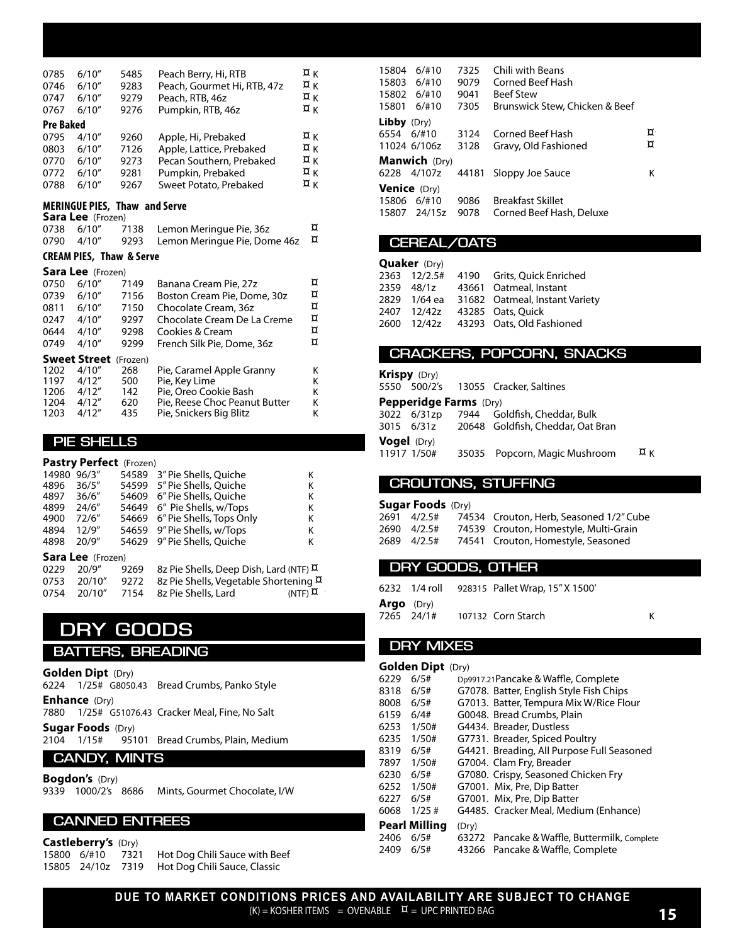| 0785<br>0746<br>0747<br>0767<br><b>Pre Baked</b> | 6/10''<br>6/10''<br>6/10"<br>6/10''                                                  | 5485<br>9283<br>9279<br>9276                 | Peach Berry, Hi, RTB<br>Peach, Gourmet Hi, RTB, 47z<br>Peach, RTB, 46z<br>Pumpkin, RTB, 46z                                                                  | ¤κ<br>¤κ<br>¤κ<br>¤κ       |
|--------------------------------------------------|--------------------------------------------------------------------------------------|----------------------------------------------|--------------------------------------------------------------------------------------------------------------------------------------------------------------|----------------------------|
| 0795<br>0803<br>0770<br>0772<br>0788             | 4/10''<br>6/10''<br>6/10''<br>6/10''<br>6/10''                                       | 9260<br>7126<br>9273<br>9281<br>9267         | Apple, Hi, Prebaked<br>Apple, Lattice, Prebaked<br>Pecan Southern, Prebaked<br>Pumpkin, Prebaked<br>Sweet Potato, Prebaked                                   | ¤κ<br>¤κ<br>¤κ<br>¤κ<br>¤κ |
| 0738<br>0790                                     | <b>MERINGUE PIES, Thaw and Serve</b><br><b>Sara Lee</b> (Frozen)<br>6/10''<br>4/10'' | 7138<br>9293                                 | Lemon Meringue Pie, 36z<br>Lemon Meringue Pie, Dome 46z                                                                                                      | ¤<br>¤                     |
|                                                  | <b>CREAM PIES, Thaw &amp; Serve</b>                                                  |                                              |                                                                                                                                                              |                            |
| 0750<br>0739<br>0811<br>0247<br>0644<br>0749     | <b>Sara Lee</b> (Frozen)<br>6/10''<br>6/10''<br>6/10''<br>4/10''<br>4/10''<br>4/10'' | 7149<br>7156<br>7150<br>9297<br>9298<br>9299 | Banana Cream Pie, 27z<br>Boston Cream Pie, Dome, 30z<br>Chocolate Cream, 36z<br>Chocolate Cream De La Creme<br>Cookies & Cream<br>French Silk Pie, Dome, 36z | ¤<br>¤<br>¤<br>¤<br>¤<br>¤ |
| 1202<br>1197<br>1206<br>1204<br>1203             | Sweet Street<br>4/10''<br>4/12"<br>4/12"<br>4/12''<br>4/12"                          | (Frozen)<br>268<br>500<br>142<br>620<br>435  | Pie, Caramel Apple Granny<br>Pie, Key Lime<br>Pie. Oreo Cookie Bash<br>Pie, Reese Choc Peanut Butter<br>Pie, Snickers Big Blitz                              | Κ<br>K<br>K<br>K<br>K      |

#### **PIE SHELLS**

|       | <b>Pastry Perfect</b> (Frozen) |       |                                        |                  |  |  |
|-------|--------------------------------|-------|----------------------------------------|------------------|--|--|
| 14980 | 96/3''                         | 54589 | 3" Pie Shells, Quiche                  | κ                |  |  |
| 4896  | 36/5"                          | 54599 | 5" Pie Shells, Ouiche                  | κ                |  |  |
| 4897  | 36/6"                          |       | 54609 6" Pie Shells, Ouiche            | Κ                |  |  |
| 4899  | 24/6"                          |       | 54649 6" Pie Shells, w/Tops            | κ                |  |  |
| 4900  | 72/6"                          | 54669 | 6" Pie Shells, Tops Only               | κ                |  |  |
| 4894  | 12/9''                         | 54659 | 9" Pie Shells, w/Tops                  | Κ                |  |  |
| 4898  | 20/9"                          | 54629 | 9" Pie Shells, Ouiche                  | κ                |  |  |
|       | <b>Sara Lee</b> (Frozen)       |       |                                        |                  |  |  |
| 0229  | 20/9"                          | 9269  | 8z Pie Shells, Deep Dish, Lard (NTF) X |                  |  |  |
| 0753  | 20/10"                         | 9272  | 8z Pie Shells, Vegetable Shortening ¤  |                  |  |  |
| 0754  | 20/10"                         | 7154  | 8z Pie Shells, Lard                    | $(NTF)$ $\alpha$ |  |  |

### **DRY GOODS**

#### **BATTERS, BREADING**

**Golden Dipt** (Dry) 6224 1/25# G8050.43 Bread Crumbs, Panko Style **Enhance** (Dry) 7880 1/25# G51076.43 Cracker Meal, Fine, No Salt **Sugar Foods** (Dry)<br>2104 1/15# 951 95101 Bread Crumbs, Plain, Medium **CANDY, MINTS**

**Bogdon's** (Dry) 9339 1000/2's 8686 Mints, Gourmet Chocolate, I/W

#### **CANNED ENTREES**

**Castleberry's** (Dry)<br>15800 6/#10 7321 15800 6/#10 7321 Hot Dog Chili Sauce with Beef<br>15805 24/10z 7319 Hot Dog Chili Sauce, Classic Hot Dog Chili Sauce, Classic

| 15804<br>15803<br>15802<br>15801 | 6/110<br>6/110<br>6/110<br>6/110 | 7325<br>9079<br>9041<br>7305 | Chili with Beans<br>Corned Beef Hash<br><b>Beef Stew</b><br>Brunswick Stew, Chicken & Beef |   |
|----------------------------------|----------------------------------|------------------------------|--------------------------------------------------------------------------------------------|---|
| <b>Libby</b> $(Dry)$             |                                  |                              |                                                                                            |   |
| 6554                             | $6/$ #10                         | 3124                         | Corned Beef Hash                                                                           | ¤ |
|                                  | 11024 6/106z                     | 3128                         | Gravy, Old Fashioned                                                                       | ¤ |
|                                  | <b>Manwich</b> (Dry)             |                              |                                                                                            |   |
| 6228 4/107z                      |                                  | 44181                        | Sloppy Joe Sauce                                                                           | Κ |
| <b>Venice</b> (Dry)              |                                  |                              |                                                                                            |   |
| 15806                            | 6/110                            | 9086                         | <b>Breakfast Skillet</b>                                                                   |   |
| 15807                            | 24/15z                           | 9078                         | Corned Beef Hash, Deluxe                                                                   |   |

#### **CEREAL/OATS**

| <b>Quaker</b> (Dry) |  |  |                                             |  |  |
|---------------------|--|--|---------------------------------------------|--|--|
|                     |  |  | 2363 12/2.5# 4190 Grits, Quick Enriched     |  |  |
|                     |  |  | 2359 48/1z 43661 Oatmeal, Instant           |  |  |
|                     |  |  | 2829 1/64 ea 31682 Oatmeal, Instant Variety |  |  |
|                     |  |  | 2407 12/42z 43285 Oats, Ouick               |  |  |
|                     |  |  | 2600 12/42z 43293 Oats, Old Fashioned       |  |  |
|                     |  |  |                                             |  |  |

#### **CRACKERS, POPCORN, SNACKS**

| <b>Krispy</b> (Dry) |                               |                                              |              |
|---------------------|-------------------------------|----------------------------------------------|--------------|
|                     |                               | 5550 500/2's 13055 Cracker, Saltines         |              |
|                     | <b>Pepperidge Farms</b> (Dry) |                                              |              |
|                     |                               | 3022 6/31zp 7944 Goldfish, Cheddar, Bulk     |              |
|                     |                               | 3015 6/31z 20648 Goldfish, Cheddar, Oat Bran |              |
| <b>Vogel</b> (Dry)  |                               |                                              |              |
| 11917 1/50#         |                               | 35035 Popcorn, Magic Mushroom                | $\alpha_{K}$ |

#### **CROUTONS, STUFFING**

|  | <b>Sugar Foods</b> (Dry) |                                         |
|--|--------------------------|-----------------------------------------|
|  | 2691 4/2.5#              | 74534 Crouton. Herb. Seasoned 1/2" Cube |
|  | 2690 4/2.5#              | 74539 Crouton, Homestyle, Multi-Grain   |
|  | 2689 4/2.5#              | 74541 Crouton, Homestyle, Seasoned      |

#### **DRY GOODS, OTHER**

|                   |            | 6232 1/4 roll 928315 Pallet Wrap, 15" X 1500' |  |
|-------------------|------------|-----------------------------------------------|--|
| <b>Argo</b> (Dry) |            |                                               |  |
|                   | 7265 24/1# | 107132 Corn Starch                            |  |

#### **DRY MIXES**

#### **Golden Dipt** (Dry)

| 6229 | 6/5#          | D <sub>p9917</sub> .21Pancake & Waffle, Complete |
|------|---------------|--------------------------------------------------|
| 8318 | 6/5#          | G7078. Batter, English Style Fish Chips          |
| 8008 | 6/5#          | G7013. Batter, Tempura Mix W/Rice Flour          |
| 6159 | 6/4#          | G0048. Bread Crumbs, Plain                       |
| 6253 | 1/50#         | G4434. Breader, Dustless                         |
| 6235 | 1/50#         | G7731. Breader, Spiced Poultry                   |
| 8319 | 6/5#          | G4421. Breading, All Purpose Full Seasoned       |
| 7897 | 1/50#         | G7004. Clam Fry, Breader                         |
| 6230 | 6/5#          | G7080. Crispy, Seasoned Chicken Fry              |
| 6252 | 1/50#         | G7001. Mix, Pre, Dip Batter                      |
| 6227 | 6/5#          | G7001. Mix, Pre, Dip Batter                      |
| 6068 | 1/25#         | G4485. Cracker Meal, Medium (Enhance)            |
|      | Pearl Milling | (Dry)                                            |
| 2406 | 6/5#          | 63272 Pancake & Waffle, Buttermilk, Complete     |
| 2409 | 6/5#          | 43266 Pancake & Waffle, Complete                 |
|      |               |                                                  |

**DUE TO MARKET CONDITIONS PRICES AND AVAILABILITY ARE SUBJECT TO CHANGE**  $(K)$  = KOSHER ITEMS = OVENABLE  $\alpha$  = UPC PRINTED BAG **15**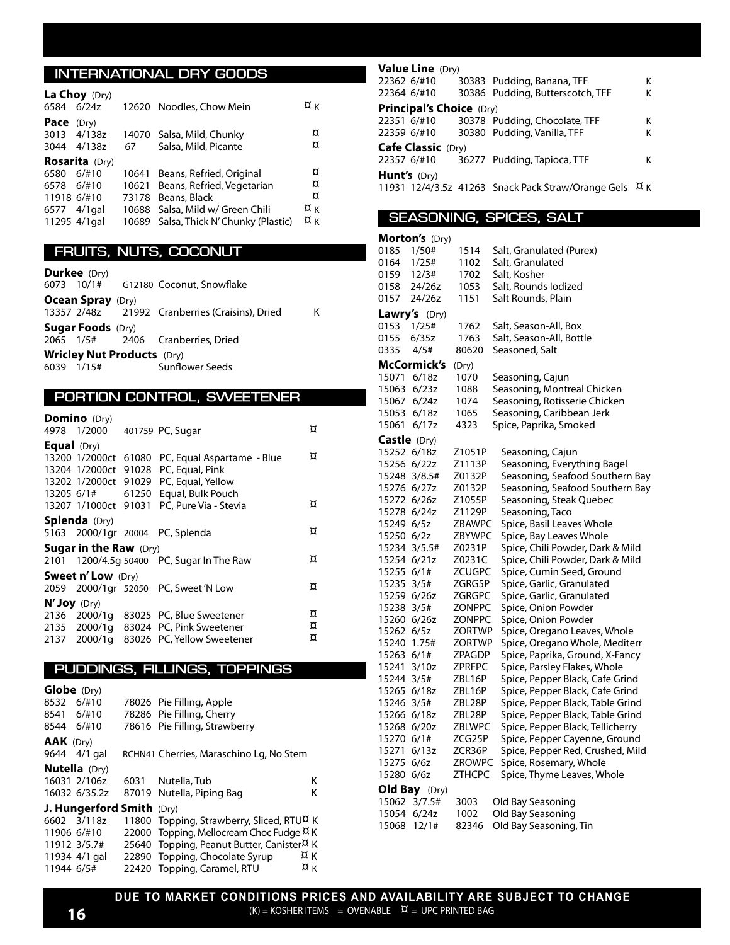#### **INTERNATIONAL DRY GOODS**

| 6584                              | La Choy (Dry)<br>6/24z                                         |       | 12620 Noodles, Chow Mein                                                                                                                                        | $\alpha_{K}$            |
|-----------------------------------|----------------------------------------------------------------|-------|-----------------------------------------------------------------------------------------------------------------------------------------------------------------|-------------------------|
| Pace                              | (Dry)<br>3013 4/138z<br>3044 4/138z                            | 67    | 14070 Salsa, Mild, Chunky<br>Salsa, Mild, Picante                                                                                                               | ¤<br>¤                  |
| 6580<br>6578 6/#10<br>11918 6/#10 | <b>Rosarita</b> (Dry)<br>6/110<br>6577 4/1 gal<br>11295 4/1gal | 73178 | 10641 Beans, Refried, Original<br>10621 Beans, Refried, Vegetarian<br>Beans, Black<br>10688 Salsa, Mild w/ Green Chili<br>10689 Salsa, Thick N'Chunky (Plastic) | ¤<br>¤<br>¤<br>¤κ<br>¤κ |

#### **FRUITS, NUTS, COCONUT**

**Durkee** (Dry)<br>6073 10/1#

|                                   | _ _ _ _ _ _ _ _ _ _      |  |                                                 |   |
|-----------------------------------|--------------------------|--|-------------------------------------------------|---|
|                                   |                          |  | 6073 10/1# G12180 Coconut, Snowflake            |   |
|                                   | <b>Ocean Spray</b> (Dry) |  |                                                 |   |
|                                   |                          |  | 13357 2/48z 21992 Cranberries (Craisins), Dried | к |
|                                   | <b>Sugar Foods</b> (Dry) |  |                                                 |   |
|                                   |                          |  | 2065 1/5# 2406 Cranberries, Dried               |   |
| <b>Wricley Nut Products</b> (Dry) |                          |  |                                                 |   |
|                                   | 6039 1/15#               |  | Sunflower Seeds                                 |   |
|                                   |                          |  |                                                 |   |

#### **PORTION CONTROL, SWEETENER**

**Domino** (Dry)

|                      | 4978 1/2000 401759 PC, Sugar  |                                                                                                                                   | ¤           |
|----------------------|-------------------------------|-----------------------------------------------------------------------------------------------------------------------------------|-------------|
| <b>Equal</b> $(Dry)$ |                               | 13200 1/2000ct 61080 PC, Equal Aspartame - Blue<br>13204 1/2000ct 91028 PC, Equal, Pink<br>13202 1/2000ct 91029 PC, Equal, Yellow | ¤           |
|                      |                               | 13205 6/1# 61250 Equal, Bulk Pouch<br>13207 1/1000ct 91031 PC, Pure Via - Stevia                                                  | ¤           |
|                      | <b>Splenda</b> (Dry)          | 5163 2000/1gr 20004 PC, Splenda                                                                                                   | ¤           |
|                      | <b>Sugar in the Raw</b> (Dry) | 2101 1200/4.5q 50400 PC, Sugar In The Raw                                                                                         | ¤           |
|                      | <b>Sweet n' Low</b> (Dry)     | 2059 2000/1gr 52050 PC, Sweet 'N Low                                                                                              | ¤           |
| N' Joy (Dry)         |                               | 2136 2000/1g 83025 PC, Blue Sweetener<br>2135 2000/1g 83024 PC, Pink Sweetener<br>2137 2000/1g 83026 PC, Yellow Sweetener         | ¤<br>¤<br>¤ |

#### **PUDDINGS, FILLINGS, TOPPINGS**

| Globe (Dry)      |                           |                                                       |              |
|------------------|---------------------------|-------------------------------------------------------|--------------|
| 8532 6/#10       |                           | 78026 Pie Filling, Apple                              |              |
| 8541 6/#10       |                           | 78286 Pie Filling, Cherry                             |              |
| 8544 6/#10       |                           | 78616 Pie Filling, Strawberry                         |              |
| <b>AAK</b> (Dry) |                           |                                                       |              |
|                  | 9644 4/1 gal              | RCHN41 Cherries, Maraschino Lg, No Stem               |              |
|                  | <b>Nutella</b> (Dry)      |                                                       |              |
|                  | 16031 2/106z              | 6031 Nutella, Tub                                     | κ            |
|                  | 16032 6/35.2z             | 87019 Nutella, Piping Bag                             | κ            |
|                  | J. Hungerford Smith (Dry) |                                                       |              |
|                  | 6602 3/118z               | 11800 Topping, Strawberry, Sliced, RTUA K             |              |
| 11906 6/#10      |                           | 22000 Topping, Mellocream Choc Fudge ¤ K              |              |
|                  | 11912 3/5.7#              | 25640 Topping, Peanut Butter, Canister <sup>X</sup> K |              |
|                  | 11934 4/1 gal             | 22890 Topping, Chocolate Syrup                        | ¤κ           |
| 11944 6/5#       |                           | 22420 Topping, Caramel, RTU                           | $\alpha_{K}$ |

| <b>Value Line</b> (Dry)         |  |                                                    |                  |  |
|---------------------------------|--|----------------------------------------------------|------------------|--|
| 22362 6/#10                     |  | 30383 Pudding, Banana, TFF                         | κ                |  |
| 22364 6/#10                     |  | 30386 Pudding, Butterscotch, TFF                   | Κ                |  |
| <b>Principal's Choice (Dry)</b> |  |                                                    |                  |  |
| 22351 6/#10                     |  | 30378 Pudding, Chocolate, TFF                      | κ                |  |
| 22359 6/#10                     |  | 30380 Pudding, Vanilla, TFF                        | κ                |  |
| <b>Cafe Classic (Dry)</b>       |  |                                                    |                  |  |
| 22357 6/#10                     |  | 36277 Pudding, Tapioca, TTF                        | κ                |  |
| <b>Hunt's</b> (Dry)             |  |                                                    |                  |  |
|                                 |  | 11931 12/4/3.5z 41263 Snack Pack Straw/Orange Gels | $\alpha_{\rm K}$ |  |

#### **SEASONING, SPICES, SALT**

|              | Morton's (Dry) |        |                                  |
|--------------|----------------|--------|----------------------------------|
| 0185         | 1/50#          | 1514   | Salt, Granulated (Purex)         |
| 0164         | 1/25#          | 1102   | Salt, Granulated                 |
| 0159         | 12/3#          | 1702   | Salt, Kosher                     |
| 0158         | 24/26z         | 1053   | Salt, Rounds Iodized             |
| 0157         | 24/26z         | 1151   | Salt Rounds, Plain               |
|              | Lawry's (Dry)  |        |                                  |
| 0153         | 1/25#          | 1762   | Salt, Season-All, Box            |
| 0155         | 6/35z          | 1763   | Salt, Season-All, Bottle         |
| 0335         | 4/5#           | 80620  | Seasoned, Salt                   |
|              | McCormick's    | (Dry)  |                                  |
| 15071 6/18z  |                | 1070   | Seasoning, Cajun                 |
|              | 15063 6/23z    | 1088   | Seasoning, Montreal Chicken      |
| 15067 6/24z  |                | 1074   | Seasoning, Rotisserie Chicken    |
|              | 15053 6/18z    | 1065   | Seasoning, Caribbean Jerk        |
| 15061        | 6/17z          | 4323   | Spice, Paprika, Smoked           |
| Castle (Dry) |                |        |                                  |
| 15252 6/18z  |                | Z1051P | Seasoning, Cajun                 |
| 15256 6/22z  |                | Z1113P | Seasoning, Everything Bagel      |
|              | 15248 3/8.5#   | Z0132P | Seasoning, Seafood Southern Bay  |
| 15276 6/27z  |                | Z0132P | Seasoning, Seafood Southern Bay  |
| 15272 6/26z  |                | Z1055P | Seasoning, Steak Quebec          |
| 15278 6/24z  |                | Z1129P | Seasoning, Taco                  |
| 15249 6/5z   |                | ZBAWPC | Spice, Basil Leaves Whole        |
| 15250 6/2z   |                | ZBYWPC | Spice, Bay Leaves Whole          |
|              | 15234 3/5.5#   | Z0231P | Spice, Chili Powder, Dark & Mild |
| 15254 6/21z  |                | Z0231C | Spice, Chili Powder, Dark & Mild |
| 15255 6/1#   |                | ZCUGPC | Spice, Cumin Seed, Ground        |
| 15235 3/5#   |                | ZGRG5P | Spice, Garlic, Granulated        |
| 15259 6/26z  |                | ZGRGPC | Spice, Garlic, Granulated        |
| 15238 3/5#   |                | ZONPPC | Spice, Onion Powder              |
| 15260 6/26z  |                | ZONPPC | Spice, Onion Powder              |
| 15262 6/5z   |                | ZORTWP | Spice, Oregano Leaves, Whole     |
| 15240 1.75#  |                | ZORTWP | Spice, Oregano Whole, Mediterr   |
| 15263 6/1#   |                | ZPAGDP | Spice, Paprika, Ground, X-Fancy  |
| 15241 3/10z  |                | ZPRFPC | Spice, Parsley Flakes, Whole     |
| 15244 3/5#   |                | ZBL16P | Spice, Pepper Black, Cafe Grind  |
| 15265 6/18z  |                | ZBL16P | Spice, Pepper Black, Cafe Grind  |
| 15246 3/5#   |                | ZBL28P | Spice, Pepper Black, Table Grind |
| 15266 6/18z  |                | ZBL28P | Spice, Pepper Black, Table Grind |
| 15268 6/20z  |                | ZBLWPC | Spice, Pepper Black, Tellicherry |
| 15270 6/1#   |                | ZCG25P | Spice, Pepper Cayenne, Ground    |
| 15271 6/13z  |                | ZCR36P | Spice, Pepper Red, Crushed, Mild |
| 15275 6/6z   |                | ZROWPC | Spice, Rosemary, Whole           |
| 15280 6/6z   |                | ZTHCPC | Spice, Thyme Leaves, Whole       |
|              | Old Bay (Dry)  |        |                                  |
| 15062        | 3/7.5#         | 3003   | Old Bay Seasoning                |
| 15054        | 6/24z          | 1002   | Old Bay Seasoning                |
| 15068        | 12/1#          | 82346  | Old Bay Seasoning, Tin           |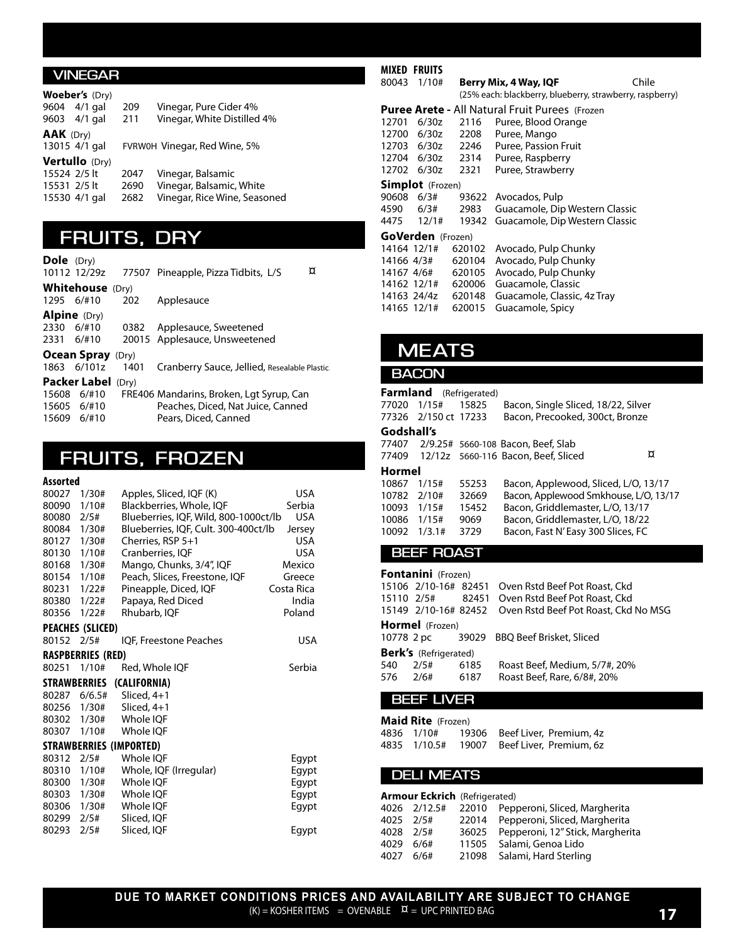#### **VINEGAR**

|                  | <b>Woeber's</b> (Dry) |      |                              |
|------------------|-----------------------|------|------------------------------|
|                  | 9604 4/1 gal          | 209  | Vinegar, Pure Cider 4%       |
|                  | 9603 4/1 gal          | 211  | Vinegar, White Distilled 4%  |
| <b>AAK</b> (Dry) |                       |      |                              |
|                  | 13015 4/1 gal         |      | FVRW0H Vinegar, Red Wine, 5% |
|                  | <b>Vertullo</b> (Dry) |      |                              |
| 15524 2/5 lt     |                       | 2047 | Vinegar, Balsamic            |
| 15531 2/5 lt     |                       | 2690 | Vinegar, Balsamic, White     |
|                  | 15530 4/1 gal         | 2682 | Vinegar, Rice Wine, Seasoned |
|                  |                       |      |                              |

### **FRUITS, DRY**

| <b>Dole</b> (Dry)   |                           |      |                                              |
|---------------------|---------------------------|------|----------------------------------------------|
|                     | 10112 12/29z              |      | ¤<br>77507 Pineapple, Pizza Tidbits, L/S     |
|                     | <b>Whitehouse</b> (Dry)   |      |                                              |
| 1295 6/#10          |                           | 202  | Applesauce                                   |
| <b>Alpine</b> (Dry) |                           |      |                                              |
| 2330                | 6/#10                     | 0382 | Applesauce, Sweetened                        |
| 2331 6/#10          |                           |      | 20015 Applesauce, Unsweetened                |
|                     | <b>Ocean Spray</b> (Dry)  |      |                                              |
|                     | 1863 6/101z               | 1401 | Cranberry Sauce, Jellied, Resealable Plastic |
|                     | <b>Packer Label (Dry)</b> |      |                                              |
| 15608               | 6/110                     |      | FRE406 Mandarins, Broken, Lgt Syrup, Can     |
| 15605               | 6/110                     |      | Peaches, Diced, Nat Juice, Canned            |
| 15609               | 6/110                     |      | Pears, Diced, Canned                         |

### **FRUITS, FROZEN**

#### **Assorted**

| 80027 | 1/30#                    | Apples, Sliced, IQF (K)               | USA        |  |  |  |
|-------|--------------------------|---------------------------------------|------------|--|--|--|
| 80090 | 1/10#                    | Blackberries, Whole, IOF<br>Serbia    |            |  |  |  |
| 80080 | 2/5#                     | Blueberries, IQF, Wild, 800-1000ct/lb | <b>USA</b> |  |  |  |
| 80084 | 1/30#                    | Blueberries, IQF, Cult. 300-400ct/lb  | Jersey     |  |  |  |
| 80127 | 1/30#                    | Cherries, RSP 5+1                     | <b>USA</b> |  |  |  |
| 80130 | 1/10#                    | Cranberries, IQF                      | <b>USA</b> |  |  |  |
| 80168 | 1/30#                    | Mango, Chunks, 3/4", IQF              | Mexico     |  |  |  |
| 80154 | 1/10#                    | Peach, Slices, Freestone, IQF         | Greece     |  |  |  |
| 80231 | 1/22#                    | Pineapple, Diced, IQF                 | Costa Rica |  |  |  |
| 80380 | 1/22#                    | Papaya, Red Diced                     | India      |  |  |  |
| 80356 | 1/22#                    | Rhubarb, IQF                          | Poland     |  |  |  |
|       | PEACHES (SLICED)         |                                       |            |  |  |  |
| 80152 | 2/5#                     | IQF, Freestone Peaches                | <b>USA</b> |  |  |  |
|       | <b>RASPBERRIES (RED)</b> |                                       |            |  |  |  |
| 80251 | 1/10#                    | Red, Whole IOF                        | Serbia     |  |  |  |
|       | <b>STRAWBERRIES</b>      | (CALIFORNIA)                          |            |  |  |  |
| 80287 | 6/6.5#                   | Sliced, $4+1$                         |            |  |  |  |
| 80256 | 1/30#                    | Sliced, $4+1$                         |            |  |  |  |
| 80302 | 1/30#                    | Whole IQF                             |            |  |  |  |
| 80307 | 1/10#                    | Whole IQF                             |            |  |  |  |
|       |                          | STRAWBERRIES (IMPORTED)               |            |  |  |  |
| 80312 | 2/5#                     | Whole IQF                             | Egypt      |  |  |  |
| 80310 | 1/10#                    | Whole, IQF (Irregular)                | Eqypt      |  |  |  |
| 80300 | 1/30#                    | Whole IOF                             | Eqypt      |  |  |  |
|       |                          |                                       |            |  |  |  |
| 80303 | 1/30#                    | Whole IQF                             | Egypt      |  |  |  |
| 80306 | 1/30#                    | Whole IQF                             | Egypt      |  |  |  |
| 80299 | 2/5#                     | Sliced, IQF                           |            |  |  |  |
| 80293 | 2/5#                     | Sliced, IQF                           | Egypt      |  |  |  |

#### **MIXED FRUITS**<br>80043 1/10# **Berry Mix, 4 Way, IQF** Chile (25% each: blackberry, blueberry, strawberry, raspberry) **Puree Arete -** All Natural Fruit Purees (Frozen 12701 6/30z 2116 Puree, Blood Orange 12700 6/30z 2208 Puree, Mango<br>12703 6/30z 2246 Puree, Passion 12703 6/30z 2246 Puree, Passion Fruit<br>12704 6/30z 2314 Puree, Raspberry Puree, Raspberry 12702 6/30z 2321 Puree, Strawberry **Simplot** (Frozen) 90608 6/3# 93622 Avocados, Pulp<br>4590 6/3# 2983 Guacamole, Dip 4590 6/3# 2983 Guacamole, Dip Western Classic<br>4475 12/1# 19342 Guacamole, Dip Western Classic 19342 Guacamole, Dip Western Classic **GoVerden** (Frozen)<br>14164 12/1# 6201 620102 Avocado, Pulp Chunky 14166 4/3# 620104 Avocado, Pulp Chunky<br>14167 4/6# 620105 Avocado. Pulp Chunky 620105 Avocado, Pulp Chunky 14162 12/1# 620006 Guacamole, Classic<br>14163 24/4z 620148 Guacamole, Classic, 14163 24/4z 620148 Guacamole, Classic, 4z Tray<br>14165 12/1# 620015 Guacamole, Spicy

620015 Guacamole, Spicy

### **MEATS**

#### **BACON**

#### **Farmland** (Refrigerated)

| 77020<br>77326 | 1/15#<br>2/150 ct 17233 | 15825 | Bacon, Single Sliced, 18/22, Silver<br>Bacon, Precooked, 300ct, Bronze |  |
|----------------|-------------------------|-------|------------------------------------------------------------------------|--|
| Godshall's     |                         |       |                                                                        |  |
| 77407          |                         |       | 2/9.25# 5660-108 Bacon, Beef, Slab                                     |  |
| 77409          |                         |       | ¤<br>12/12z 5660-116 Bacon, Beef, Sliced                               |  |
| Hormel         |                         |       |                                                                        |  |
| 10867          | 1/15#                   | 55253 | Bacon, Applewood, Sliced, L/O, 13/17                                   |  |
| 10782          | 2/10#                   | 32669 | Bacon, Applewood Smkhouse, L/O, 13/17                                  |  |
| 10093          | 1/15#                   | 15452 | Bacon, Griddlemaster, L/O, 13/17                                       |  |
| 10086          | 1/15#                   | 9069  | Bacon, Griddlemaster, L/O, 18/22                                       |  |
| 10092          | 1/3.1#                  | 3729  | Bacon, Fast N'Easy 300 Slices, FC                                      |  |
|                |                         |       |                                                                        |  |

#### **BEEF ROAST**

|          | <b>Fontanini</b> (Frozen)    |       |                                                           |  |  |  |
|----------|------------------------------|-------|-----------------------------------------------------------|--|--|--|
|          |                              |       | 15106 2/10-16# 82451 Oven Rstd Beef Pot Roast, Ckd        |  |  |  |
|          |                              |       | 15110 2/5# 82451 Oven Rstd Beef Pot Roast, Ckd            |  |  |  |
|          |                              |       | 15149 2/10-16# 82452 Oven Rstd Beef Pot Roast, Ckd No MSG |  |  |  |
|          | <b>Hormel</b> (Frozen)       |       |                                                           |  |  |  |
|          | 10778 2 pc                   | 39029 | <b>BBQ Beef Brisket, Sliced</b>                           |  |  |  |
|          | <b>Berk's</b> (Refrigerated) |       |                                                           |  |  |  |
|          | 540 2/5#                     | 6185  | Roast Beef, Medium, 5/7#, 20%                             |  |  |  |
| 576 2/6# |                              | 6187  | Roast Beef, Rare, 6/8#, 20%                               |  |  |  |
|          |                              |       |                                                           |  |  |  |

#### **BEEF LIVER**

**Maid Rite** (Frozen)

4836 1/10# 19306 Beef Liver, Premium, 4z<br>4835 1/10.5# 19007 Beef Liver, Premium, 6z Beef Liver, Premium, 6z

#### **DELI MEATS**

|           | <b>Armour Eckrich</b> (Refrigerated) |                                                  |
|-----------|--------------------------------------|--------------------------------------------------|
|           |                                      | 4026 2/12.5# 22010 Pepperoni, Sliced, Margherita |
| 4025 2/5# |                                      | 22014 Pepperoni, Sliced, Margherita              |
| 4028 2/5# |                                      | 36025 Pepperoni, 12" Stick, Margherita           |
| 4029      | 6/6#                                 | 11505 Salami, Genoa Lido                         |
| 4027      | 6/6#                                 | 21098 Salami, Hard Sterling                      |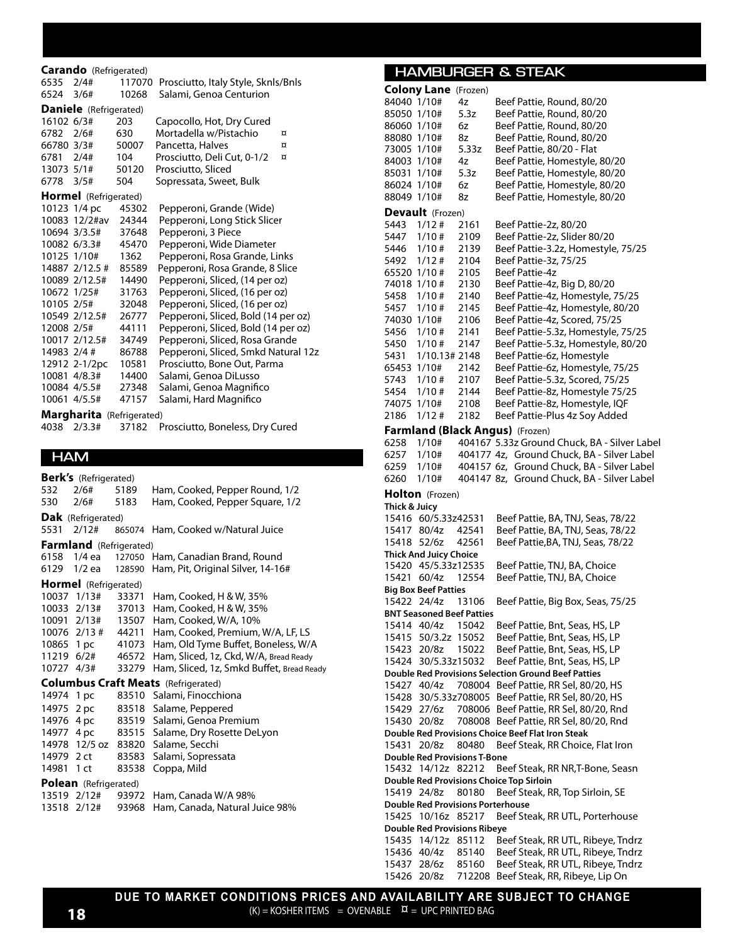#### **Carando** (Refrigerated)

| 6535 2/4#   |                               |       | 117070 Prosciutto, Italy Style, Sknls/Bnls |
|-------------|-------------------------------|-------|--------------------------------------------|
| 6524 3/6#   |                               | 10268 | Salami, Genoa Centurion                    |
|             | <b>Daniele</b> (Refrigerated) |       |                                            |
| 16102 6/3#  |                               | 203   | Capocollo, Hot, Dry Cured                  |
| 6782 2/6#   |                               | 630   | Mortadella w/Pistachio<br>$\alpha$         |
| 66780 3/3#  |                               | 50007 | Pancetta, Halves<br>$\alpha$               |
| 6781 2/4#   |                               | 104   | Prosciutto, Deli Cut, 0-1/2<br>$\alpha$    |
| 13073 5/1#  |                               | 50120 | Prosciutto, Sliced                         |
| 6778 3/5#   |                               | 504   | Sopressata, Sweet, Bulk                    |
|             | <b>Hormel</b> (Refrigerated)  |       |                                            |
|             | 10123 1/4 pc                  | 45302 | Pepperoni, Grande (Wide)                   |
|             | 10083 12/2#av                 | 24344 | Pepperoni, Long Stick Slicer               |
|             | 10694 3/3.5# 37648            |       | Pepperoni, 3 Piece                         |
|             | 10082 6/3.3#                  | 45470 | Pepperoni, Wide Diameter                   |
|             | 10125 1/10#                   | 1362  | Pepperoni, Rosa Grande, Links              |
|             | 14887 2/12.5 #                | 85589 | Pepperoni, Rosa Grande, 8 Slice            |
|             | 10089 2/12.5#                 | 14490 | Pepperoni, Sliced, (14 per oz)             |
|             | 10672 1/25#                   | 31763 | Pepperoni, Sliced, (16 per oz)             |
| 10105 2/5#  |                               | 32048 | Pepperoni, Sliced, (16 per oz)             |
|             | 10549 2/12.5#                 | 26777 | Pepperoni, Sliced, Bold (14 per oz)        |
| 12008 2/5#  |                               | 44111 | Pepperoni, Sliced, Bold (14 per oz)        |
|             | 10017 2/12.5#                 | 34749 | Pepperoni, Sliced, Rosa Grande             |
| 14983 2/4 # |                               | 86788 | Pepperoni, Sliced, Smkd Natural 12z        |
|             | 12912 2-1/2pc                 | 10581 | Prosciutto, Bone Out, Parma                |
|             | 10081 4/8.3#                  | 14400 | Salami, Genoa DiLusso                      |
|             | 10084 4/5.5#                  | 27348 | Salami, Genoa Magnifico                    |
|             | 10061 4/5.5#                  | 47157 | Salami, Hard Magnifico                     |
|             | Margharita (Refrigerated)     |       |                                            |

4038 2/3.3# 37182 Prosciutto, Boneless, Dry Cured

**HAM**

**Berk's** (Refrigerated) 532 2/6# 5189 Ham, Cooked, Pepper Round, 1/2 530 2/6# 5183 Ham, Cooked, Pepper Square, 1/2 **Dak** (Refrigerated)<br>5531 2/12# 86 865074 Ham, Cooked w/Natural Juice **Farmland** (Refrigerated) 6158 1/4 ea 127050 Ham, Canadian Brand, Round 6129 1/2 ea 128590 Ham, Pit, Original Silver, 14-16# **Hormel** (Refrigerated)<br>10037 1/13# 33371 10037 1/13# 33371 Ham, Cooked, H & W, 35%<br>10033 2/13# 37013 Ham, Cooked, H & W, 35% 37013 Ham, Cooked, H & W, 35% 10091 2/13# 13507 Ham, Cooked, W/A, 10% 2/13 # 44211 Ham, Cooked, Premium, W/A, LF, LS Mkt 10865 1 pc 41073 Ham, Old Tyme Buffet, Boneless, W/A<br>11219 6/2# 46572 Ham, Sliced, 1z, Ckd, W/A, Bread Ready 46572 Ham, Sliced, 1z, Ckd, W/A, Bread Ready 10727 4/3# 33279 Ham, Sliced, 1z, Smkd Buffet, Bread Ready **Columbus Craft Meats** (Refrigerated) 14974 1 pc 83510 Salami, Finocchiona 14975 2 pc 83518 Salame, Peppered 14976 4 pc 83519 Salami, Genoa Premium 14977 4 pc 83515 Salame, Dry Rosette DeLyon 14978 12/5 oz 83820 Salame, Secchi<br>14979 2 ct 83583 Salami, Sopress 83583 Salami, Sopressata 14981 1 ct 83538 Coppa, Mild **Polean** (Refrigerated) 13519 2/12# 93972 Ham, Canada W/A 98% 13518 2/12# 93968 Ham, Canada, Natural Juice 98%

#### **HAMBURGER & STEAK**

| 84040 1/10#    | <b>Colony Lane</b> (Frozen)              | 4z             | Beef Pattie, Round, 80/20                                              |
|----------------|------------------------------------------|----------------|------------------------------------------------------------------------|
| 85050 1/10#    |                                          | 5.3z           | Beef Pattie, Round, 80/20                                              |
| 86060 1/10#    |                                          | 6z             | Beef Pattie, Round, 80/20                                              |
| 88080 1/10#    |                                          | 8z             | Beef Pattie, Round, 80/20                                              |
| 73005 1/10#    |                                          | 5.33z          | Beef Pattie, 80/20 - Flat                                              |
| 84003 1/10#    |                                          | 4z             | Beef Pattie, Homestyle, 80/20                                          |
| 85031 1/10#    |                                          | 5.3z           | Beef Pattie, Homestyle, 80/20                                          |
| 86024 1/10#    |                                          | 6z             | Beef Pattie, Homestyle, 80/20                                          |
| 88049 1/10#    |                                          | 8z             | Beef Pattie, Homestyle, 80/20                                          |
|                | Devault (Frozen)                         |                |                                                                        |
| 5443           | 1/12#                                    | 2161           | Beef Pattie-2z, 80/20                                                  |
| 5447           | 1/10#                                    | 2109           | Beef Pattie-2z, Slider 80/20                                           |
| 5446           | 1/10#                                    | 2139           | Beef Pattie-3.2z, Homestyle, 75/25                                     |
| 5492           | 1/12#                                    | 2104           | Beef Pattie-3z, 75/25                                                  |
| 65520 1/10 #   |                                          | 2105           | Beef Pattie-4z                                                         |
| 74018 1/10#    |                                          | 2130           | Beef Pattie-4z, Big D, 80/20                                           |
| 5458           | 1/10#                                    | 2140           | Beef Pattie-4z, Homestyle, 75/25                                       |
| 5457           | 1/10#                                    | 2145           | Beef Pattie-4z, Homestyle, 80/20                                       |
| 74030 1/10#    |                                          | 2106           | Beef Pattie-4z, Scored, 75/25                                          |
| 5456           | 1/10#                                    | 2141           | Beef Pattie-5.3z, Homestyle, 75/25                                     |
| 5450<br>5431   | 1/10#                                    | 2147           | Beef Pattie-5.3z, Homestyle, 80/20                                     |
| 65453 1/10#    | 1/10.13# 2148                            | 2142           | Beef Pattie-6z, Homestyle<br>Beef Pattie-6z, Homestyle, 75/25          |
| 5743           | 1/10#                                    | 2107           | Beef Pattie-5.3z, Scored, 75/25                                        |
| 5454           | 1/10#                                    | 2144           | Beef Pattie-8z, Homestyle 75/25                                        |
| 74075          | 1/10#                                    | 2108           | Beef Pattie-8z, Homestyle, IQF                                         |
| 2186           | $1/12$ #                                 | 2182           | Beef Pattie-Plus 4z Soy Added                                          |
|                |                                          |                | Farmland (Black Angus) (Frozen)                                        |
| 6258           | 1/10#                                    |                | 404167 5.33z Ground Chuck, BA - Silver Label                           |
| 6257           | 1/10#                                    |                | 404177 4z, Ground Chuck, BA - Silver Label                             |
| 6259           | 1/10#                                    |                | 404157 6z, Ground Chuck, BA - Silver Label                             |
| 6260           | 1/10#                                    |                | 404147 8z, Ground Chuck, BA - Silver Label                             |
|                | <b>Holton</b> (Frozen)                   |                |                                                                        |
| Thick & Juicy  |                                          |                |                                                                        |
|                | 15416 60/5.33z42531                      |                | Beef Pattie, BA, TNJ, Seas, 78/22                                      |
| 15417          | 80/4z                                    | 42541          | Beef Pattie, BA, TNJ, Seas, 78/22                                      |
| 15418          | 52/6z                                    | 42561          | Beef Pattie, BA, TNJ, Seas, 78/22                                      |
|                | <b>Thick And Juicy Choice</b>            |                |                                                                        |
|                | 15420 45/5.33z12535                      |                | Beef Pattie, TNJ, BA, Choice                                           |
| 15421 60/4z    |                                          | 12554          | Beef Pattie, TNJ, BA, Choice                                           |
|                | <b>Big Box Beef Patties</b>              |                |                                                                        |
| 15422 24/4z    |                                          | 13106          | Beef Pattie, Big Box, Seas, 75/25                                      |
|                | <b>BNT Seasoned Beef Patties</b>         |                |                                                                        |
| 15414 40/4z    | 15415 50/3.2z                            | 15042<br>15052 | Beef Pattie, Bnt, Seas, HS, LP<br>Beef Pattie, Bnt, Seas, HS, LP       |
| 15423 20/8z    |                                          | 15022          | Beef Pattie, Bnt, Seas, HS, LP                                         |
|                | 15424 30/5.33z15032                      |                | Beef Pattie, Bnt, Seas, HS, LP                                         |
|                |                                          |                | <b>Double Red Provisions Selection Ground Beef Patties</b>             |
| 15427 40/4z    |                                          |                | 708004 Beef Pattie, RR Sel, 80/20, HS                                  |
|                |                                          |                | 15428 30/5.33z708005 Beef Pattie, RR Sel, 80/20, HS                    |
| 15429          | 27/6z                                    |                | 708006 Beef Pattie, RR Sel, 80/20, Rnd                                 |
| 15430 20/8z    |                                          |                | 708008 Beef Pattie, RR Sel, 80/20, Rnd                                 |
|                |                                          |                | Double Red Provisions Choice Beef Flat Iron Steak                      |
| 15431          | 20/8z                                    | 80480          | Beef Steak, RR Choice, Flat Iron                                       |
|                | <b>Double Red Provisions T-Bone</b>      |                |                                                                        |
|                | 15432 14/12z 82212                       |                | Beef Steak, RR NR, T-Bone, Seasn                                       |
|                |                                          |                | Double Red Provisions Choice Top Sirloin                               |
| 15419 24/8z    |                                          | 80180          | Beef Steak, RR, Top Sirloin, SE                                        |
|                | <b>Double Red Provisions Porterhouse</b> |                |                                                                        |
| 15425          | 10/16z                                   | 85217          | Beef Steak, RR UTL, Porterhouse                                        |
|                | Double Red Provisions Ribeye             |                |                                                                        |
| 15435<br>15436 | 14/12z<br>40/4z                          | 85112<br>85140 | Beef Steak, RR UTL, Ribeye, Tndrz<br>Beef Steak, RR UTL, Ribeye, Tndrz |
| 15437          | 28/6z                                    | 85160          | Beef Steak, RR UTL, Ribeye, Tndrz                                      |
| 15426          | 20/8z                                    | 712208         | Beef Steak, RR, Ribeye, Lip On                                         |
|                |                                          |                |                                                                        |

**DUE TO MARKET CONDITIONS PRICES AND AVAILABILITY ARE SUBJECT TO CHANGE** (K) = KOSHER ITEMS = OVENABLE ¤ = UPC PRINTED BAG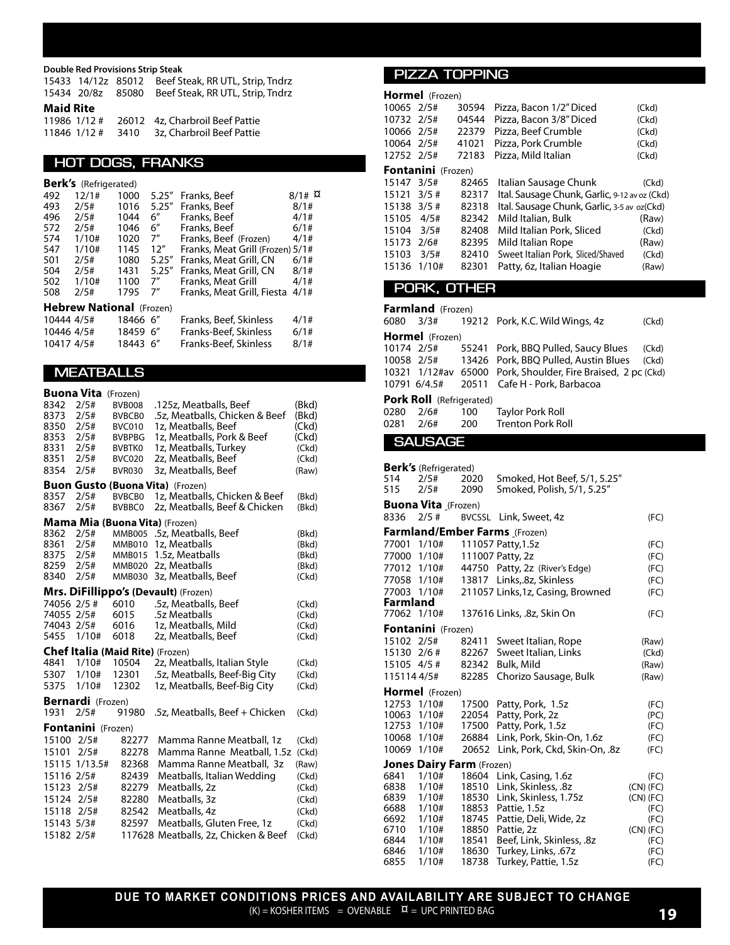**Double Red Provisions Strip Steak**

| <b>Maid Rite</b> |  |                                                     |
|------------------|--|-----------------------------------------------------|
|                  |  | 15434 20/8z 85080 Beef Steak, RR UTL, Strip, Tndrz  |
|                  |  | 15433 14/12z 85012 Beef Steak, RR UTL, Strip, Tndrz |

|  | 11986 1/12 # 26012 4z. Charbroil Beef Pattie |
|--|----------------------------------------------|
|  | 11846 1/12 # 3410 3z, Charbroil Beef Pattie  |

#### **HOT DOGS, FRANKS**

|                                 | <b>Berk's</b> (Refrigerated) |          |        |                                  |           |  |  |
|---------------------------------|------------------------------|----------|--------|----------------------------------|-----------|--|--|
| 492                             | 12/1#                        | 1000     | 5.25'' | Franks, Beef                     | $8/1$ # ¤ |  |  |
| 493                             | 2/5#                         | 1016     | 5.25'' | Franks, Beef                     | 8/1#      |  |  |
| 496                             | 2/5#                         | 1044     | 6"     | Franks, Beef                     | 4/1#      |  |  |
| 572                             | 2/5#                         | 1046     | 6"     | Franks, Beef                     | 6/1#      |  |  |
| 574                             | 1/10#                        | 1020     | 7"     | Franks, Beef (Frozen)            | 4/1#      |  |  |
| 547                             | 1/10#                        | 1145     | 12''   | Franks, Meat Grill (Frozen) 5/1# |           |  |  |
| 501                             | 2/5#                         | 1080     | 5.25'' | Franks, Meat Grill, CN           | 6/1#      |  |  |
| 504                             | 2/5#                         | 1431     | 5.25'' | Franks, Meat Grill, CN           | 8/1#      |  |  |
| 502                             | 1/10#                        | 1100     | 7"     | Franks, Meat Grill               | 4/1#      |  |  |
| 508                             | 2/5#                         | 1795     | 7″     | Franks, Meat Grill, Fiesta       | 4/1#      |  |  |
| <b>Hebrew National</b> (Frozen) |                              |          |        |                                  |           |  |  |
| 10444 4/5#                      |                              | 18466 6" |        | Franks, Beef, Skinless           | 4/1#      |  |  |
| 10446 4/5#                      |                              | 18459 6" |        | Franks-Beef, Skinless            | 6/1#      |  |  |
| 10417 4/5#                      |                              | 18443 6" |        | Franks-Beef, Skinless            | 8/1#      |  |  |

### **MEATBALLS**

|             | <b>Buona Vita</b>         | (Frozen)                         |                                         |       |
|-------------|---------------------------|----------------------------------|-----------------------------------------|-------|
| 8342        | 2/5#                      | <b>BVB008</b>                    | .125z, Meatballs, Beef                  | (Bkd) |
| 8373        | 2/5#                      | <b>BVBCB0</b>                    | .5z, Meatballs, Chicken & Beef          | (Bkd) |
| 8350        | 2/5#                      | BVC010                           | 1z, Meatballs, Beef                     | (Ckd) |
| 8353        | 2/5#                      | <b>BVBPBG</b>                    | 1z, Meatballs, Pork & Beef              | (Ckd) |
| 8331        | 2/5#                      | <b>BVBTKO</b>                    | 1z, Meatballs, Turkey                   | (CKd) |
| 8351        | 2/5#                      | <b>BVC020</b>                    | 2z, Meatballs, Beef                     | (CKd) |
| 8354        | 2/5#                      | <b>BVR030</b>                    | 3z, Meatballs, Beef                     | (Raw) |
|             |                           |                                  | <b>Buon Gusto (Buona Vita) (Frozen)</b> |       |
| 8357        | 2/5#                      | <b>BVBCB0</b>                    | 1z, Meatballs, Chicken & Beef           | (Bkd) |
| 8367        | 2/5#                      | <b>BVBBC0</b>                    | 2z, Meatballs, Beef & Chicken           | (Bkd) |
|             |                           |                                  | Mama Mia (Buona Vita) (Frozen)          |       |
| 8362        | 2/5#                      |                                  | MMB005 .5z, Meatballs, Beef             | (Bkd) |
| 8361        | 2/5#                      | <b>MMB010</b>                    | 1z, Meatballs                           | (Bkd) |
| 8375        | 2/5#                      | <b>MMB015</b>                    | 1.5z, Meatballs                         | (Bkd) |
| 8259        | 2/5#                      | <b>MMB020</b>                    | 2z, Meatballs                           | (Bkd) |
| 8340        | 2/5#                      | MMB030                           | 3z, Meatballs, Beef                     | (CKd) |
|             |                           |                                  | Mrs. DiFillippo's (Devault) (Frozen)    |       |
| 74056 2/5 # |                           | 6010                             | .5z, Meatballs, Beef                    | (CKd) |
| 74055 2/5#  |                           | 6015                             | .5z Meatballs                           | (CKd) |
| 74043 2/5#  |                           | 6016                             | 1z, Meatballs, Mild                     | (CKd) |
| 5455        | 1/10#                     | 6018                             | 2z, Meatballs, Beef                     | (CKd) |
|             |                           | Chef Italia (Maid Rite) (Frozen) |                                         |       |
| 4841        | 1/10#                     | 10504                            | 2z, Meatballs, Italian Style            | (Ckd) |
| 5307        | 1/10#                     | 12301                            | .5z, Meatballs, Beef-Big City           | (CKd) |
| 5375        | 1/10#                     | 12302                            | 1z, Meatballs, Beef-Big City            | (CKd) |
|             | <b>Bernardi</b> (Frozen)  |                                  |                                         |       |
| 1931        | 2/5#                      | 91980                            | .5z, Meatballs, Beef + Chicken          | (CKd) |
|             | <b>Fontanini</b> (Frozen) |                                  |                                         |       |
| 15100 2/5#  |                           | 82277                            | Mamma Ranne Meatball, 1z                | (CKd) |
| 15101       | 2/5#                      | 82278                            | Mamma Ranne Meatball, 1.5z              | (Ckd) |
|             | 15115 1/13.5#             | 82368                            | Mamma Ranne Meatball, 3z                | (Raw) |
| 15116 2/5#  |                           | 82439                            | Meatballs, Italian Wedding              | (CKd) |
| 15123       | 2/5#                      | 82279                            | Meatballs, 2z                           | (CKd) |
| 15124       | 2/5#                      | 82280                            | Meatballs, 3z                           | (CKd) |
| 15118       | 2/5#                      | 82542                            | Meatballs, 4z                           | (CKd) |
| 15143 5/3#  |                           | 82597                            | Meatballs, Gluten Free, 1z              | (CKd) |
| 15182 2/5#  |                           |                                  | 117628 Meatballs, 2z, Chicken & Beef    | (CKd) |
|             |                           |                                  |                                         |       |

#### **PIZZA TOPPING**

|                                 | Hormel (Frozen)           |       |                                               |       |  |  |  |
|---------------------------------|---------------------------|-------|-----------------------------------------------|-------|--|--|--|
| 10065 2/5#                      |                           | 30594 | Pizza, Bacon 1/2" Diced                       | (Ckd) |  |  |  |
| 10732 2/5#                      |                           | 04544 | Pizza, Bacon 3/8" Diced                       | (Ckd) |  |  |  |
| 10066 2/5#                      |                           | 22379 | Pizza, Beef Crumble                           | (Ckd) |  |  |  |
| 10064 2/5#                      |                           | 41021 | Pizza, Pork Crumble                           | (Ckd) |  |  |  |
| 12752 2/5#                      |                           | 72183 | Pizza, Mild Italian                           | (Ckd) |  |  |  |
|                                 | <b>Fontanini</b> (Frozen) |       |                                               |       |  |  |  |
| 15147 3/5#                      |                           | 82465 | Italian Sausage Chunk                         | (Ckd) |  |  |  |
| 15121                           | 3/5#                      | 82317 | Ital. Sausage Chunk, Garlic, 9-12 av oz (Ckd) |       |  |  |  |
| 15138 3/5 #                     |                           | 82318 | Ital. Sausage Chunk, Garlic, 3-5 av oz(Ckd)   |       |  |  |  |
| 15105 4/5#                      |                           | 82342 | Mild Italian, Bulk                            | (Raw) |  |  |  |
| 15104 3/5#                      |                           | 82408 | Mild Italian Pork, Sliced                     | (Ckd) |  |  |  |
| 15173 2/6#                      |                           | 82395 | Mild Italian Rope                             | (Raw) |  |  |  |
| 15103                           | 3/5#                      | 82410 | Sweet Italian Pork, Sliced/Shaved             | (Ckd) |  |  |  |
| 15136                           | 1/10#                     | 82301 | Patty, 6z, Italian Hoagie                     | (Raw) |  |  |  |
|                                 |                           |       |                                               |       |  |  |  |
|                                 | PORK, OTHER               |       |                                               |       |  |  |  |
|                                 | Farmland (Frozen)         |       |                                               |       |  |  |  |
| 6080                            | 3/3#                      |       | 19212 Pork, K.C. Wild Wings, 4z               | (Ckd) |  |  |  |
|                                 | Hormel (Frozen)           |       |                                               |       |  |  |  |
| 10174 2/5#                      |                           | 55241 | Pork, BBQ Pulled, Saucy Blues                 | (Ckd) |  |  |  |
|                                 | 10058 2/5#                | 13426 | Pork, BBQ Pulled, Austin Blues                | (Ckd) |  |  |  |
| 10321                           | 1/12#av                   | 65000 | Pork, Shoulder, Fire Braised, 2 pc (Ckd)      |       |  |  |  |
| 10791 6/4.5#                    |                           | 20511 | Cafe H - Pork, Barbacoa                       |       |  |  |  |
|                                 |                           |       |                                               |       |  |  |  |
| <b>Pork Roll</b> (Refrigerated) |                           |       |                                               |       |  |  |  |

| 0280 2/6# | 100 | Taylor Pork Roll  |  |
|-----------|-----|-------------------|--|
| 0281 2/6# | 200 | Trenton Pork Roll |  |

#### **SAUSAGE**

| 514<br>515      | <b>Berk's</b> (Refrigerated)<br>2/5#<br>2/5# | 2020<br>2090   | Smoked, Hot Beef, 5/1, 5.25"<br>Smoked, Polish, 5/1, 5.25" |               |
|-----------------|----------------------------------------------|----------------|------------------------------------------------------------|---------------|
|                 | <b>Buona Vita</b> (Frozen)                   |                |                                                            |               |
| 8336            | $2/5$ #                                      | <b>BVCSSL</b>  | Link, Sweet, 4z                                            | (FC)          |
|                 |                                              |                | Farmland/Ember Farms (Frozen)                              |               |
| 77001           | 1/10#                                        |                | 111057 Patty, 1.5z                                         | (FC)          |
| 77000 1/10#     |                                              |                | 111007 Patty, 2z                                           | (FC)          |
| 77012           | 1/10#                                        | 44750          | Patty, 2z (River's Edge)                                   | (FC)          |
| 77058 1/10#     |                                              |                | 13817 Links, 8z, Skinless                                  | (FC)          |
| 77003 1/10#     |                                              |                | 211057 Links, 1z, Casing, Browned                          | (FC)          |
| <b>Farmland</b> |                                              |                |                                                            |               |
| 77062 1/10#     |                                              |                | 137616 Links, .8z, Skin On                                 | (FC)          |
|                 | Fontanini (Frozen)                           |                |                                                            |               |
| 15102 2/5#      |                                              | 82411          | Sweet Italian, Rope                                        | (Raw)         |
| 15130 2/6#      |                                              | 82267          | Sweet Italian, Links                                       | (Ckd)         |
| 15105 4/5 #     |                                              | 82342          | Bulk, Mild                                                 | (Raw)         |
| 1151144/5#      |                                              | 82285          | Chorizo Sausage, Bulk                                      | (Raw)         |
|                 | Hormel (Frozen)                              |                |                                                            |               |
| 12753           | 1/10#                                        | 17500          | Patty, Pork, 1.5z                                          | (FC)          |
| 10063 1/10#     |                                              | 22054          | Patty, Pork, 2z                                            | (PC)          |
| 12753           | 1/10#                                        | 17500          | Patty, Pork, 1.5z                                          | (FC)          |
| 10068           | 1/10#                                        | 26884          | Link, Pork, Skin-On, 1.6z                                  | (FC)          |
| 10069 1/10#     |                                              | 20652          | Link, Pork, Ckd, Skin-On, .8z                              | (FC)          |
|                 | <b>Jones Dairy Farm (Frozen)</b>             |                |                                                            |               |
| 6841            | 1/10#                                        | 18604          | Link, Casing, 1.6z                                         | (FC)          |
| 6838            | 1/10#                                        | 18510          | Link, Skinless, .8z                                        | $(CN)$ (FC)   |
| 6839            | 1/10#                                        | 18530          | Link, Skinless, 1.75z                                      | $(CN)$ $(FC)$ |
| 6688            | 1/10#                                        | 18853          | Pattie, 1.5z                                               | (FC)          |
| 6692            | 1/10#                                        | 18745          | Pattie, Deli, Wide, 2z                                     | (FC)          |
| 6710            | 1/10#                                        | 18850          | Pattie, 2z                                                 | $(CN)$ $(FC)$ |
| 6844<br>6846    | 1/10#<br>1/10#                               | 18541<br>18630 | Beef, Link, Skinless, .8z<br>Turkey, Links, .67z           | (FC)<br>(FC)  |
| 6855            | 1/10#                                        | 18738          | Turkey, Pattie, 1.5z                                       | (FC)          |
|                 |                                              |                |                                                            |               |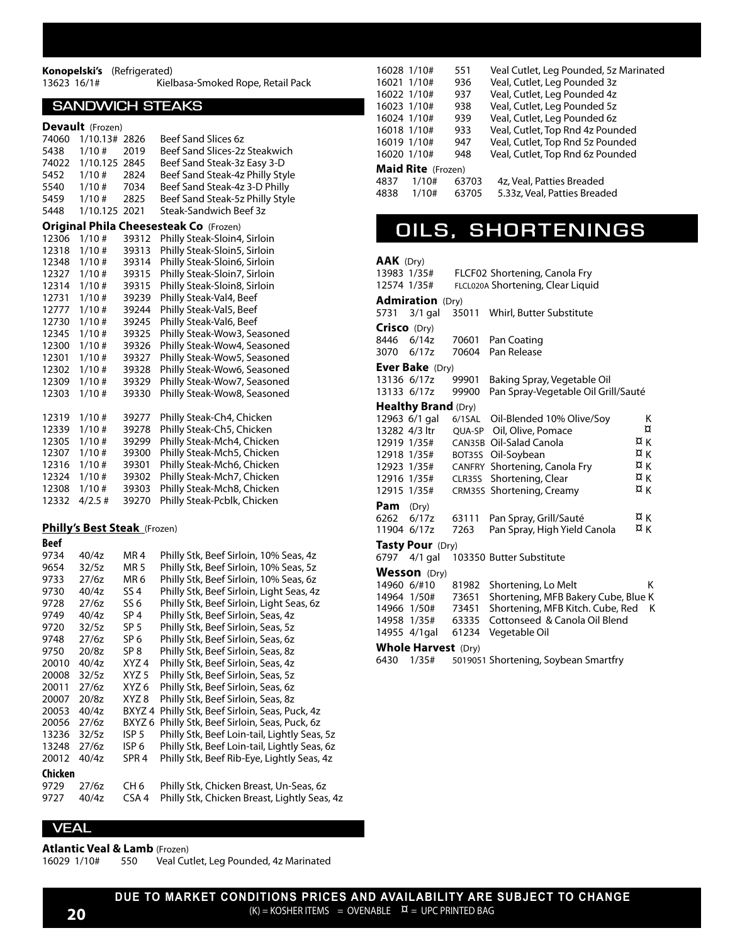#### **Konopelski's** (Refrigerated) Kielbasa-Smoked Rope, Retail Pack

#### **SANDWICH STEAKS**

| Devault (Frozen) |  |
|------------------|--|
|------------------|--|

| 74060 | 1/10.13#                     | 2826             | <b>Beef Sand Slices 6z</b>                    |
|-------|------------------------------|------------------|-----------------------------------------------|
| 5438  | 1/10#                        | 2019             | Beef Sand Slices-2z Steakwich                 |
| 74022 | 1/10.125                     | 2845             | Beef Sand Steak-3z Easy 3-D                   |
| 5452  | 1/10#                        | 2824             | Beef Sand Steak-4z Philly Style               |
| 5540  | 1/10#                        | 7034             | Beef Sand Steak-4z 3-D Philly                 |
| 5459  | 1/10#                        | 2825             | Beef Sand Steak-5z Philly Style               |
| 5448  | 1/10.125 2021                |                  | Steak-Sandwich Beef 3z                        |
|       |                              |                  | <b>Original Phila Cheesesteak Co (Frozen)</b> |
| 12306 | 1/10#                        | 39312            | Philly Steak-Sloin4, Sirloin                  |
| 12318 | 1/10#                        | 39313            | Philly Steak-Sloin5, Sirloin                  |
| 12348 | 1/10#                        | 39314            | Philly Steak-Sloin6, Sirloin                  |
| 12327 | 1/10#                        | 39315            | Philly Steak-Sloin7, Sirloin                  |
| 12314 | 1/10#                        | 39315            | Philly Steak-Sloin8, Sirloin                  |
| 12731 | 1/10#                        | 39239            | Philly Steak-Val4, Beef                       |
| 12777 | 1/10#                        | 39244            | Philly Steak-Val5, Beef                       |
| 12730 | 1/10#                        | 39245            | Philly Steak-Val6, Beef                       |
| 12345 | 1/10#                        | 39325            | Philly Steak-Wow3, Seasoned                   |
| 12300 | 1/10#                        | 39326            | Philly Steak-Wow4, Seasoned                   |
| 12301 | 1/10#                        | 39327            | Philly Steak-Wow5, Seasoned                   |
| 12302 | 1/10#                        | 39328            | Philly Steak-Wow6, Seasoned                   |
| 12309 | 1/10#                        | 39329            | Philly Steak-Wow7, Seasoned                   |
| 12303 | 1/10#                        | 39330            | Philly Steak-Wow8, Seasoned                   |
|       |                              |                  |                                               |
| 12319 | 1/10#                        | 39277            | Philly Steak-Ch4, Chicken                     |
| 12339 | 1/10#                        | 39278            | Philly Steak-Ch5, Chicken                     |
| 12305 | 1/10 #                       | 39299            | Philly Steak-Mch4, Chicken                    |
| 12307 | 1/10#                        | 39300            | Philly Steak-Mch5, Chicken                    |
| 12316 | 1/10 #                       | 39301            | Philly Steak-Mch6, Chicken                    |
| 12324 | 1/10#                        | 39302            | Philly Steak-Mch7, Chicken                    |
| 12308 | 1/10#                        | 39303            | Philly Steak-Mch8, Chicken                    |
| 12332 | $4/2.5$ #                    | 39270            | Philly Steak-Pcblk, Chicken                   |
|       |                              |                  |                                               |
|       | Philly's Best Steak (Frozen) |                  |                                               |
| Beef  |                              |                  |                                               |
| 9734  | 40/4z                        | MR 4             | Philly Stk, Beef Sirloin, 10% Seas, 4z        |
| 9654  | 32/5z                        | <b>MR5</b>       | Philly Stk, Beef Sirloin, 10% Seas, 5z        |
| 9733  | 27/6z                        | MR 6             | Philly Stk, Beef Sirloin, 10% Seas, 6z        |
| 9730  | 40/4z                        | SS <sub>4</sub>  | Philly Stk, Beef Sirloin, Light Seas, 4z      |
| 9728  | 27/6z                        | SS 6             | Philly Stk, Beef Sirloin, Light Seas, 6z      |
| 9749  | 40/4z                        | SP 4             | Philly Stk, Beef Sirloin, Seas, 4z            |
| 9720  | 32/5z                        | SP <sub>5</sub>  | Philly Stk, Beef Sirloin, Seas, 5z            |
| 9748  | 27/6z                        | SP 6             | Philly Stk, Beef Sirloin, Seas, 6z            |
| 9750  | 20/8z                        | SP 8             | Philly Stk, Beef Sirloin, Seas, 8z            |
| 20010 | 40/4z                        | XYZ 4            | Philly Stk, Beef Sirloin, Seas, 4z            |
| 20008 | 32/5z                        | XYZ <sub>5</sub> | Philly Stk, Beef Sirloin, Seas, 5z            |
| 20011 | 27/6z                        | XYZ 6            | Philly Stk, Beef Sirloin, Seas, 6z            |
| 20007 | 20/8z                        | XYZ 8            | Philly Stk, Beef Sirloin, Seas, 8z            |
| 20053 | 40/4z                        | BXYZ 4           | Philly Stk, Beef Sirloin, Seas, Puck, 4z      |

| 20007       | 20/8z |                  | XYZ 8 Philly Stk, Beef Sirloin, Seas, 8z        |
|-------------|-------|------------------|-------------------------------------------------|
| 20053       | 40/4z |                  | BXYZ 4 Philly Stk, Beef Sirloin, Seas, Puck, 4z |
| 20056       | 27/6z |                  | BXYZ 6 Philly Stk, Beef Sirloin, Seas, Puck, 6z |
| 13236 32/5z |       | ISP <sub>5</sub> | Philly Stk, Beef Loin-tail, Lightly Seas, 5z    |
| 13248       | 27/6z | ISP 6            | Philly Stk, Beef Loin-tail, Lightly Seas, 6z    |
| 20012       | 40/4z | SPR <sub>4</sub> | Philly Stk, Beef Rib-Eye, Lightly Seas, 4z      |
| Chicken     |       |                  |                                                 |
| 9729        | 27/6z | CH 6             | Philly Stk, Chicken Breast, Un-Seas, 6z         |
| 9727        | 40/4z | CSA <sub>4</sub> | Philly Stk, Chicken Breast, Lightly Seas, 4z    |

| 16028 1/10# |                           | 551          | Veal Cutlet, Leg Pounded, 5z Marinated |
|-------------|---------------------------|--------------|----------------------------------------|
| 16021 1/10# |                           | 936          | Veal, Cutlet, Leg Pounded 3z           |
| 16022 1/10# |                           | 937          | Veal, Cutlet, Leg Pounded 4z           |
| 16023 1/10# |                           | 938          | Veal, Cutlet, Leg Pounded 5z           |
| 16024 1/10# |                           | 939          | Veal, Cutlet, Leg Pounded 6z           |
| 16018 1/10# |                           | 933          | Veal, Cutlet, Top Rnd 4z Pounded       |
| 16019 1/10# |                           | 947          | Veal, Cutlet, Top Rnd 5z Pounded       |
| 16020 1/10# |                           | 948          | Veal, Cutlet, Top Rnd 6z Pounded       |
|             | <b>Maid Rite</b> (Frozen) |              |                                        |
| 4027        | 1/1 $\cap$ $\mu$          | <b>60702</b> | $1 - 1$ al Dattios Droadod             |

4837 1/10# 63703 4z, Veal, Patties Breaded<br>4838 1/10# 63705 5.33z, Veal, Patties Bread 63705 5.33z, Veal, Patties Breaded

### **OILS, SHORTENINGS**

#### **AAK** (Dry)

| 13983 1/35#   |                            |       | FLCF02 Shortening, Canola Fry               |    |
|---------------|----------------------------|-------|---------------------------------------------|----|
| 12574 1/35#   |                            |       | FLCL020A Shortening, Clear Liquid           |    |
|               | <b>Admiration</b> (Dry)    |       |                                             |    |
|               |                            |       | 5731 3/1 gal 35011 Whirl, Butter Substitute |    |
| Crisco (Dry)  |                            |       |                                             |    |
| 8446          | 6/14z                      | 70601 | Pan Coating                                 |    |
| 3070          | 6/17z                      | 70604 | Pan Release                                 |    |
|               | <b>Ever Bake</b> (Dry)     |       |                                             |    |
| 13136 6/17z   |                            | 99901 | Baking Spray, Vegetable Oil                 |    |
| 13133 6/17z   |                            | 99900 | Pan Spray-Vegetable Oil Grill/Sauté         |    |
|               | <b>Healthy Brand (Dry)</b> |       |                                             |    |
|               | 12963 6/1 gal              |       | 6/1SAL Oil-Blended 10% Olive/Soy            | К  |
| 13282 4/3 ltr |                            |       | QUA-SP Oil, Olive, Pomace                   | ¤  |
|               | 12919 1/35#                |       | CAN35B Oil-Salad Canola                     | ¤κ |
|               | 12918 1/35#                |       | BOT35S Oil-Soybean                          | ¤κ |
|               | 12923 1/35#                |       | CANFRY Shortening, Canola Fry               | ¤к |
|               | 12916 1/35#                |       | CLR35S Shortening, Clear                    | ¤κ |
| 12915 1/35#   |                            |       | CRM35S Shortening, Creamy                   | ¤к |
| Pam           | (Dry)                      |       |                                             |    |
| 6262          | 6/17z                      | 63111 | Pan Spray, Grill/Sauté                      | ¤κ |
| 11904 6/17z   |                            | 7263  | Pan Spray, High Yield Canola                | ¤κ |
|               | <b>Tasty Pour</b> (Dry)    |       |                                             |    |
|               | 6797 4/1 gal               |       | 103350 Butter Substitute                    |    |
|               | Wesson (Dry)               |       |                                             |    |
| 14960 6/#10   |                            | 81982 | Shortening, Lo Melt                         | κ  |
|               | 14964 1/50#                | 73651 | Shortening, MFB Bakery Cube, Blue K         |    |
|               | 14966 1/50#                | 73451 | Shortening, MFB Kitch. Cube, Red            | К  |
|               | 14958 1/35#                | 63335 | Cottonseed & Canola Oil Blend               |    |
|               | 14955 4/1gal               | 61234 | Vegetable Oil                               |    |
|               |                            |       |                                             |    |

#### **Whole Harvest** (Dry)

6430 1/35# 5019051 Shortening, Soybean Smartfry

#### **VEAL**

**Atlantic Veal & Lamb** (Frozen)

16029 1/10# 550 Veal Cutlet, Leg Pounded, 4z Marinated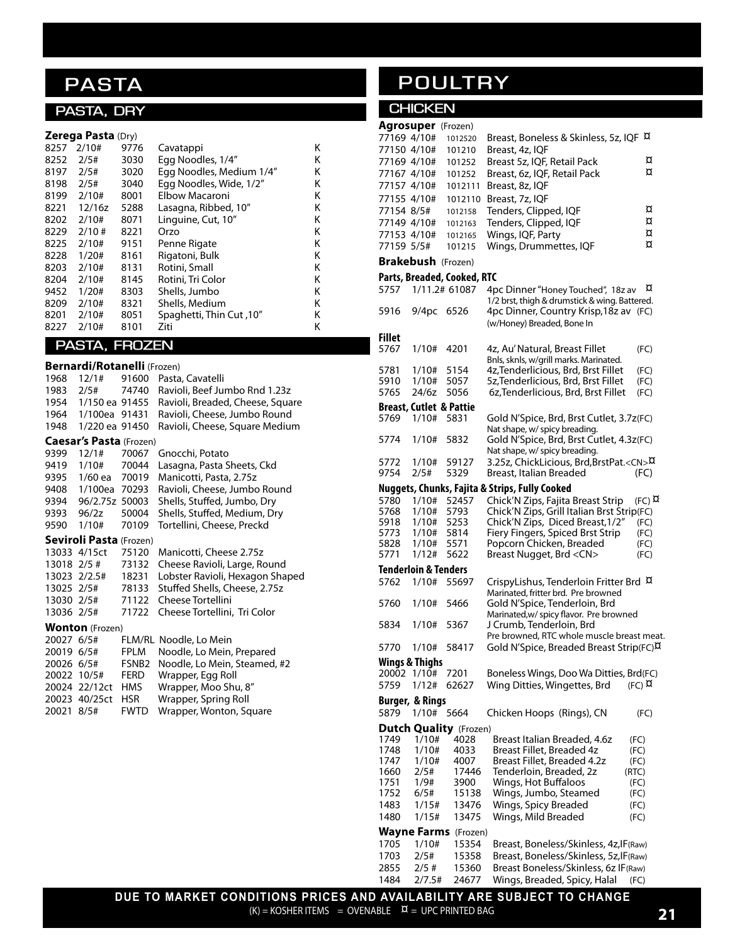# **PASTA**

### **PASTA, DRY**

| Zerega Pasta (Dry) |  |  |
|--------------------|--|--|
|--------------------|--|--|

| 8257 | 2/10#    | 9776 | Cavatappi                | Κ |
|------|----------|------|--------------------------|---|
| 8252 | 2/5#     | 3030 | Egg Noodles, 1/4"        | Κ |
| 8197 | 2/5#     | 3020 | Egg Noodles, Medium 1/4" | Κ |
| 8198 | 2/5#     | 3040 | Eqq Noodles, Wide, 1/2"  | Κ |
| 8199 | 2/10#    | 8001 | Elbow Macaroni           | Κ |
| 8221 | 12/16z   | 5288 | Lasagna, Ribbed, 10"     | κ |
| 8202 | 2/10#    | 8071 | Linguine, Cut, 10"       | κ |
| 8229 | $2/10$ # | 8221 | Orzo                     | κ |
| 8225 | 2/10#    | 9151 | Penne Rigate             | Κ |
| 8228 | 1/20#    | 8161 | Rigatoni, Bulk           | κ |
| 8203 | 2/10#    | 8131 | Rotini, Small            | κ |
| 8204 | 2/10#    | 8145 | Rotini, Tri Color        | κ |
| 9452 | 1/20#    | 8303 | Shells, Jumbo            | Κ |
| 8209 | 2/10#    | 8321 | Shells, Medium           | Κ |
| 8201 | 2/10#    | 8051 | 10". Spaghetti, Thin Cut | Κ |
| 8227 | 2/10#    | 8101 | Ziti                     | Κ |
|      |          |      |                          |   |

### **PASTA, FROZEN**

|             | <b>Bernardi/Rotanelli</b> (Frozen) |                   |                                  |
|-------------|------------------------------------|-------------------|----------------------------------|
| 1968        | 12/1#                              | 91600             | Pasta, Cavatelli                 |
|             | 1983 2/5#                          | 74740             | Ravioli, Beef Jumbo Rnd 1.23z    |
|             | 1954 1/150 ea 91455                |                   | Ravioli, Breaded, Cheese, Square |
|             | 1964 1/100ea 91431                 |                   | Ravioli, Cheese, Jumbo Round     |
| 1948        | 1/220 ea 91450                     |                   | Ravioli, Cheese, Square Medium   |
|             | Caesar's Pasta (Frozen)            |                   |                                  |
| 9399        | 12/1#                              | 70067             | Gnocchi, Potato                  |
|             | 9419 1/10#                         | 70044             | Lasagna, Pasta Sheets, Ckd       |
|             | 9395 1/60 ea 70019                 |                   | Manicotti, Pasta, 2.75z          |
| 9408        | 1/100ea 70293                      |                   | Ravioli, Cheese, Jumbo Round     |
| 9394        | 96/2.75z 50003                     |                   | Shells, Stuffed, Jumbo, Dry      |
|             | 9393 96/2z                         | 50004             | Shells, Stuffed, Medium, Dry     |
| 9590        | 1/10#                              | 70109             | Tortellini, Cheese, Preckd       |
|             | Seviroli Pasta (Frozen)            |                   |                                  |
|             | 13033 4/15ct                       | 75120             | Manicotti, Cheese 2.75z          |
| 13018 2/5 # |                                    | 73132             | Cheese Ravioli, Large, Round     |
|             | 13023 2/2.5#                       | 18231             | Lobster Ravioli, Hexagon Shaped  |
|             | 13025 2/5#                         | 78133             | Stuffed Shells, Cheese, 2.75z    |
|             | 13030 2/5#                         | 71122             | <b>Cheese Tortellini</b>         |
|             | 13036 2/5#                         | 71722             | Cheese Tortellini, Tri Color     |
|             | <b>Wonton</b> (Frozen)             |                   |                                  |
|             | 20027 6/5#                         |                   | FLM/RL Noodle, Lo Mein           |
|             | 20019 6/5#                         | FPLM              | Noodle, Lo Mein, Prepared        |
|             | 20026 6/5#                         | FSNB <sub>2</sub> | Noodle, Lo Mein, Steamed, #2     |
|             | 20022 10/5#                        | FERD              | Wrapper, Egg Roll                |
|             | 20024 22/12ct HMS                  |                   | Wrapper, Moo Shu, 8"             |
|             | 20023 40/25ct                      | HSR.              | Wrapper, Spring Roll             |

20021 8/5# FWTD Wrapper, Wonton, Square

# **POULTRY**

### **CHICKEN**

| <b>Agrosuper</b> (Frozen)          |               |                                                                                 |  |
|------------------------------------|---------------|---------------------------------------------------------------------------------|--|
| 77169 4/10#                        | 1012520       | Breast, Boneless & Skinless, 5z, IQF ¤                                          |  |
| 77150 4/10#                        | 101210        | Breast, 4z, IQF                                                                 |  |
| 77169 4/10#                        | 101252        | α<br>Breast 5z, IQF, Retail Pack                                                |  |
| 77167 4/10#                        | 101252        | ¤<br>Breast, 6z, IQF, Retail Pack                                               |  |
| 77157 4/10#                        | 1012111       | Breast, 8z, IQF                                                                 |  |
| 77155 4/10#                        | 1012110       | Breast, 7z, IQF                                                                 |  |
| 77154 8/5#                         | 1012158       | ¤<br>Tenders, Clipped, IQF                                                      |  |
| 77149 4/10#                        | 1012163       | ¤<br>Tenders, Clipped, IQF                                                      |  |
| 77153 4/10#                        | 1012165       | ¤<br>Wings, IQF, Party                                                          |  |
| 77159 5/5#                         | 101215        | ¤<br>Wings, Drummettes, IQF                                                     |  |
| <b>Brakebush</b> (Frozen)          |               |                                                                                 |  |
| Parts, Breaded, Cooked, RTC        |               |                                                                                 |  |
| 5757                               | 1/11.2# 61087 | ¤<br>4pc Dinner "Honey Touched", 18z av                                         |  |
|                                    |               | 1/2 brst, thigh & drumstick & wing. Battered.                                   |  |
| 5916<br>9/4pc                      | 6526          | 4pc Dinner, Country Krisp, 18z av (FC)                                          |  |
|                                    |               | (w/Honey) Breaded, Bone In                                                      |  |
| <b>Fillet</b>                      |               |                                                                                 |  |
| 5767<br>1/10#                      | 4201          | 4z, Au' Natural, Breast Fillet<br>(FC)                                          |  |
|                                    |               | Bnls, sknls, w/grill marks. Marinated.                                          |  |
| 5781<br>1/10#                      | 5154          | 4z, Tenderlicious, Brd, Brst Fillet<br>(FC)                                     |  |
| 5910<br>1/10#                      | 5057          | 5z, Tenderlicious, Brd, Brst Fillet<br>(FC)                                     |  |
| 5765<br>24/6z                      | 5056          | 6z, Tenderlicious, Brd, Brst Fillet<br>(FC)                                     |  |
| <b>Breast, Cutlet &amp; Pattie</b> |               |                                                                                 |  |
| 1/10#<br>5769                      | 5831          | Gold N'Spice, Brd, Brst Cutlet, 3.7z(FC)                                        |  |
|                                    |               | Nat shape, w/ spicy breading.                                                   |  |
| 1/10#<br>5774                      | 5832          | Gold N'Spice, Brd, Brst Cutlet, 4.3z(FC)<br>Nat shape, w/ spicy breading.       |  |
| 5772<br>1/10#                      | 59127         | 3.25z, ChickLicious, Brd, BrstPat. <cn>¤</cn>                                   |  |
| 9754<br>2/5#                       | 5329          | (FC)<br>Breast, Italian Breaded                                                 |  |
|                                    |               | Nuggets, Chunks, Fajita & Strips, Fully Cooked                                  |  |
| 5780<br>1/10#                      | 52457         | $(FC)$ $\alpha$                                                                 |  |
| 5768<br>1/10#                      | 5793          | Chick'N Zips, Fajita Breast Strip<br>Chick'N Zips, Grill Italian Brst Strip(FC) |  |
| 1/10#<br>5918                      | 5253          | Chick'N Zips, Diced Breast, 1/2"<br>(FC)                                        |  |
| 5773<br>1/10#                      | 5814          | Fiery Fingers, Spiced Brst Strip<br>(FC)                                        |  |
| 5828<br>1/10#                      | 5571          | Popcorn Chicken, Breaded<br>(FC)                                                |  |
| 5771<br>1/12#                      | 5622          | Breast Nugget, Brd <cn><br/>(FC)</cn>                                           |  |
| <b>Tenderloin &amp; Tenders</b>    |               |                                                                                 |  |
| 5762<br>1/10#                      | 55697         | CrispyLishus, Tenderloin Fritter Brd ¤                                          |  |
|                                    |               | Marinated, fritter brd. Pre browned                                             |  |
| 1/10#<br>5760                      | 5466          | Gold N'Spice, Tenderloin, Brd                                                   |  |
|                                    |               | Marinated, w/ spicy flavor. Pre browned<br>J Crumb, Tenderloin, Brd             |  |
| 5834<br>1/10#                      | 5367          | Pre browned, RTC whole muscle breast meat.                                      |  |
| 1/10#<br>5770                      | 58417         | Gold N'Spice, Breaded Breast Strip(FC) <sup>D</sup>                             |  |
|                                    |               |                                                                                 |  |
| Wings & Thighs<br>20002<br>1/10#   | 7201          | Boneless Wings, Doo Wa Ditties, Brd(FC)                                         |  |
| 5759<br>1/12#                      | 62627         | Wing Ditties, Wingettes, Brd<br>$(FC)$ $\alpha$                                 |  |
|                                    |               |                                                                                 |  |
| <b>Burger, &amp; Rings</b>         |               |                                                                                 |  |
| 5879<br>1/10#                      | 5664          | Chicken Hoops (Rings), CN<br>(FC)                                               |  |
| <b>Dutch Quality</b> (Frozen)      |               |                                                                                 |  |
| 1749<br>1/10#                      | 4028          | Breast Italian Breaded, 4.6z<br>(FC)                                            |  |
| 1/10#<br>1748<br>1747<br>1/10#     | 4033<br>4007  | Breast Fillet, Breaded 4z<br>(FC)<br>Breast Fillet, Breaded 4.2z<br>(FC)        |  |
| 2/5#<br>1660                       | 17446         | Tenderloin, Breaded, 2z<br>(RTC)                                                |  |
| 1751<br>1/9#                       | 3900          | Wings, Hot Buffaloos<br>(FC)                                                    |  |
| 1752<br>6/5#                       | 15138         | Wings, Jumbo, Steamed<br>(FC)                                                   |  |
| 1483<br>1/15#                      | 13476         | Wings, Spicy Breaded<br>(FC)                                                    |  |
| 1480<br>1/15#                      | 13475         | Wings, Mild Breaded<br>(FC)                                                     |  |
| Wayne Farms                        | (Frozen)      |                                                                                 |  |
| 1705<br>1/10#                      | 15354         | Breast, Boneless/Skinless, 4z, IF (Raw)                                         |  |
| 1703<br>2/5#                       | 15358         | Breast, Boneless/Skinless, 5z, IF (Raw)                                         |  |
| 2855<br>$2/5$ #                    | 15360         | Breast Boneless/Skinless, 6z IF (Raw)                                           |  |
| 1484<br>2/7.5#                     | 24677         | Wings, Breaded, Spicy, Halal<br>(FC)                                            |  |
|                                    |               |                                                                                 |  |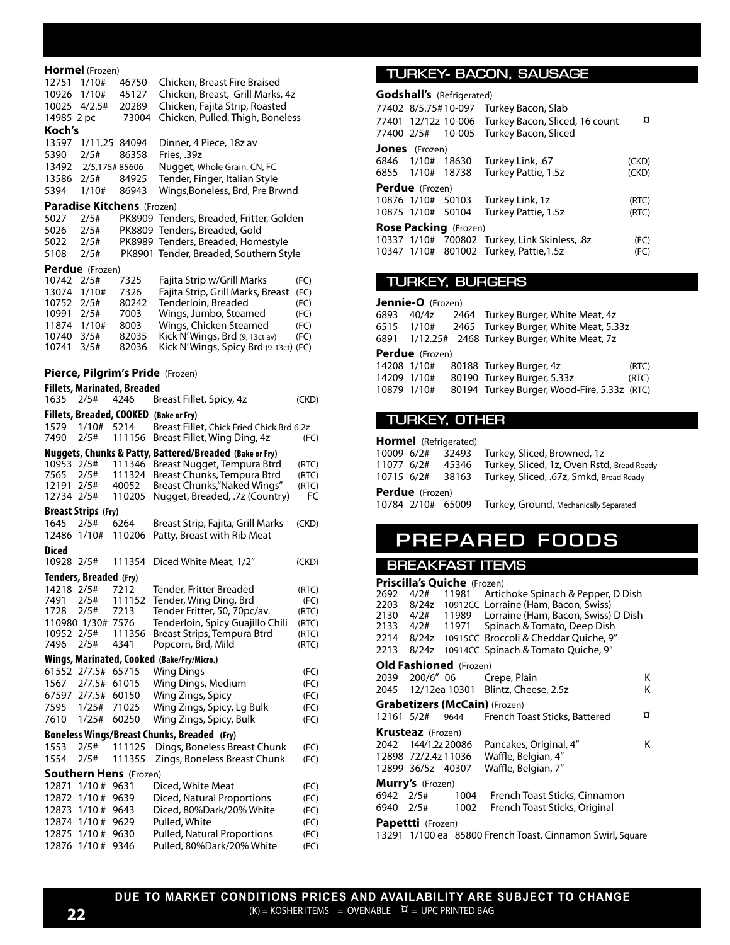| Hormel (Frozen)                                    |                 |                                                                 |                |
|----------------------------------------------------|-----------------|-----------------------------------------------------------------|----------------|
| 12751<br>1/10#                                     | 46750           | Chicken, Breast Fire Braised                                    |                |
| 10926<br>1/10#                                     | 45127           | Chicken, Breast, Grill Marks, 4z                                |                |
| 10025<br>4/2.5#                                    | 20289           | Chicken, Fajita Strip, Roasted                                  |                |
| 14985 2 pc<br>Koch's                               | 73004           | Chicken, Pulled, Thigh, Boneless                                |                |
| 13597                                              | 1/11.25 84094   | Dinner, 4 Piece, 18z av                                         |                |
| 5390<br>2/5#                                       | 86358           | Fries, .39z                                                     |                |
| 13492                                              | 2/5.175#85606   | Nugget, Whole Grain, CN, FC                                     |                |
| 13586 2/5#                                         | 84925           | Tender, Finger, Italian Style                                   |                |
| 1/10#<br>5394                                      | 86943           | Wings, Boneless, Brd, Pre Brwnd                                 |                |
| Paradise Kitchens (Frozen)                         |                 |                                                                 |                |
| 5027<br>2/5#                                       |                 | PK8909 Tenders, Breaded, Fritter, Golden                        |                |
| 5026<br>2/5#                                       |                 | PK8809 Tenders, Breaded, Gold                                   |                |
| 5022<br>2/5#                                       |                 | PK8989 Tenders, Breaded, Homestyle                              |                |
| 5108<br>2/5#                                       |                 | PK8901 Tender, Breaded, Southern Style                          |                |
| Perdue (Frozen)                                    |                 |                                                                 |                |
| 10742 2/5#<br>13074<br>1/10#                       | 7325<br>7326    | Fajita Strip w/Grill Marks<br>Fajita Strip, Grill Marks, Breast | (FC)<br>(FC)   |
| 10752<br>2/5#                                      | 80242           | Tenderloin, Breaded                                             | (FC)           |
| 10991<br>2/5#                                      | 7003            | Wings, Jumbo, Steamed                                           | (FC)           |
| 11874 1/10#                                        | 8003            | Wings, Chicken Steamed                                          | (FC)           |
| 10740 3/5#                                         | 82035           | Kick N'Wings, Brd (9, 13ct av)                                  | (FC)           |
| 10741<br>3/5#                                      | 82036           | Kick N'Wings, Spicy Brd (9-13ct) (FC)                           |                |
| Pierce, Pilgrim's Pride (Frozen)                   |                 |                                                                 |                |
|                                                    |                 |                                                                 |                |
| <b>Fillets, Marinated, Breaded</b><br>2/5#<br>1635 | 4246            | Breast Fillet, Spicy, 4z                                        | (CKD)          |
| Fillets, Breaded, COOKED (Bake or Fry)             |                 |                                                                 |                |
| 1579<br>1/10#                                      | 5214            | Breast Fillet, Chick Fried Chick Brd 6.2z                       |                |
| 7490<br>2/5#                                       |                 | 111156 Breast Fillet, Wing Ding, 4z                             | (FC)           |
|                                                    |                 | Nuggets, Chunks & Patty, Battered/Breaded (Bake or Fry)         |                |
| 10953 2/5#                                         |                 | 111346 Breast Nugget, Tempura Btrd                              | (RTC)          |
| 7565<br>2/5#                                       | 111324          | Breast Chunks, Tempura Btrd                                     | (RTC)          |
| 12191 2/5#<br>12734 2/5#                           | 40052<br>110205 | Breast Chunks, "Naked Wings"<br>Nugget, Breaded, .7z (Country)  | (RTC)<br>FC    |
| <b>Breast Strips</b> (Fry)                         |                 |                                                                 |                |
| 1645<br>2/5#                                       | 6264            | Breast Strip, Fajita, Grill Marks                               | (CKD)          |
| 12486 1/10#                                        | 110206          | Patty, Breast with Rib Meat                                     |                |
| Diced                                              |                 |                                                                 |                |
| 10928 2/5#                                         | 111354          | Diced White Meat, 1/2"                                          | (CKD)          |
| Tenders, Breaded (Fry)                             |                 |                                                                 |                |
| 14218 2/5#                                         | 7212            | Tender, Fritter Breaded                                         | (RTC)          |
| 7491<br>2/5#                                       | 111152          | Tender, Wing Ding, Brd                                          | (FC)           |
| 2/5#<br>1728                                       | 7213            | Tender Fritter, 50, 70pc/av.                                    | (RTC)          |
| 110980 1/30#<br>10952<br>2/5#                      | 7576<br>111356  | Tenderloin, Spicy Guajillo Chili<br>Breast Strips, Tempura Btrd | (RTC)<br>(RTC) |
| 7496<br>2/5#                                       | 4341            | Popcorn, Brd, Mild                                              | (RTC)          |
|                                                    |                 | Wings, Marinated, Cooked (Bake/Fry/Micro.)                      |                |
| 61552<br>2/7.5#                                    | 65715           | Wing Dings                                                      | (FC)           |
| 1567<br>2/7.5#                                     | 61015           | Wing Dings, Medium                                              | (FC)           |
| 67597<br>2/7.5#                                    | 60150           | Wing Zings, Spicy                                               | (FC)           |
| 7595<br>1/25#                                      | 71025           | Wing Zings, Spicy, Lg Bulk                                      | (FC)           |
| 7610<br>1/25#                                      | 60250           | Wing Zings, Spicy, Bulk                                         | (FC)           |
|                                                    |                 | <b>Boneless Wings/Breast Chunks, Breaded</b> (Fry)              |                |
| 1553<br>2/5#                                       | 111125          | Dings, Boneless Breast Chunk                                    | (FC)           |
| 1554<br>2/5#                                       | 111355          | Zings, Boneless Breast Chunk                                    | (FC)           |
| <b>Southern Hens</b> (Frozen)                      |                 |                                                                 |                |
| 12871<br>1/10#                                     | 9631            | Diced, White Meat                                               | (FC)           |
| 12872<br>$1/10$ #<br>1/10#<br>12873                | 9639<br>9643    | Diced, Natural Proportions<br>Diced, 80%Dark/20% White          | (FC)<br>(FC)   |
| 12874<br>1/10#                                     | 9629            | Pulled, White                                                   | (FC)           |
| 12875<br>1/10#                                     | 9630            | <b>Pulled, Natural Proportions</b>                              | (FC)           |
| 12876<br>1/10#                                     | 9346            | Pulled, 80%Dark/20% White                                       | (FC)           |

12876 1/10 # 9346 Pulled, 80%Dark/20% White

#### **TURKEY- BACON, SAUSAGE**

|                              | <b>Godshall's</b> (Refrigerated) |                  |                                                    |       |  |  |
|------------------------------|----------------------------------|------------------|----------------------------------------------------|-------|--|--|
|                              |                                  |                  | 77402 8/5.75#10-097 Turkey Bacon, Slab             |       |  |  |
|                              |                                  |                  | 77401 12/12z 10-006 Turkey Bacon, Sliced, 16 count | ¤     |  |  |
|                              |                                  |                  | 77400 2/5# 10-005 Turkey Bacon, Sliced             |       |  |  |
|                              | <b>Jones</b> (Frozen)            |                  |                                                    |       |  |  |
|                              |                                  |                  | 6846 1/10# 18630 Turkey Link, .67                  | (CKD) |  |  |
|                              |                                  | 6855 1/10# 18738 | Turkey Pattie, 1.5z                                | (CKD) |  |  |
|                              | <b>Perdue</b> (Frozen)           |                  |                                                    |       |  |  |
|                              |                                  |                  | 10876 1/10# 50103 Turkey Link, 1z                  | (RTC) |  |  |
|                              |                                  |                  | 10875 1/10# 50104 Turkey Pattie, 1.5z              | (RTC) |  |  |
| <b>Rose Packing</b> (Frozen) |                                  |                  |                                                    |       |  |  |
|                              |                                  |                  | 10337 1/10# 700802 Turkey, Link Skinless, .8z      | (FC)  |  |  |
|                              |                                  |                  | 10347 1/10# 801002 Turkey, Pattie, 1.5z            | (FC)  |  |  |

#### **TURKEY, BURGERS**

|             | <b>Jennie-O</b> (Frozen) |  |                                                  |       |  |  |
|-------------|--------------------------|--|--------------------------------------------------|-------|--|--|
| 6893        |                          |  | 40/4z 2464 Turkey Burger, White Meat, 4z         |       |  |  |
|             |                          |  | 6515 1/10# 2465 Turkey Burger, White Meat, 5.33z |       |  |  |
|             |                          |  | 6891 1/12.25# 2468 Turkey Burger, White Meat, 7z |       |  |  |
|             | <b>Perdue</b> (Frozen)   |  |                                                  |       |  |  |
| 14208 1/10# |                          |  | 80188 Turkey Burger, 4z                          | (RTC) |  |  |
| 14209 1/10# |                          |  | 80190 Turkey Burger, 5.33z                       | (RTC) |  |  |
| 10879 1/10# |                          |  | 80194 Turkey Burger, Wood-Fire, 5.33z (RTC)      |       |  |  |

#### **TURKEY, OTHER**

| <b>Hormel</b> (Refrigerated) |                                            |  |  |  |  |
|------------------------------|--------------------------------------------|--|--|--|--|
| 10009 6/2#<br>32493          | Turkey, Sliced, Browned, 1z                |  |  |  |  |
| 11077 6/2#<br>45346          | Turkey, Sliced, 1z, Oven Rstd, Bread Ready |  |  |  |  |
| 10715 6/2#<br>38163          | Turkey, Sliced, .67z, Smkd, Bread Ready    |  |  |  |  |
| <b>Perdue</b> (Frozen)       |                                            |  |  |  |  |
| 10784 2/10# 65009            | Turkey, Ground, Mechanically Separated     |  |  |  |  |
|                              |                                            |  |  |  |  |

### **PREPARED FOODS**

#### **BREAKFAST ITEMS**

|           |                          | <b>Priscilla's Quiche</b> (Frozen) |                                                           |   |
|-----------|--------------------------|------------------------------------|-----------------------------------------------------------|---|
|           |                          |                                    | 2692 4/2# 11981 Artichoke Spinach & Pepper, D Dish        |   |
|           |                          |                                    | 2203 8/24z 10912CC Lorraine (Ham, Bacon, Swiss)           |   |
|           |                          |                                    | 2130 4/2# 11989 Lorraine (Ham, Bacon, Swiss) D Dish       |   |
|           |                          |                                    | 2133 4/2# 11971 Spinach & Tomato, Deep Dish               |   |
|           |                          |                                    | 2214 8/24z 10915CC Broccoli & Cheddar Quiche, 9"          |   |
|           |                          |                                    | 2213 8/24z 10914CC Spinach & Tomato Quiche, 9"            |   |
|           |                          | Old Fashioned (Frozen)             |                                                           |   |
|           | 2039 200/6"06            |                                    | Crepe, Plain                                              | Κ |
|           |                          |                                    |                                                           | Κ |
|           |                          |                                    | <b>Grabetizers (McCain)</b> (Frozen)                      |   |
|           |                          |                                    | 12161 5/2# 9644 French Toast Sticks, Battered             | ¤ |
|           | <b>Krusteaz</b> (Frozen) |                                    |                                                           |   |
|           | 2042      144/1.2z 20086 |                                    | Pancakes, Original, 4"                                    | Κ |
|           |                          | 12898 72/2.4z 11036                | Waffle, Belgian, 4"                                       |   |
|           |                          | 12899 36/5z 40307                  | Waffle, Belgian, 7"                                       |   |
|           | <b>Murry's</b> (Frozen)  |                                    |                                                           |   |
| 6942 2/5# |                          | 1004                               | French Toast Sticks, Cinnamon                             |   |
|           | 6940 2/5#                |                                    | 1002 French Toast Sticks, Original                        |   |
|           | Papettti (Frozen)        |                                    |                                                           |   |
|           |                          |                                    | 13291 1/100 ea 85800 French Toast, Cinnamon Swirl, Square |   |
|           |                          |                                    |                                                           |   |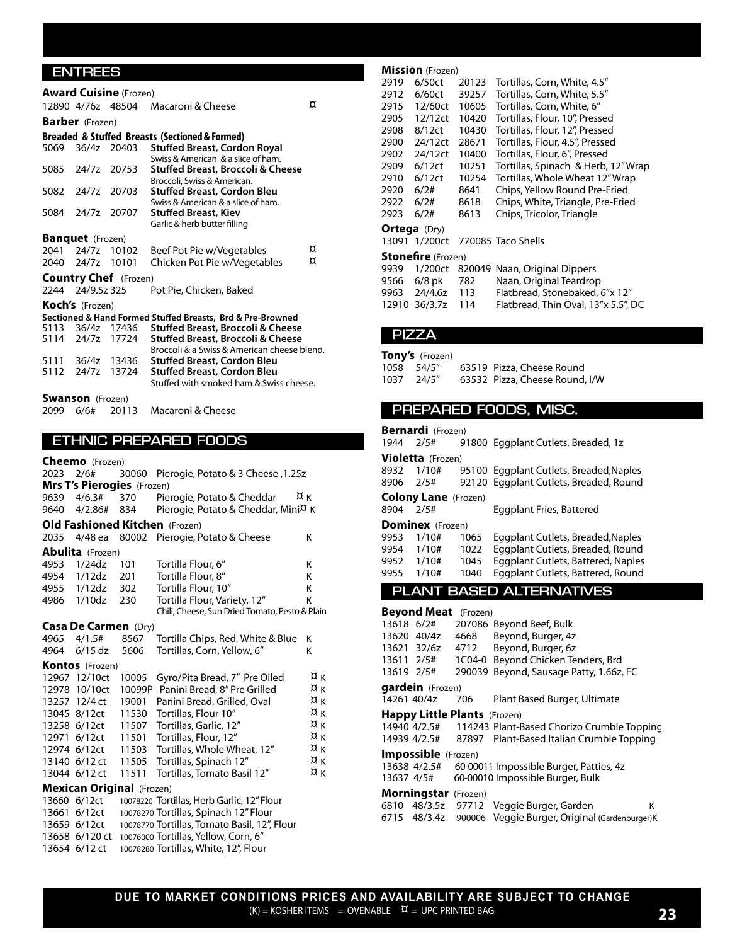#### **ENTREES**

|      | <b>Award Cuisine</b> (Frozen) |                              |                                                                           |   |  |  |  |
|------|-------------------------------|------------------------------|---------------------------------------------------------------------------|---|--|--|--|
|      |                               | 12890 4/76z 48504            | Macaroni & Cheese                                                         | ¤ |  |  |  |
|      | <b>Barber</b> (Frozen)        |                              |                                                                           |   |  |  |  |
|      |                               |                              | Breaded & Stuffed Breasts (Sectioned & Formed)                            |   |  |  |  |
| 5069 |                               | 36/4z 20403                  | <b>Stuffed Breast, Cordon Royal</b><br>Swiss & American & a slice of ham. |   |  |  |  |
|      | 5085 24/7z 20753              |                              | Stuffed Breast, Broccoli & Cheese<br>Broccoli, Swiss & American.          |   |  |  |  |
|      |                               | 5082 24/7z 20703             | <b>Stuffed Breast, Cordon Bleu</b><br>Swiss & American & a slice of ham.  |   |  |  |  |
|      | 5084 24/7z 20707              |                              | <b>Stuffed Breast, Kiev</b><br>Garlic & herb butter filling               |   |  |  |  |
|      | <b>Banquet</b> (Frozen)       |                              |                                                                           |   |  |  |  |
|      |                               | 2041 24/7z 10102             | Beef Pot Pie w/Vegetables                                                 | ¤ |  |  |  |
|      | 2040 24/7z 10101              |                              | Chicken Pot Pie w/Vegetables                                              | ¤ |  |  |  |
|      |                               | <b>Country Chef</b> (Frozen) |                                                                           |   |  |  |  |
|      | 2244 24/9.5 z 325             |                              | Pot Pie. Chicken. Baked                                                   |   |  |  |  |
|      | <b>Koch's</b> (Frozen)        |                              |                                                                           |   |  |  |  |
|      |                               |                              | Sectioned & Hand Formed Stuffed Breasts, Brd & Pre-Browned                |   |  |  |  |
|      |                               | 5113 36/4z 17436             | Stuffed Breast, Broccoli & Cheese                                         |   |  |  |  |
|      |                               | 5114 24/7z 17724             | Stuffed Breast, Broccoli & Cheese                                         |   |  |  |  |
|      |                               |                              | Broccoli & a Swiss & American cheese blend.                               |   |  |  |  |
|      |                               | 5111 36/4z 13436             | <b>Stuffed Breast, Cordon Bleu</b>                                        |   |  |  |  |
|      |                               | 5112 24/7z 13724             | <b>Stuffed Breast, Cordon Bleu</b>                                        |   |  |  |  |
|      |                               |                              | Stuffed with smoked ham & Swiss cheese.                                   |   |  |  |  |
|      | <b>Swanson</b> (Frozen)       |                              |                                                                           |   |  |  |  |
| 2099 | 6/6#                          | 20113                        | Macaroni & Cheese                                                         |   |  |  |  |

#### **ETHNIC PREPARED FOODS**

**Cheemo** (Frozen)

| 2023 2/6# |                                   |       | 30060 Pierogie, Potato & 3 Cheese, 1.25z       |    |
|-----------|-----------------------------------|-------|------------------------------------------------|----|
|           | <b>Mrs T's Pierogies</b> (Frozen) |       |                                                |    |
| 9639      | 4/6.3#                            | 370   | Pierogie, Potato & Cheddar                     | ¤κ |
| 9640      | 4/2.86#                           | 834   | Pierogie, Potato & Cheddar, Mini¤ K            |    |
|           |                                   |       | <b>Old Fashioned Kitchen</b> (Frozen)          |    |
| 2035      | 4/48 ea                           |       | 80002 Pierogie, Potato & Cheese                | K  |
|           | <b>Abulita</b> (Frozen)           |       |                                                |    |
| 4953      | 1/24dz                            | 101   | Tortilla Flour, 6"                             | K  |
| 4954      | 1/12dz                            | 201   | Tortilla Flour, 8"                             | K  |
| 4955      | 1/12dz                            | 302   | Tortilla Flour, 10"                            | K  |
| 4986      | 1/10dz                            | 230   | Tortilla Flour, Variety, 12"                   | K  |
|           |                                   |       | Chili, Cheese, Sun Dried Tomato, Pesto & Plain |    |
|           | <b>Casa De Carmen</b> (Dry)       |       |                                                |    |
| 4965      | 4/1.5#                            | 8567  | Tortilla Chips, Red, White & Blue              | Κ  |
| 4964      | $6/15$ dz                         | 5606  | Tortillas, Corn, Yellow, 6"                    | K  |
|           | <b>Kontos</b> (Frozen)            |       |                                                |    |
|           | 12967 12/10ct                     | 10005 | Gyro/Pita Bread, 7" Pre Oiled                  | ¤κ |
|           | 12978 10/10ct                     |       | 10099P Panini Bread, 8" Pre Grilled            | ¤κ |
|           | 13257 12/4 ct                     | 19001 | Panini Bread, Grilled, Oval                    | ¤κ |
|           | 13045 8/12ct                      | 11530 | Tortillas, Flour 10"                           | ¤κ |
|           | 13258 6/12ct                      | 11507 | Tortillas, Garlic, 12"                         | ¤κ |
|           | 12971 6/12ct                      | 11501 | Tortillas, Flour, 12"                          | ¤κ |
|           | 12974 6/12ct                      | 11503 | Tortillas, Whole Wheat, 12"                    | ¤κ |
|           | 13140 6/12 ct                     | 11505 | Tortillas, Spinach 12"                         | ¤κ |
|           | 13044 6/12 ct                     | 11511 | Tortillas, Tomato Basil 12"                    | ¤κ |
|           | <b>Mexican Original (Frozen)</b>  |       |                                                |    |
|           | 13660 6/12ct                      |       | 10078220 Tortillas, Herb Garlic, 12" Flour     |    |
|           | 13661 6/12ct                      |       | 10078270 Tortillas, Spinach 12" Flour          |    |
|           | 13659 6/12ct                      |       | 10078770 Tortillas, Tomato Basil, 12", Flour   |    |

13658 6/120 ct 10076000 Tortillas, Yellow, Corn, 6" 13654 6/12 ct 10078280 Tortillas, White, 12", Flour

#### **Mission** (Frozen)

| 2919 | 6/50ct                    | 20123 | Tortillas, Corn, White, 4.5"         |  |  |  |
|------|---------------------------|-------|--------------------------------------|--|--|--|
| 2912 | 6/60ct                    | 39257 | Tortillas, Corn, White, 5.5"         |  |  |  |
| 2915 | 12/60ct                   | 10605 | Tortillas, Corn, White, 6"           |  |  |  |
| 2905 | 12/12ct                   | 10420 | Tortillas, Flour, 10", Pressed       |  |  |  |
| 2908 | 8/12ct                    | 10430 | Tortillas, Flour, 12", Pressed       |  |  |  |
| 2900 | 24/12ct                   | 28671 | Tortillas, Flour, 4.5", Pressed      |  |  |  |
| 2902 | 24/12ct                   | 10400 | Tortillas, Flour, 6", Pressed        |  |  |  |
| 2909 | 6/12ct                    | 10251 | Tortillas, Spinach & Herb, 12" Wrap  |  |  |  |
| 2910 | 6/12ct                    | 10254 | Tortillas, Whole Wheat 12" Wrap      |  |  |  |
| 2920 | 6/2#                      | 8641  | Chips, Yellow Round Pre-Fried        |  |  |  |
| 2922 | 6/2#                      | 8618  | Chips, White, Triangle, Pre-Fried    |  |  |  |
| 2923 | 6/2#                      | 8613  | Chips, Tricolor, Triangle            |  |  |  |
|      | <b>Ortega</b> (Dry)       |       |                                      |  |  |  |
|      | 13091 1/200ct             |       | 770085 Taco Shells                   |  |  |  |
|      | <b>Stonefire</b> (Frozen) |       |                                      |  |  |  |
| ററാറ |                           |       | 1/200st 020040 Naan Original Dinners |  |  |  |

|                   | 9939 1/200ct 820049 Naan, Original Dippers |
|-------------------|--------------------------------------------|
| 9566 6/8 pk 782   | Naan, Original Teardrop                    |
| 9963 24/4.6z 113  | Flatbread, Stonebaked, 6"x 12"             |
| 12910 36/3.7z 114 | Flatbread, Thin Oval, 13"x 5.5", DC        |

#### **PIZZA**

#### **Tony's** (Frozen)

| 1058 54/5" | 63519 Pizza, Cheese Round      |
|------------|--------------------------------|
| 1037 24/5" | 63532 Pizza, Cheese Round, I/W |

#### **PREPARED FOODS, MISC.**

| 1944                 | <b>Bernardi</b> (Frozen)<br>2/5#    |                      | 91800 Eggplant Cutlets, Breaded, 1z                                                                                |   |
|----------------------|-------------------------------------|----------------------|--------------------------------------------------------------------------------------------------------------------|---|
|                      |                                     |                      |                                                                                                                    |   |
| 8932<br>8906         | Violetta (Frozen)<br>1/10#<br>2/5#  |                      | 95100 Eggplant Cutlets, Breaded, Naples<br>92120 Eggplant Cutlets, Breaded, Round                                  |   |
|                      | <b>Colony Lane</b> (Frozen)         |                      |                                                                                                                    |   |
| 8904                 | 2/5#                                |                      | Eggplant Fries, Battered                                                                                           |   |
|                      | Dominex (Frozen)                    |                      |                                                                                                                    |   |
| 9953<br>9954<br>9952 | 1/10#<br>1/10#<br>1/10#             | 1065<br>1022<br>1045 | Eggplant Cutlets, Breaded, Naples<br>Eggplant Cutlets, Breaded, Round<br><b>Eggplant Cutlets, Battered, Naples</b> |   |
| 9955                 | 1/10#                               | 1040                 | Eggplant Cutlets, Battered, Round                                                                                  |   |
|                      |                                     |                      | <b>PLANT BASED ALTERNATIVES</b>                                                                                    |   |
|                      |                                     |                      |                                                                                                                    |   |
|                      | <b>Beyond Meat</b> (Frozen)         |                      |                                                                                                                    |   |
|                      | 13618 6/2#                          |                      | 207086 Beyond Beef, Bulk                                                                                           |   |
|                      | 13620 40/4z                         | 4668                 | Beyond, Burger, 4z                                                                                                 |   |
|                      | 13621 32/6z                         | 4712                 | Beyond, Burger, 6z                                                                                                 |   |
|                      | 13611 2/5#                          | 1C04-0               | Beyond Chicken Tenders, Brd                                                                                        |   |
|                      | 13619 2/5#                          |                      | 290039 Beyond, Sausage Patty, 1.66z, FC                                                                            |   |
|                      | gardein (Frozen)                    |                      |                                                                                                                    |   |
| 14261 40/4z          |                                     | 706                  | Plant Based Burger, Ultimate                                                                                       |   |
|                      | <b>Happy Little Plants</b> (Frozen) |                      |                                                                                                                    |   |
|                      | 14940 4/2.5#                        |                      | 114243 Plant-Based Chorizo Crumble Topping                                                                         |   |
|                      | 14939 4/2.5#                        | 87897                | Plant-Based Italian Crumble Topping                                                                                |   |
|                      | <b>Impossible</b> (Frozen)          |                      |                                                                                                                    |   |
|                      | 13638 4/2.5#                        |                      | 60-00011 Impossible Burger, Patties, 4z                                                                            |   |
| 13637 4/5#           |                                     |                      | 60-00010 Impossible Burger, Bulk                                                                                   |   |
|                      | <b>Morningstar</b> (Frozen)         |                      |                                                                                                                    |   |
| 6810                 | 48/3.5z                             | 97712                | Veggie Burger, Garden                                                                                              | ĸ |
|                      | 6715 48/3.4z                        | 900006               | Veggie Burger, Original (Gardenburger)K                                                                            |   |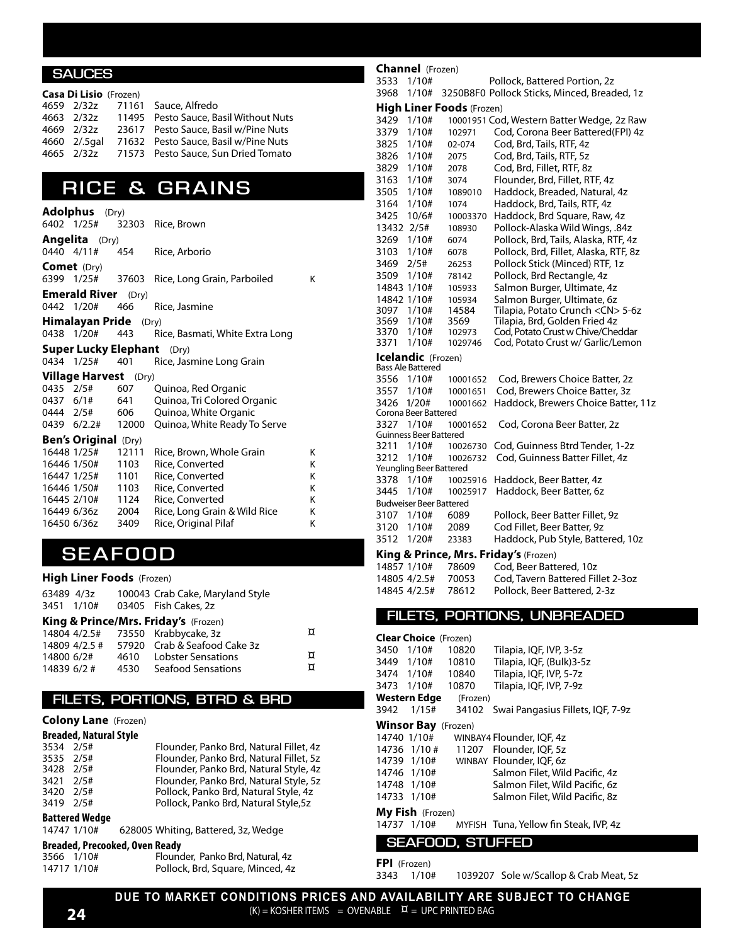#### **SAUCES**

|  | <b>Casa Di Lisio</b> (Frozen) |                                                   |
|--|-------------------------------|---------------------------------------------------|
|  |                               | 4659 2/32z 71161 Sauce, Alfredo                   |
|  |                               | 4663 2/32z 11495 Pesto Sauce, Basil Without Nuts  |
|  |                               | 4669 2/32z 23617 Pesto Sauce, Basil w/Pine Nuts   |
|  |                               | 4660 2/.5gal 71632 Pesto Sauce, Basil w/Pine Nuts |
|  |                               | 4665 2/32z 71573 Pesto Sauce, Sun Dried Tomato    |

### **RICE & GRAINS**

|             | <b>Adolphus</b> (Dry)          |       |                                   |   |
|-------------|--------------------------------|-------|-----------------------------------|---|
| 6402 1/25#  |                                |       | 32303 Rice, Brown                 |   |
|             | <b>Angelita</b> (Dry)          |       |                                   |   |
| 0440 4/11#  |                                | 454   | Rice, Arborio                     |   |
|             | <b>Comet</b> (Dry)             |       |                                   |   |
|             | 6399 1/25#                     |       | 37603 Rice, Long Grain, Parboiled | Κ |
|             | <b>Emerald River</b> (Dry)     |       |                                   |   |
| 0442 1/20#  |                                | 466   | Rice, Jasmine                     |   |
|             | <b>Himalayan Pride</b> $(Dry)$ |       |                                   |   |
|             | 0438 1/20#                     | 443   | Rice, Basmati, White Extra Long   |   |
|             | <b>Super Lucky Elephant</b>    |       | (Dry)                             |   |
|             | 0434 1/25#                     | 401   | Rice, Jasmine Long Grain          |   |
|             | <b>Village Harvest</b> (Dry)   |       |                                   |   |
| 0435 2/5#   |                                | 607   | Quinoa, Red Organic               |   |
|             | 0437 6/1#                      | 641   | Quinoa, Tri Colored Organic       |   |
|             | 0444 2/5# 606                  |       | Quinoa, White Organic             |   |
|             | 0439 6/2.2# 12000              |       | Quinoa, White Ready To Serve      |   |
|             | <b>Ben's Original (Dry)</b>    |       |                                   |   |
|             | 16448 1/25#                    | 12111 | Rice, Brown, Whole Grain          | Κ |
|             | 16446 1/50#                    | 1103  | Rice, Converted                   | Κ |
|             | 16447 1/25#                    | 1101  | Rice, Converted                   | Κ |
|             | 16446 1/50#                    | 1103  | Rice, Converted                   | K |
|             | 16445 2/10#                    | 1124  | Rice, Converted                   | Κ |
|             | 16449 6/36z 2004               |       | Rice, Long Grain & Wild Rice      | Κ |
| 16450 6/36z |                                | 3409  | Rice, Original Pilaf              | Κ |

### **SEAFOOD**

#### **High Liner Foods** (Frozen)

|             | 63489 4/3z | 100043 Crab Cake, Maryland Style           |   |
|-------------|------------|--------------------------------------------|---|
| 3451 1/10#  |            | 03405 Fish Cakes, 2z                       |   |
|             |            | King & Prince/Mrs. Friday's (Frozen)       |   |
|             |            | 14804 4/2.5# 73550 Krabbycake, 3z          | ¤ |
|             |            | 14809 4/2.5 # 57920 Crab & Seafood Cake 3z |   |
| 14800 6/2#  |            | 4610 Lobster Sensations                    | ¤ |
| 14839 6/2 # |            | 4530 Seafood Sensations                    | ¤ |

#### **FILETS, PORTIONS, BTRD & BRD**

#### **Colony Lane** (Frozen)

| <b>Breaded, Natural Style</b> |      |                                         |  |  |  |
|-------------------------------|------|-----------------------------------------|--|--|--|
| 3534 2/5#                     |      | Flounder, Panko Brd, Natural Fillet, 4z |  |  |  |
| 3535 2/5#                     |      | Flounder, Panko Brd, Natural Fillet, 5z |  |  |  |
| 3428 2/5#                     |      | Flounder, Panko Brd, Natural Style, 4z  |  |  |  |
| 3421                          | 2/5# | Flounder, Panko Brd, Natural Style, 5z  |  |  |  |
| 3420                          | 2/5# | Pollock, Panko Brd, Natural Style, 4z   |  |  |  |
| 3419 2/5#                     |      | Pollock, Panko Brd, Natural Style, 5z   |  |  |  |

#### **Battered Wedge**

14747 1/10# 628005 Whiting, Battered, 3z, Wedge

### **Breaded, Precooked, Oven Ready**

| 3566 1/10#  | Flounder, Panko Brd, Natural, 4z |
|-------------|----------------------------------|
| 14717 1/10# | Pollock, Brd, Square, Minced, 4z |

#### **Channel** (Frozen)

| 3533                | 1/10#                            |                                  | Pollock, Battered Portion, 2z                                         |
|---------------------|----------------------------------|----------------------------------|-----------------------------------------------------------------------|
| 3968                | 1/10#                            |                                  | 3250B8F0 Pollock Sticks, Minced, Breaded, 1z                          |
|                     |                                  | <b>High Liner Foods</b> (Frozen) |                                                                       |
| 3429                | 1/10#                            |                                  | 10001951 Cod, Western Batter Wedge, 2z Raw                            |
| 3379<br>3825        | 1/10#<br>1/10#                   | 102971<br>02-074                 | Cod, Corona Beer Battered (FPI) 4z<br>Cod, Brd, Tails, RTF, 4z        |
| 3826                | 1/10#                            | 2075                             | Cod, Brd, Tails, RTF, 5z                                              |
| 3829                | 1/10#                            | 2078                             | Cod, Brd, Fillet, RTF, 8z                                             |
| 3163                | 1/10#                            | 3074                             | Flounder, Brd, Fillet, RTF, 4z                                        |
| 3505                | 1/10#                            | 1089010                          | Haddock, Breaded, Natural, 4z                                         |
| 3164                | 1/10#                            | 1074                             | Haddock, Brd, Tails, RTF, 4z                                          |
| 3425                | 10/6#                            | 10003370                         | Haddock, Brd Square, Raw, 4z                                          |
| 13432               | 2/5#                             | 108930                           | Pollock-Alaska Wild Wings, .84z                                       |
| 3269                | 1/10#                            | 6074                             | Pollock, Brd, Tails, Alaska, RTF, 4z                                  |
| 3103                | 1/10#                            | 6078                             | Pollock, Brd, Fillet, Alaska, RTF, 8z                                 |
| 3469                | 2/5#                             | 26253                            | Pollock Stick (Minced) RTF, 1z                                        |
| 3509<br>14843 1/10# | 1/10#                            | 78142                            | Pollock, Brd Rectangle, 4z                                            |
| 14842 1/10#         |                                  | 105933<br>105934                 | Salmon Burger, Ultimate, 4z<br>Salmon Burger, Ultimate, 6z            |
| 3097                | 1/10#                            | 14584                            | Tilapia, Potato Crunch <cn> 5-6z</cn>                                 |
| 3569                | 1/10#                            | 3569                             | Tilapia, Brd, Golden Fried 4z                                         |
| 3370                | 1/10#                            | 102973                           | Cod, Potato Crust w Chive/Cheddar                                     |
| 3371                | 1/10#                            | 1029746                          | Cod, Potato Crust w/ Garlic/Lemon                                     |
|                     | Icelandic (Frozen)               |                                  |                                                                       |
|                     | Bass Ale Battered                |                                  |                                                                       |
| 3556                | 1/10#                            | 10001652                         | Cod, Brewers Choice Batter, 2z                                        |
| 3557<br>3426        | 1/10#<br>1/20#                   | 10001651<br>10001662             | Cod, Brewers Choice Batter, 3z<br>Haddock, Brewers Choice Batter, 11z |
|                     | Corona Beer Battered             |                                  |                                                                       |
| 3327                | 1/10#                            | 10001652                         | Cod, Corona Beer Batter, 2z                                           |
|                     | Guinness Beer Battered           |                                  |                                                                       |
| 3211                | 1/10#                            | 10026730                         | Cod, Guinness Btrd Tender, 1-2z                                       |
| 3212                | 1/10#<br>Yeungling Beer Battered | 10026732                         | Cod, Guinness Batter Fillet, 4z                                       |
| 3378                | 1/10#                            | 10025916                         | Haddock, Beer Batter, 4z                                              |
| 3445                | 1/10#                            | 10025917                         | Haddock, Beer Batter, 6z                                              |
|                     | Budweiser Beer Battered          |                                  |                                                                       |
| 3107                | 1/10#                            | 6089                             | Pollock, Beer Batter Fillet, 9z                                       |
| 3120                | 1/10#                            | 2089                             | Cod Fillet, Beer Batter, 9z                                           |
| 3512                | 1/20#                            | 23383                            | Haddock, Pub Style, Battered, 10z                                     |
|                     |                                  |                                  | King & Prince, Mrs. Friday's (Frozen)                                 |
| 14857 1/10#         |                                  | 78609                            | Cod, Beer Battered, 10z                                               |
| 14805 4/2.5#        |                                  | 70053                            | Cod, Tavern Battered Fillet 2-3oz                                     |
| 14845 4/2.5#        |                                  | 78612                            | Pollock, Beer Battered, 2-3z                                          |
|                     |                                  |                                  |                                                                       |
|                     |                                  |                                  | FILETS, PORTIONS, UNBREADED                                           |
|                     | <b>Clear Choice</b> (Frozen)     |                                  |                                                                       |
| 3450                | 1/10#                            | 10820                            | Tilapia, IQF, IVP, 3-5z                                               |
| 3449                | 1/10#                            | 10810                            | Tilapia, IQF, (Bulk)3-5z                                              |
| 3474                | 1/10#                            | 10840                            | Tilapia, IQF, IVP, 5-7z                                               |
| 3473                | 1/10#                            | 10870                            | Tilapia, IQF, IVP, 7-9z                                               |
|                     | Western Edge                     | (Frozen)                         |                                                                       |
| 3942                | 1/15#                            | 34102                            | Swai Pangasius Fillets, IQF, 7-9z                                     |
|                     | <b>Winsor Bay</b> (Frozen)       |                                  |                                                                       |
| 14740 1/10#         |                                  |                                  | WINBAY4 Flounder, IQF, 4z                                             |
| 14736               | 1/10#                            | 11207                            | Flounder, IQF, 5z                                                     |
| 14739               | 1/10#                            |                                  | WINBAY Flounder, IQF, 6z                                              |
| 14746               | 1/10#                            |                                  | Salmon Filet, Wild Pacific, 4z                                        |
| 14748               | 1/10#                            |                                  | Salmon Filet, Wild Pacific, 6z                                        |
| 14733               | 1/10#                            |                                  | Salmon Filet, Wild Pacific, 8z                                        |

#### **My Fish** (Frozen)

14737 1/10# MYFISH Tuna, Yellow fin Steak, IVP, 4z

#### **SEAFOOD, STUFFED**

#### **FPI** (Frozen)

3343 1/10# 1039207 Sole w/Scallop & Crab Meat, 5z

**DUE TO MARKET CONDITIONS PRICES AND AVAILABILITY ARE SUBJECT TO CHANGE**  $(K) = KOSHER ITEMS = OVERABLE  $\alpha = UPC PRINTED BAG$$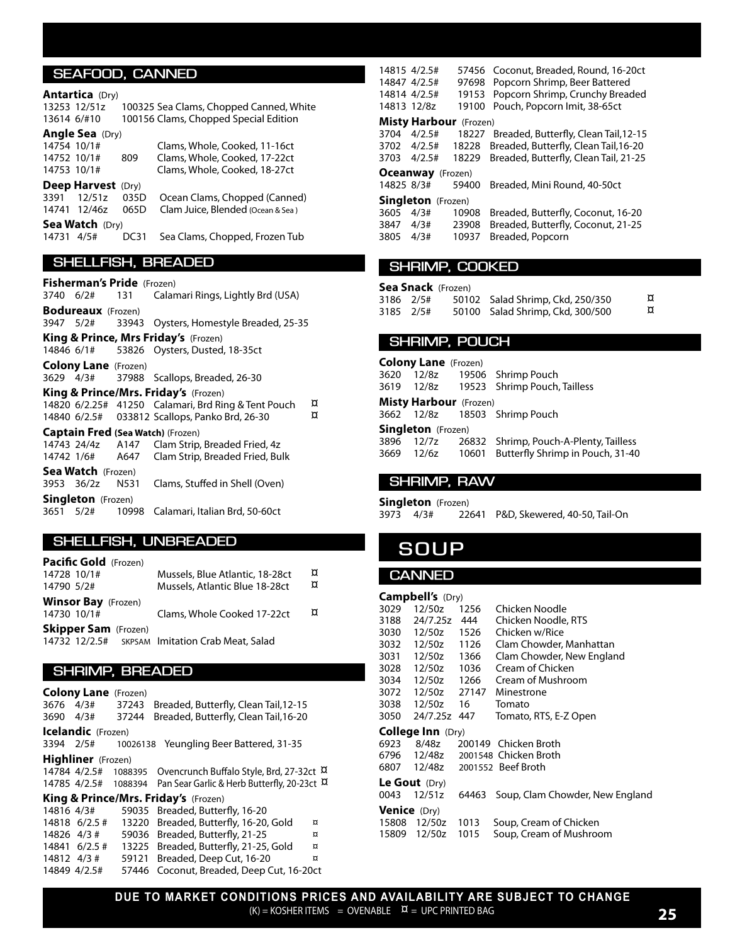#### **SEAFOOD, CANNED**

#### **Antartica** (Dry)

13253 12/51z 100325 Sea Clams, Chopped Canned, White 13614 6/#10 100156 Clams, Chopped Special Edition

#### **Angle Sea** (Dry)

14754 10/1# Clams, Whole, Cooked, 11-16ct 3.65# 14752 10/1# 809 Clams, Whole, Cooked, 17-22ct 3.55# 14753 10/1# Clams, Whole, Cooked, 18-27ct 3.35# **Deep Harvest** (Dry) 3391 12/51z 035D Ocean Clams, Chopped (Canned) 14741 12/46z 065D Clam Juice, Blended (Ocean & Sea) **Sea Watch** (Dry)<br>14731 4/5# DC31 Sea Clams, Chopped, Frozen Tub

#### **SHELLFISH, BREADED**

**Fisherman's Pride** (Frozen) 3740 6/2# 131 Calamari Rings, Lightly Brd (USA) **Bodureaux** (Frozen) 3947 5/2# 33943 Oysters, Homestyle Breaded, 25-35 **King & Prince, Mrs Friday's** (Frozen) 14846 6/1# 53826 Oysters, Dusted, 18-35ct **Colony Lane** (Frozen) 3629 4/3# 37988 Scallops, Breaded, 26-30 **King & Prince/Mrs. Friday's** (Frozen) 14820 6/2.25# 41250 Calamari, Brd Ring & Tent Pouch  $\overline{a}$ <br>14840 6/2.5# 033812 Scallops, Panko Brd, 26-30  $\overline{a}$ 14840 6/2.5# 033812 Scallops, Panko Brd, 26-30 **Captain Fred (Sea Watch)** (Frozen) Clam Strip, Breaded Fried, 4z 14742 1/6# A647 Clam Strip, Breaded Fried, Bulk **Sea Watch** (Frozen) 3953 36/2z N531 Clams, Stuffed in Shell (Oven) **Singleton** (Frozen)<br>3651 5/2# 109 10998 Calamari, Italian Brd, 50-60ct

#### **SHELLFISH, UNBREADED**

**Pacific Gold** (Frozen) 14728 10/1# Mussels, Blue Atlantic, 18-28ct  $\overline{\mathfrak{A}}$ <br>14790 5/2# Mussels. Atlantic Blue 18-28ct  $\overline{\mathfrak{A}}$ Mussels, Atlantic Blue 18-28ct **Winsor Bay** (Frozen) 14730 10/1 $\#$  Clams, Whole Cooked 17-22ct  $\alpha$ **Skipper Sam** (Frozen) 14732 12/2.5# SKPSAM Imitation Crab Meat, Salad

#### **SHRIMP, BREADED**

|             | <b>Colony Lane</b> (Frozen) |       |                                                                                    |   |
|-------------|-----------------------------|-------|------------------------------------------------------------------------------------|---|
| 3676        | 4/3#                        | 37243 | Breaded, Butterfly, Clean Tail, 12-15                                              |   |
| 3690        | 4/3#                        | 37244 | Breaded, Butterfly, Clean Tail, 16-20                                              |   |
|             | <b>Icelandic</b> (Frozen)   |       |                                                                                    |   |
|             | 3394 2/5#                   |       | 10026138 Yeungling Beer Battered, 31-35                                            |   |
|             | <b>Highliner</b> (Frozen)   |       |                                                                                    |   |
|             |                             |       | 14784 4/2.5# 1088395 Ovencrunch Buffalo Style, Brd, 27-32ct $\overline{\mu}$       |   |
|             |                             |       | 14785 4/2.5# 1088394 Pan Sear Garlic & Herb Butterfly, 20-23ct $\overline{\alpha}$ |   |
|             |                             |       | King & Prince/Mrs. Friday's (Frozen)                                               |   |
|             | 14816 4/3#                  |       | 59035 Breaded, Butterfly, 16-20                                                    |   |
|             | 14818 6/2.5 #               |       | 13220 Breaded, Butterfly, 16-20, Gold                                              | ¤ |
| 14826 4/3 # |                             |       | 59036 Breaded, Butterfly, 21-25                                                    | ¤ |
|             | 14841 6/2.5 #               |       | 13225 Breaded, Butterfly, 21-25, Gold                                              | ¤ |
| 14812 4/3 # |                             |       | 59121 Breaded, Deep Cut, 16-20                                                     | ¤ |
|             | 14849 4/2.5#                |       | 57446 Coconut, Breaded, Deep Cut, 16-20ct                                          |   |

14815 4/2.5# 57456 Coconut, Breaded, Round, 16-20ct 14847 4/2.5# 97698 Popcorn Shrimp, Beer Battered 14814 4/2.5# 19153 Popcorn Shrimp, Crunchy Breaded 14813 12/8z 19100 Pouch, Popcorn Imit, 38-65ct **Misty Harbour** (Frozen) 3704 4/2.5# 18227 Breaded, Butterfly, Clean Tail,12-15 6.18# 3702 4/2.5# 18228 Breaded, Butterfly, Clean Tail,16-20 5.83# 3703 4/2.5# 18229 Breaded, Butterfly, Clean Tail, 21-25 **Oceanway** (Frozen) 14825 8/3# 59400 Breaded, Mini Round, 40-50ct **Singleton** (Frozen) 3605 4/3# 10908 Breaded, Butterfly, Coconut, 16-20<br>3847 4/3# 23908 Breaded, Butterfly, Coconut, 21-25 3847 4/3# 23908 Breaded, Butterfly, Coconut, 21-25<br>3805 4/3# 10937 Breaded, Popcorn 10937 Breaded, Popcorn

#### **SHRIMP, COOKED**

|           | <b>Sea Snack</b> (Frozen) |                                  |   |
|-----------|---------------------------|----------------------------------|---|
| 3186 2/5# |                           | 50102 Salad Shrimp, Ckd, 250/350 | ¤ |
| 3185 2/5# |                           | 50100 Salad Shrimp, Ckd, 300/500 | ¤ |

#### **SHRIMP, POUCH**

**Colony Lane** (Frozen) 3620 12/8z 19506 Shrimp Pouch 3619 12/8z 19523 Shrimp Pouch, Tailless **Misty Harbour** (Frozen) 3662 12/8z 18503 Shrimp Pouch **Singleton** (Frozen) 3896 12/7z 26832 Shrimp, Pouch-A-Plenty, Tailless 3669 12/6z 10601 Butterfly Shrimp in Pouch, 31-40

#### **SHRIMP, RAW**

**Singleton** (Frozen)<br>3973 4/3# 22 22641 P&D, Skewered, 40-50, Tail-On

### **SOUP**

#### **CANNED**

|                     | Campbell's (Dry)         |       |                                   |
|---------------------|--------------------------|-------|-----------------------------------|
| 3029                | 12/50z                   | 1256  | Chicken Noodle                    |
| 3188                | 24/7.25z                 | 444   | Chicken Noodle, RTS               |
| 3030                | 12/50z                   | 1526  | Chicken w/Rice                    |
| 3032                | 12/50z                   | 1126  | Clam Chowder, Manhattan           |
| 3031                | 12/50z 1366              |       | Clam Chowder, New England         |
| 3028                | 12/50z 1036              |       | Cream of Chicken                  |
| 3034                | 12/50z 1266              |       | Cream of Mushroom                 |
| 3072                | 12/50z 27147             |       | Minestrone                        |
| 3038                | 12/50z                   | 16    | Tomato                            |
| 3050                | 24/7.25z 447             |       | Tomato, RTS, E-Z Open             |
|                     | <b>College Inn</b> (Dry) |       |                                   |
| 6923                | 8/48z                    |       | 200149 Chicken Broth              |
|                     |                          |       | 6796 12/48z 2001548 Chicken Broth |
|                     |                          |       | 6807 12/48z 2001552 Beef Broth    |
|                     | Le Gout (Dry)            |       |                                   |
| 0043                | 12/51z                   | 64463 | Soup, Clam Chowder, New England   |
| <b>Venice</b> (Dry) |                          |       |                                   |
| 15808               | 12/50z                   | 1013  | Soup, Cream of Chicken            |
| 15809               | 12/50z                   | 1015  | Soup, Cream of Mushroom           |
|                     |                          |       |                                   |

**DUE TO MARKET CONDITIONS PRICES AND AVAILABILITY ARE SUBJECT TO CHANGE**  $(K)$  = KOSHER ITEMS = OVENABLE  $\alpha$  = UPC PRINTED BAG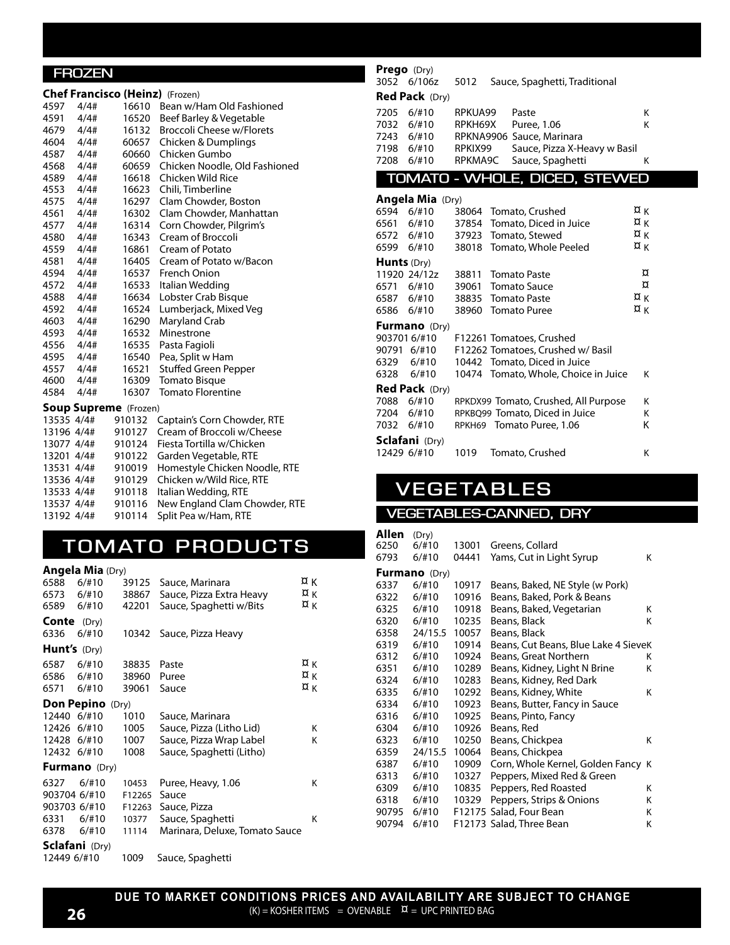#### **FROZEN**

|            |           |                              | <b>Chef Francisco (Heinz)</b> (Frozen) |
|------------|-----------|------------------------------|----------------------------------------|
| 4597       | 4/4#      | 16610                        | Bean w/Ham Old Fashioned               |
| 4591 4/4#  |           | 16520                        | Beef Barley & Vegetable                |
| 4679 4/4#  |           | 16132                        | <b>Broccoli Cheese w/Florets</b>       |
| 4604 4/4#  |           | 60657                        | Chicken & Dumplings                    |
| 4587 4/4#  |           | 60660                        | Chicken Gumbo                          |
| 4568 4/4#  |           | 60659                        | Chicken Noodle, Old Fashioned          |
| 4589 4/4#  |           |                              | 16618 Chicken Wild Rice                |
| 4553 4/4#  |           |                              | 16623 Chili, Timberline                |
| 4575 4/4#  |           |                              | 16297 Clam Chowder, Boston             |
| 4561 4/4#  |           | 16302                        | Clam Chowder, Manhattan                |
| 4577 4/4#  |           | 16314                        | Corn Chowder, Pilgrim's                |
| 4580       | 4/4#      | 16343                        | Cream of Broccoli                      |
| 4559       | $4/4$ #   | 16861                        | Cream of Potato                        |
| 4581       | 4/4#      | 16405                        | Cream of Potato w/Bacon                |
| 4594       | 4/4#      | 16537                        | French Onion                           |
| 4572       | 4/4#      | 16533                        | Italian Wedding                        |
| 4588       | 4/4#      | 16634                        | Lobster Crab Bisque                    |
| 4592       | 4/4#      | 16524                        | Lumberjack, Mixed Veg                  |
| 4603 4/4#  |           | 16290                        | Maryland Crab                          |
| 4593 4/4#  |           | 16532                        | Minestrone                             |
| 4556 4/4#  |           | 16535                        | Pasta Fagioli                          |
| 4595 4/4#  |           | 16540                        | Pea, Split w Ham                       |
|            | 4557 4/4# | 16521                        | Stuffed Green Pepper                   |
| 4600 4/4#  |           | 16309                        | Tomato Bisque                          |
| 4584 4/4#  |           | 16307                        | <b>Tomato Florentine</b>               |
|            |           | <b>Soup Supreme</b> (Frozen) |                                        |
| 13535 4/4# |           | 910132                       | Captain's Corn Chowder, RTE            |
|            |           | 13196 4/4# 910127            | Cream of Broccoli w/Cheese             |
| 13077 4/4# |           | 910124                       | Fiesta Tortilla w/Chicken              |
|            |           | 13201 4/4# 910122            | Garden Vegetable, RTE                  |
|            |           | 13531 4/4# 910019            | Homestyle Chicken Noodle, RTE          |
|            |           | 13536 4/4# 910129            | Chicken w/Wild Rice, RTE               |
|            |           | 13533 4/4# 910118            | Italian Wedding, RTE                   |
|            |           | 13537 4/4# 910116            | New England Clam Chowder, RTE          |
| 13192 4/4# |           | 910114                       | Split Pea w/Ham, RTE                   |

### **TOMATO PRODUC TS**

**Angela Mia** (Dry)

| 6588                | 6/110                   | 39125  | Sauce, Marinara                | ¤к |
|---------------------|-------------------------|--------|--------------------------------|----|
| 6573 6/#10          |                         | 38867  | Sauce, Pizza Extra Heavy       | ¤κ |
| 6589                | 6/110                   | 42201  | Sauce, Spaghetti w/Bits        | ¤κ |
| Conte               | (Dry)                   |        |                                |    |
| 6336                | 6/110                   |        | 10342 Sauce, Pizza Heavy       |    |
| <b>Hunt's</b> (Dry) |                         |        |                                |    |
| 6587                | 6/#10                   | 38835  | Paste                          | ¤κ |
| 6586                | 6/#10                   | 38960  | Puree                          | ¤κ |
| 6571 6/#10          |                         | 39061  | Sauce                          | ¤κ |
|                     | <b>Don Pepino</b> (Dry) |        |                                |    |
| 12440 6/#10         |                         | 1010   | Sauce, Marinara                |    |
| 12426               | 6/#10                   | 1005   | Sauce, Pizza (Litho Lid)       | Κ  |
| 12428 6/#10         |                         | 1007   | Sauce, Pizza Wrap Label        | κ  |
| 12432 6/#10         |                         | 1008   | Sauce, Spaghetti (Litho)       |    |
|                     | <b>Furmano</b> (Dry)    |        |                                |    |
| 6327                | 6/110                   | 10453  | Puree, Heavy, 1.06             | Κ  |
| 903704 6/#10        |                         | F12265 | Sauce                          |    |
| 903703 6/#10        |                         | F12263 | Sauce, Pizza                   |    |
| 6331                | 6/110                   | 10377  | Sauce, Spaghetti               | κ  |
| 6378                | 6/110                   | 11114  | Marinara, Deluxe, Tomato Sauce |    |
|                     | <b>Sclafani</b> (Dry)   |        |                                |    |
| 12449 6/#10         |                         | 1009   | Sauce, Spaghetti               |    |

### **Prego** (Dry)

|      |                       |         | 3052 6/106z 5012 Sauce, Spaghetti, Traditional |   |
|------|-----------------------|---------|------------------------------------------------|---|
|      | <b>Red Pack</b> (Dry) |         |                                                |   |
| 7205 | 6/110                 | RPKUA99 | Paste                                          | Κ |
| 7032 | 6/110                 | RPKH69X | Puree, 1.06                                    | Κ |
| 7243 | 6/110                 |         | RPKNA9906 Sauce, Marinara                      |   |
| 7198 | 6/#10                 | RPKIX99 | Sauce, Pizza X-Heavy w Basil                   |   |
| 7208 | 6/#10                 |         | RPKMA9C Sauce, Spaghetti                       | κ |
|      |                       |         |                                                |   |

**TOMATO - WHOLE, DICED, STEWED**

|                    | <b>Angela Mia</b> (Dry) |       |                                      |                  |
|--------------------|-------------------------|-------|--------------------------------------|------------------|
| 6594               | 6/#10                   |       | 38064 Tomato, Crushed                | ¤κ               |
| 6561               | 6/#10                   |       | 37854 Tomato, Diced in Juice         | ¤κ               |
|                    | 6572 6/#10              | 37923 | Tomato, Stewed                       | ¤κ               |
|                    | 6599 6/#10              |       | 38018 Tomato, Whole Peeled           | ¤κ               |
| <b>Hunts</b> (Dry) |                         |       |                                      |                  |
|                    | 11920 24/12z            | 38811 | Tomato Paste                         | ¤                |
| 6571               | 6/#10                   | 39061 | Tomato Sauce                         | ¤                |
|                    | 6587 6/#10              |       | 38835 Tomato Paste                   | $\alpha_{\rm K}$ |
|                    | 6586 6/#10              |       | 38960 Tomato Puree                   | ¤κ               |
|                    | <b>Furmano</b> (Dry)    |       |                                      |                  |
|                    | 903701 6/#10            |       | F12261 Tomatoes, Crushed             |                  |
| 90791              | 6/#10                   |       | F12262 Tomatoes, Crushed w/ Basil    |                  |
|                    | 6329 6/#10              |       | 10442 Tomato, Diced in Juice         |                  |
|                    | 6328 6/#10              |       | 10474 Tomato, Whole, Choice in Juice | κ                |
|                    | <b>Red Pack</b> (Dry)   |       |                                      |                  |
| 7088               | 6/#10                   |       | RPKDX99 Tomato, Crushed, All Purpose | κ                |
|                    | 7204 6/#10              |       | RPKBQ99 Tomato, Diced in Juice       | Κ                |
|                    | 7032 6/#10              |       | RPKH69 Tomato Puree, 1.06            | Κ                |
|                    | Sclafani (Dry)          |       |                                      |                  |
| 12429 6/#10        |                         | 1019  | Tomato, Crushed                      | Κ                |

# **V EGE TABLES**

#### **VEGETABLES-CANNED, DRY**

| Allen | (Dry)                |       |                                      |   |
|-------|----------------------|-------|--------------------------------------|---|
| 6250  | $6/$ #10             | 13001 | Greens, Collard                      |   |
| 6793  | 6/110                | 04441 | Yams, Cut in Light Syrup             | Κ |
|       | <b>Furmano</b> (Dry) |       |                                      |   |
| 6337  | 6/110                | 10917 | Beans, Baked, NE Style (w Pork)      |   |
| 6322  | 6/110                | 10916 | Beans, Baked, Pork & Beans           |   |
| 6325  | 6/110                | 10918 | Beans, Baked, Vegetarian             | Κ |
| 6320  | $6/$ #10             | 10235 | Beans, Black                         | K |
| 6358  | 24/15.5              | 10057 | Beans, Black                         |   |
| 6319  | $6/$ #10             | 10914 | Beans, Cut Beans, Blue Lake 4 SieveK |   |
| 6312  | 6/110                | 10924 | Beans, Great Northern                | Κ |
| 6351  | 6/110                | 10289 | Beans, Kidney, Light N Brine         | Κ |
| 6324  | 6/110                | 10283 | Beans, Kidney, Red Dark              |   |
| 6335  | 6/110                | 10292 | Beans, Kidney, White                 | Κ |
| 6334  | 6/110                | 10923 | Beans, Butter, Fancy in Sauce        |   |
| 6316  | 6/#10                | 10925 | Beans, Pinto, Fancy                  |   |
| 6304  | 6/110                | 10926 | Beans, Red                           |   |
| 6323  | 6/110                | 10250 | Beans, Chickpea                      | Κ |
| 6359  | 24/15.5              | 10064 | Beans, Chickpea                      |   |
| 6387  | 6/110                | 10909 | Corn, Whole Kernel, Golden Fancy K   |   |
| 6313  | 6/110                | 10327 | Peppers, Mixed Red & Green           |   |
| 6309  | 6/110                | 10835 | Peppers, Red Roasted                 | Κ |
| 6318  | 6/110                | 10329 | Peppers, Strips & Onions             | Κ |
| 90795 | 6/110                |       | F12175 Salad, Four Bean              | Κ |
| 90794 | $6/$ #10             |       | F12173 Salad, Three Bean             | K |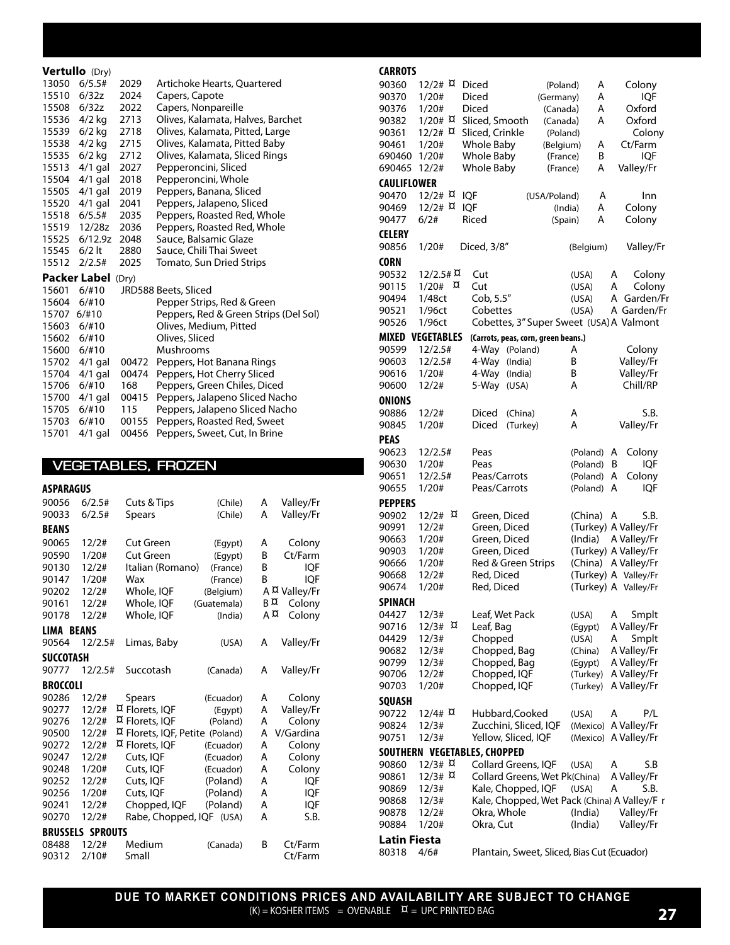#### **Vertullo** (Dry)<br>13050 6/5.5# 2029 13050 6/5.5# 2029 Artichoke Hearts, Quartered<br>15510 6/32z 2024 Capers, Capote 2024 Capers, Capote<br>2022 Capers, Nonpar 15508 6/32z 2022 Capers, Nonpareille 15536 4/2 kg 2713 Olives, Kalamata, Halves, Barchet 15539 6/2 kg 2718 Olives, Kalamata, Pitted, Large<br>15538 4/2 kg 2715 Olives, Kalamata, Pitted Baby 15538 4/2 kg 2715 Olives, Kalamata, Pitted Baby 15535 6/2 kg 2712 Olives, Kalamata, Sliced Rings<br>15513 4/1 gal 2027 Pepperoncini, Sliced 15513 4/1 gal 2027 15504 4/1 gal 2018 Pepperoncini, Whole 15505 4/1 gal 2019 Peppers, Banana, Sliced<br>15520 4/1 gal 2041 Peppers, Jalapeno, Slice 15520 4/1 gal 2041 Peppers, Jalapeno, Sliced<br>15518 6/5.5# 2035 Peppers, Roasted Red, Wh Peppers, Roasted Red, Whole 15519 12/28z 2036 Peppers, Roasted Red, Whole 15525 6/12.9z 2048 Sauce, Balsamic Glaze<br>15545 6/2 lt 2880 Sauce, Chili Thai Sweet 15545 6/2 lt 2880 Sauce, Chili Thai Sweet<br>15512 2/2.5# 2025 Tomato, Sun Dried Strip Tomato, Sun Dried Strips **Packer Label** (Dry)<br>15601 6/#10 JRD JRD588 Beets, Sliced 15604 6/#10 Pepper Strips, Red & Green<br>15707 6/#10 Peppers, Red & Green Strips 15707 6/#10 Peppers, Red & Green Strips (Del Sol)<br>15603 6/#10 Olives, Medium, Pitted Olives, Medium, Pitted 15602 6/#10 Olives, Sliced<br>15600 6/#10 Mushrooms 15600 6/#10 15702 4/1 gal 00472 Peppers, Hot Banana Rings 15704 4/1 gal 00474 Peppers, Hot Cherry Sliced<br>15706 6/#10 168 Peppers, Green Chiles, Dice 15706 6/#10 168 Peppers, Green Chiles, Diced 15700 4/1 gal 00415 Peppers, Jalapeno Sliced Nacho 15705 6/#10 115 Peppers, Jalapeno Sliced Nacho 15703 6/#10 00155 Peppers, Roasted Red, Sweet 15701 4/1 gal 00456 Peppers, Sweet, Cut, In Brine

#### **VEGETABLES, FROZEN**

| <b>ASPARAGUS</b> |                         |                                 |             |    |               |
|------------------|-------------------------|---------------------------------|-------------|----|---------------|
| 90056            | 6/2.5#                  | Cuts & Tips                     | (Chile)     | A  | Valley/Fr     |
| 90033            | 6/2.5#                  | <b>Spears</b>                   | (Chile)     | A  | Valley/Fr     |
| <b>BEANS</b>     |                         |                                 |             |    |               |
| 90065            | 12/2#                   | <b>Cut Green</b>                | (Egypt)     | А  | Colony        |
| 90590            | 1/20#                   | Cut Green                       | (Eqypt)     | B  | Ct/Farm       |
| 90130            | 12/2#                   | Italian (Romano)                | (France)    | B  | <b>IQF</b>    |
| 90147            | 1/20#                   | Wax                             | (France)    | B  | <b>IQF</b>    |
| 90202            | 12/2#                   | Whole, IQF                      | (Belgium)   |    | A ¤ Valley/Fr |
| 90161            | 12/2#                   | Whole, IQF                      | (Guatemala) | в¤ | Colony        |
| 90178            | 12/2#                   | Whole, IQF                      | (India)     | Α¤ | Colony        |
| LIMA BEANS       |                         |                                 |             |    |               |
| 90564            | 12/2.5#                 | Limas, Baby                     | (USA)       | A  | Valley/Fr     |
| <b>SUCCOTASH</b> |                         |                                 |             |    |               |
| 90777            | 12/2.5#                 | Succotash                       | (Canada)    | A  | Valley/Fr     |
| <b>BROCCOLI</b>  |                         |                                 |             |    |               |
| 90286            | 12/2#                   | <b>Spears</b>                   | (Ecuador)   | А  | Colony        |
| 90277            | 12/2#                   | ¤ Florets, IQF                  | (Eqypt)     | A  | Valley/Fr     |
| 90276            | 12/2#                   | ¤ Florets, IQF                  | (Poland)    | Α  | Colony        |
| 90500            | 12/2#                   | ¤ Florets, IQF, Petite (Poland) |             | A  | V/Gardina     |
| 90272            | 12/2#                   | ¤ Florets, IQF                  | (Ecuador)   | A  | Colony        |
| 90247            | 12/2#                   | Cuts, IOF                       | (Ecuador)   | A  | Colony        |
| 90248            | 1/20#                   | Cuts, IQF                       | (Ecuador)   | A  | Colony        |
| 90252            | 12/2#                   | Cuts, IQF                       | (Poland)    | A  | <b>IQF</b>    |
| 90256            | 1/20#                   | Cuts, IQF                       | (Poland)    | A  | <b>IQF</b>    |
| 90241            | 12/2#                   | Chopped, IQF                    | (Poland)    | A  | <b>IQF</b>    |
| 90270            | 12/2#                   | Rabe, Chopped, IQF              | (USA)       | А  | S.B.          |
|                  | <b>BRUSSELS SPROUTS</b> |                                 |             |    |               |
| 08488            | 12/2#                   | Medium                          | (Canada)    | B  | Ct/Farm       |
| 90312            | 2/10#                   | Small                           |             |    | Ct/Farm       |

| <b>CARROTS</b>      |                         |                                              |              |                      |
|---------------------|-------------------------|----------------------------------------------|--------------|----------------------|
| 90360               | 12/2# R                 | Diced<br>(Poland)                            | А            | Colony               |
| 90370               | 1/20#                   | Diced<br>(Germany)                           | А            | IQF                  |
| 90376               | 1/20#                   | Diced<br>(Canada)                            | A            | Oxford               |
| 90382               | 1/20# R                 | Sliced, Smooth<br>(Canada)                   | A            | Oxford               |
| 90361               | 12/2# R                 | Sliced, Crinkle<br>(Poland)                  |              | Colony               |
| 90461               | 1/20#                   | Whole Baby<br>(Belgium)                      | А            | Ct/Farm              |
| 690460              | 1/20#                   | Whole Baby<br>(France)                       | B            | <b>IQF</b>           |
| 690465              | 12/2#                   | Whole Baby<br>(France)                       | А            | Valley/Fr            |
|                     |                         |                                              |              |                      |
| <b>CAULIFLOWER</b>  |                         |                                              |              |                      |
| 90470               | 12/2# R                 | <b>IQF</b><br>(USA/Poland)                   | A            | Inn                  |
| 90469               | 12/2# R                 | <b>IQF</b>                                   | Α<br>(India) | Colony               |
| 90477               | 6/2#                    | Riced                                        | А<br>(Spain) | Colony               |
| CELERY              |                         |                                              |              |                      |
| 90856               | 1/20#                   | Diced, 3/8"                                  | (Belgium)    | Valley/Fr            |
|                     |                         |                                              |              |                      |
| <b>CORN</b>         |                         |                                              |              |                      |
| 90532               | $12/2.5$ # $\alpha$     | Cut                                          | (USA)        | Colony<br>А          |
| 90115               | $1/20#$ $\alpha$        | Cut                                          | (USA)        | А<br>Colony          |
| 90494               | 1/48ct                  | Cob, 5.5"                                    | (USA)        | Garden/Fr<br>A       |
| 90521               | 1/96ct                  | Cobettes                                     | (USA)        | A Garden/Fr          |
| 90526               | 1/96ct                  | Cobettes, 3" Super Sweet (USA) A Valmont     |              |                      |
|                     | <b>MIXED VEGETABLES</b> | (Carrots, peas, corn, green beans.)          |              |                      |
| 90599               | 12/2.5#                 | 4-Way (Poland)                               | A            | Colony               |
| 90603               | 12/2.5#                 | 4-Way (India)                                | B            | Valley/Fr            |
| 90616               |                         | 4-Way (India)                                | Β            | Valley/Fr            |
|                     | 1/20#                   |                                              | А            | Chill/RP             |
| 90600               | 12/2#                   | 5-Way (USA)                                  |              |                      |
| <b>ONIONS</b>       |                         |                                              |              |                      |
| 90886               | 12/2#                   | Diced<br>(China)                             | А            | S.B.                 |
| 90845               | 1/20#                   | Diced<br>(Turkey)                            | Α            | Valley/Fr            |
| <b>PEAS</b>         |                         |                                              |              |                      |
| 90623               | 12/2.5#                 | Peas                                         | (Poland)     | A<br>Colony          |
|                     |                         | Peas                                         |              | <b>IQF</b>           |
| 90630               | 1/20#                   |                                              | (Poland)     | B                    |
| 90651               | 12/2.5#                 | Peas/Carrots                                 | (Poland)     | Colony<br>А          |
| 90655               | 1/20#                   | Peas/Carrots                                 | (Poland)     | A<br>iqf             |
| <b>PEPPERS</b>      |                         |                                              |              |                      |
| 90902               | 12/2# R                 | Green, Diced                                 | (China)      | S.B.<br>A            |
| 90991               | 12/2#                   | Green, Diced                                 |              | (Turkey) A Valley/Fr |
| 90663               | 1/20#                   | Green, Diced                                 | (India)      | A Valley/Fr          |
| 90903               | 1/20#                   | Green, Diced                                 |              | (Turkey) A Valley/Fr |
| 90666               | 1/20#                   | Red & Green Strips                           |              | (China) A Valley/Fr  |
| 90668               | 12/2#                   | Red, Diced                                   |              | (Turkey) A Valley/Fr |
| 90674               | 1/20#                   | Red, Diced                                   |              | (Turkey) A Valley/Fr |
|                     |                         |                                              |              |                      |
| <b>SPINACH</b>      |                         |                                              |              |                      |
| 04427               | 12/3#                   | Leaf, Wet Pack                               | (USA)        | Smplt<br>А           |
| 90716               | ¤<br>12/3#              | Leaf, Bag                                    | (Egypt)      | A Valley/Fr          |
| 04429               | 12/3#                   | Chopped                                      | (USA)        | Α<br>Smplt           |
| 90682               | 12/3#                   | Chopped, Bag                                 | (China)      | A Valley/Fr          |
| 90799               | 12/3#                   | Chopped, Bag                                 | (Egypt)      | A Valley/Fr          |
| 90706               | 12/2#                   | Chopped, IQF                                 | (Turkey)     | A Valley/Fr          |
| 90703               | 1/20#                   | Chopped, IQF                                 | (Turkey)     | A Valley/Fr          |
|                     |                         |                                              |              |                      |
| SQUASH              |                         |                                              |              |                      |
| 90722               | $12/4$ # $\alpha$       | Hubbard, Cooked                              | (USA)        | P/L<br>A             |
| 90824               | 12/3#                   | Zucchini, Sliced, IQF                        |              | (Mexico) A Valley/Fr |
| 90751               | 12/3#                   | Yellow, Sliced, IQF                          |              | (Mexico) A Valley/Fr |
|                     |                         | SOUTHERN VEGETABLES, CHOPPED                 |              |                      |
| 90860               | $12/3$ # $\alpha$       | Collard Greens, IQF                          | (USA)        | А<br>S.B             |
| 90861               | $12/3$ # $\alpha$       | Collard Greens, Wet Pk(China)                |              | A Valley/Fr          |
| 90869               | 12/3#                   | Kale, Chopped, IQF                           | (USA)        | А<br>S.B.            |
| 90868               | 12/3#                   | Kale, Chopped, Wet Pack (China) A Valley/F r |              |                      |
| 90878               | 12/2#                   | Okra, Whole                                  | (India)      | Valley/Fr            |
| 90884               | 1/20#                   | Okra, Cut                                    | (India)      | Valley/Fr            |
|                     |                         |                                              |              |                      |
| <b>Latin Fiesta</b> |                         |                                              |              |                      |
| 80318               | 4/6#                    | Plantain, Sweet, Sliced, Bias Cut (Ecuador)  |              |                      |

**DUE TO MARKET CONDITIONS PRICES AND AVAILABILITY ARE SUBJECT TO CHANGE**  $(K)$  = KOSHER ITEMS = OVENABLE  $\alpha$  = UPC PRINTED BAG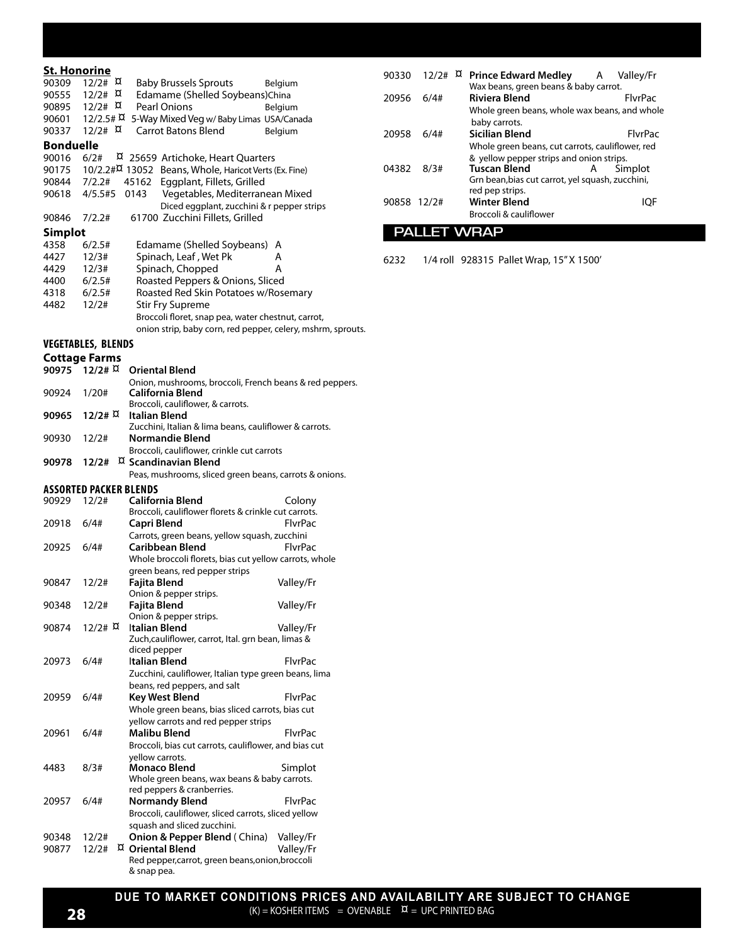#### **St. Honorine**

| JI. NUNUNIT<br>90309 | $12/2$ # $\alpha$         | <b>Baby Brussels Sprouts</b><br>Belgium                                                   |
|----------------------|---------------------------|-------------------------------------------------------------------------------------------|
| 90555                | 12/2# R                   | Edamame (Shelled Soybeans)China                                                           |
| 90895                | 12/2# R                   | Pearl Onions<br>Belgium                                                                   |
| 90601                | $12/2.5$ # $\alpha$       | 5-Way Mixed Veg w/ Baby Limas USA/Canada                                                  |
| 90337                | $12/2$ # $\alpha$         | <b>Carrot Batons Blend</b><br>Belgium                                                     |
| <b>Bonduelle</b>     |                           |                                                                                           |
| 90016                | 6/2#                      | ¤ 25659 Artichoke, Heart Quarters                                                         |
| 90175                |                           | 10/2.2#X 13052 Beans, Whole, Haricot Verts (Ex. Fine)                                     |
| 90844                | 7/2.2#                    | Eggplant, Fillets, Grilled<br>45162                                                       |
| 90618                | 4/5.5#5                   | 0143<br>Vegetables, Mediterranean Mixed                                                   |
|                      |                           | Diced eggplant, zucchini & r pepper strips.                                               |
| 90846                | 7/2.2#                    | 61700 Zucchini Fillets, Grilled                                                           |
| <b>Simplot</b>       |                           |                                                                                           |
| 4358                 | 6/2.5#                    | Edamame (Shelled Soybeans)<br>A                                                           |
| 4427<br>4429         | 12/3#<br>12/3#            | Spinach, Leaf, Wet Pk<br>А<br>Spinach, Chopped<br>А                                       |
| 4400                 | 6/2.5#                    | Roasted Peppers & Onions, Sliced                                                          |
| 4318                 | 6/2.5#                    | Roasted Red Skin Potatoes w/Rosemary                                                      |
| 4482                 | 12/2#                     | <b>Stir Fry Supreme</b>                                                                   |
|                      |                           | Broccoli floret, snap pea, water chestnut, carrot,                                        |
|                      |                           | onion strip, baby corn, red pepper, celery, mshrm, sprouts.                               |
|                      | <b>VEGETABLES, BLENDS</b> |                                                                                           |
|                      | <b>Cottage Farms</b>      |                                                                                           |
| 90975                | 12/2# 11                  | <b>Oriental Blend</b>                                                                     |
|                      |                           | Onion, mushrooms, broccoli, French beans & red peppers.                                   |
| 90924                | 1/20#                     | California Blend                                                                          |
|                      |                           | Broccoli, cauliflower, & carrots.                                                         |
| 90965                | 12/2# R                   | Italian Blend<br>Zucchini, Italian & lima beans, cauliflower & carrots.                   |
| 90930                | 12/2#                     | Normandie Blend                                                                           |
|                      |                           | Broccoli, cauliflower, crinkle cut carrots                                                |
| 90978                | 12/2#                     | ¤ Scandinavian Blend                                                                      |
|                      |                           | Peas, mushrooms, sliced green beans, carrots & onions.                                    |
|                      | ASSORTED PACKER BLENDS    |                                                                                           |
| 90929                | 12/2#                     | California Blend<br>Colony                                                                |
|                      |                           | Broccoli, cauliflower florets & crinkle cut carrots.                                      |
| 20918                | 6/4#                      | Capri Blend<br>FlvrPac                                                                    |
| 20925                | 6/4#                      | Carrots, green beans, yellow squash, zucchini<br><b>Caribbean Blend</b><br><b>FlvrPac</b> |
|                      |                           | Whole broccoli florets, bias cut yellow carrots, whole                                    |
|                      |                           | green beans, red pepper strips                                                            |
| 90847                | 12/2#                     | Fajita Blend<br>Valley/Fr                                                                 |
|                      |                           | Onion & pepper strips.                                                                    |
| 90348                | 12/2#                     | Fajita Blend<br>Valley/Fr                                                                 |
|                      |                           | Onion & pepper strips.                                                                    |
| 90874                | 12/2# R                   | Italian Blend<br>Valley/Fr                                                                |
|                      |                           | Zuch, cauliflower, carrot, Ital. grn bean, limas &<br>diced pepper                        |
| 20973                | 6/4#                      | Italian Blend<br><b>FlvrPac</b>                                                           |
|                      |                           | Zucchini, cauliflower, Italian type green beans, lima                                     |
|                      |                           | beans, red peppers, and salt                                                              |
| 20959                | 6/4#                      | Key West Blend<br><b>FlvrPac</b>                                                          |
|                      |                           | Whole green beans, bias sliced carrots, bias cut                                          |
|                      |                           | yellow carrots and red pepper strips                                                      |
| 20961                | 6/4#                      | Malibu Blend<br>FlvrPac                                                                   |
|                      |                           | Broccoli, bias cut carrots, cauliflower, and bias cut                                     |
|                      |                           | yellow carrots.                                                                           |
| 4483                 | 8/3#                      | Monaco Blend<br>Simplot<br>Whole green beans, wax beans & baby carrots.                   |
|                      |                           | red peppers & cranberries.                                                                |
| 20957                | 6/4#                      | <b>FlvrPac</b><br>Normandy Blend                                                          |
|                      |                           | Broccoli, cauliflower, sliced carrots, sliced yellow                                      |
|                      |                           | squash and sliced zucchini.                                                               |
| 90348                | 12/2#                     | <b>Onion &amp; Pepper Blend</b> (China)<br>Valley/Fr                                      |
| 90877                |                           |                                                                                           |
|                      | 12/2#                     | <sup>D</sup> Oriental Blend<br>Valley/Fr                                                  |
|                      |                           | Red pepper, carrot, green beans, onion, broccoli<br>& snap pea.                           |

|       |       | 90330 12/2# ¤ Prince Edward Medley A<br>Wax beans, green beans & baby carrot.                                       |   | Valley/Fr      |  |
|-------|-------|---------------------------------------------------------------------------------------------------------------------|---|----------------|--|
| 20956 | 6/4#  | <b>Riviera Blend</b><br>Whole green beans, whole wax beans, and whole                                               |   | <b>FlyrPac</b> |  |
| 20958 | 6/4#  | baby carrots.<br>Sicilian Blend<br>Whole green beans, cut carrots, cauliflower, red                                 |   | <b>FlyrPac</b> |  |
| 04382 | 8/3#  | & yellow pepper strips and onion strips.<br><b>Tuscan Blend</b><br>Grn bean, bias cut carrot, yel squash, zucchini, | А | Simplot        |  |
| 90858 | 12/2# | red pep strips.<br><b>Winter Blend</b><br>Broccoli & cauliflower                                                    |   |                |  |

### **PALLET WRAP**

6232 1/4 roll 928315 Pallet Wrap, 15" X 1500'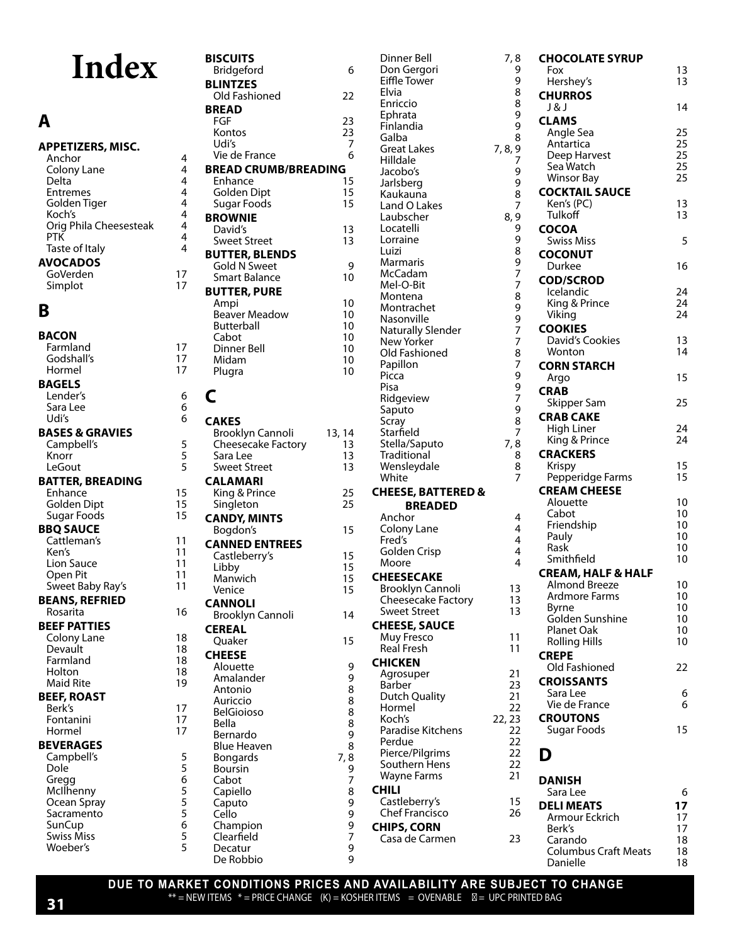# **Index**

### **A**

#### **APPETIZERS, MISC.**

Anchor 4<br>Colony Lane 4 Colony Lane 14<br>14 Delta 14 Delta 4<br>Entremes 4 Entremes 4<br>Golden Tiger 14 Golden Tiger 4<br>Koch's 4 Koch's Orig Phila Cheesesteak 4 PTK 4<br>Taste of Italy 14 Taste of Italy 4 **AVOCADOS** GoVerden 17 Simplot 17

**B BACON** Farmland 17<br>Godshall's 17 Godshall's 17 Hormel **BAGELS** Lender's 6 Sara Lee 6<br>Udi's 6 Udi's **BASES & GRAVIES** Campbell's 5<br>
Knorr 5 Knorr 5<br>LeGout 5 **LeGout BATTER, BREADING** Enhance 15<br>
Golden Dipt 15 Golden Dipt 15<br>
Sugar Foods 15 Sugar Foods 15 **BBQ SAUCE** Cattleman's 11<br>Ken's 11 Ken's 11<br>
Lion Sauce 11 Lion Sauce Open Pit 11<br>Sweet Baby Ray's 11 Sweet Baby Ray's **BEANS, REFRIED** Rosarita 16 **BEEF PATTIES** Colony Lane 18<br>Devault 18 0 Devault<br>Farmland 18 Farmland 18 Holton 18<br>Maid Rite 19 **Maid Rite BEEF, ROAST** Berk's 17<br>Fontanini 17 Fontanini 17 Hormel **BEVERAGES** Campbell's 5 Dole 5<br>Gregg 6 Gregg 6 McIlhenny 5<br>Ocean Spray 5 Ocean Spray 5 Sacramento<br>SunCup 6 SunCup 6<br>Swiss Miss 6 Swiss Miss 5<br>Woeber's 5

| <b>BISCUITS</b><br>Bridgeford               | 6            |
|---------------------------------------------|--------------|
| <b>BLINTZES</b>                             |              |
| Old Fashioned                               | 22           |
| <b>BREAD</b><br>FGF                         |              |
| Kontos                                      | 23           |
| Udi's<br>Vie de France                      | 7<br>6       |
| <b>BREAD CRUMB/BREADING</b>                 |              |
| Enhance<br><b>Golden Dipt</b>               | 15<br>15     |
| Sugar Foods                                 | 15           |
| <b>BROWNIE</b>                              |              |
| David's<br><b>Sweet Street</b>              | 13<br>13     |
| <b>BUTTER, BLENDS</b>                       |              |
| <b>Gold N Sweet</b><br><b>Smart Balance</b> | 9<br>10      |
| <b>BUTTER, PURE</b>                         |              |
| Ampi                                        | 10           |
| <b>Beaver Meadow</b><br>Butterball          | 10<br>10     |
| Cabot                                       | 10           |
| Dinner Bell<br>Midam                        | 10<br>10     |
| Plugra                                      | 10           |
| C                                           |              |
|                                             |              |
| <b>CAKES</b>                                |              |
| Brooklyn Cannoli<br>Cheesecake Factory      | 13, 14<br>13 |
| Sara Lee                                    | 13           |
| <b>Sweet Street</b><br><b>CALAMARI</b>      | 13           |
| King & Prince                               | 25           |
| Singleton                                   | 25           |
| <b>CANDY, MINTS</b><br>Bogdon's             | 15           |
| <b>CANNED ENTREES</b>                       |              |
| Castleberry's                               | 15<br>15     |
| Libby<br>Manwich                            | 15           |
| Venice                                      | 15           |
| <b>CANNOLI</b><br><b>Brooklyn Cannoli</b>   | 14           |
| <b>CEREAL</b>                               |              |
| Quaker                                      | 15           |
| <b>CHEESE</b><br>Alouette                   | 9            |
| Amalander                                   | 9            |
| Antonio<br>Auriccio                         | 8<br>8<br>8  |
| <b>BelGioioso</b>                           |              |
| Bella<br>Bernardo                           |              |
| <b>Blue Heaven</b>                          |              |
| Bongards                                    | 7,           |
| Boursin<br>Cabot                            | 89889789997  |
| Capiello                                    |              |
| Caputo<br>Cello                             |              |
| Champion                                    |              |
| Clearfield<br>Decatur                       |              |
| De Robbio                                   | 9<br>9       |

| Dinner Bell<br>Don Gergori                | 7,8<br>9        |
|-------------------------------------------|-----------------|
| Eiffle Tower<br>Elvia                     | 9<br>8          |
| Enriccio                                  | 8               |
| Ephrata                                   | 9               |
| Finlandia<br>Galba                        | 9<br>8          |
| <b>Great Lakes</b>                        | 9<br>7<br>7, 8, |
| Hilldale<br>Jacobo's                      |                 |
| Jarlsberg                                 |                 |
| Kaukauna                                  | 9987            |
| Land O Lakes<br>Laubscher                 | 8,9             |
| Locatelli                                 |                 |
| Lorraine                                  |                 |
| Luizi<br>Marmaris                         |                 |
| McCadam                                   |                 |
| Mel-O-Bit                                 |                 |
| Montena<br>Montrachet                     |                 |
| Nasonville                                |                 |
| <b>Naturally Slender</b><br>New Yorker    |                 |
| Old Fashioned                             | 9989778997787   |
| Papillon                                  |                 |
| Picca<br>Pisa                             | 9<br>9<br>7     |
| Ridgeview                                 |                 |
| Saputo                                    | 9               |
| Scray<br>Starfield                        | 8<br>7          |
| Stella/Saputo                             | 7,8             |
| Traditional<br>Wensleydale                | 8<br>8          |
| White                                     |                 |
| <b>CHEESE, BATTERED &amp;</b>             |                 |
| <b>BREADED</b><br>Anchor                  | 4               |
| Colony Lane                               | 4               |
| Fred's                                    | 4<br>4          |
| <b>Golden Crisp</b><br>Moore              | 4               |
| <b>CHEESECAKE</b>                         |                 |
| Brooklyn Cannoli                          | 13              |
| Cheesecake Factory<br><b>Sweet Street</b> | 13<br>13        |
| <b>CHEESE, SAUCE</b>                      |                 |
| Muy Fresco                                | 11              |
| Real Fresh<br><b>CHICKEN</b>              | 11              |
| Agrosuper                                 | 21              |
| Barber                                    | 23              |
| Dutch Quality<br>Hormel                   | 21<br>22        |
| Koch's                                    | 22, 23          |
| Paradise Kitchens                         | 22              |
| Perdue<br>Pierce/Pilgrims                 | 22<br>22        |
| Southern Hens                             | 22              |
| Wayne Farms                               | 21              |
| CHILI<br>Castleberry's                    | 15              |
| <b>Chef Francisco</b>                     | 26              |
| <b>CHIPS, CORN</b>                        |                 |
| Casa de Carmen                            | 23              |

| 7, 8                                       | <b>CHOCOLATE SYRUP</b>                     |          |
|--------------------------------------------|--------------------------------------------|----------|
| 9<br>9                                     | Fox                                        | 13<br>13 |
| 8                                          | Hershey's<br><b>CHURROS</b>                |          |
| 8                                          | J & J                                      | 14       |
| 9<br>9                                     | <b>CLAMS</b>                               |          |
| 8                                          | Angle Sea<br>Antartica                     | 25<br>25 |
| 9<br>7, 8,<br>7                            | Deep Harvest                               | 25       |
| 9                                          | Sea Watch                                  | 25       |
| 9                                          | <b>Winsor Bay</b><br><b>COCKTAIL SAUCE</b> | 25       |
| 8<br>7                                     | Ken's (PC)                                 | 13       |
| 8, 9                                       | Tulkoff                                    | 13       |
| 99897                                      | <b>COCOA</b><br><b>Swiss Miss</b>          | 5        |
|                                            | <b>COCONUT</b>                             |          |
|                                            | Durkee                                     | 16       |
| 7                                          | <b>COD/SCROD</b>                           |          |
| 8                                          | Icelandic<br>King & Prince                 | 24<br>24 |
| 9                                          | Viking                                     | 24       |
| $\begin{array}{c} 9 \\ 7 \\ 7 \end{array}$ | <b>COOKIES</b>                             |          |
| 8                                          | David's Cookies<br>Wonton                  | 13<br>14 |
| $\overline{7}$                             | <b>CORN STARCH</b>                         |          |
| 9<br>9<br>7                                | Argo                                       | 15       |
|                                            | <b>CRAB</b>                                |          |
| $\overline{9}$                             | Skipper Sam<br><b>CRAB CAKE</b>            | 25       |
| 8<br>$\overline{7}$                        | High Liner                                 | 24       |
| 7,8                                        | King & Prince                              | 24       |
| 8                                          | <b>CRACKERS</b><br>Krispy                  | 15       |
| $\begin{array}{c} 8 \\ 7 \end{array}$      | Pepperidge Farms                           | 15       |
|                                            | <b>CREAM CHEESE</b>                        |          |
|                                            | Alouette<br>Cabot                          | 10<br>10 |
| 4<br>4                                     | Friendship                                 | 10       |
| 4                                          | Pauly                                      | 10       |
| 4<br>$\overline{\mathbf{4}}$               | Rask<br>Smithfield                         | 10<br>10 |
|                                            | <b>CREAM, HALF &amp; HALF</b>              |          |
| 13                                         | <b>Almond Breeze</b>                       | 10       |
| 13<br>13                                   | Ardmore Farms<br><b>Byrne</b>              | 10<br>10 |
|                                            | Golden Sunshine                            | 10       |
| 11                                         | <b>Planet Oak</b><br><b>Rolling Hills</b>  | 10<br>10 |
| 11                                         | <b>CREPE</b>                               |          |
| 21                                         | Old Fashioned                              | 22       |
| 23                                         | <b>CROISSANTS</b>                          |          |
| 21                                         | Sara Lee<br>Vie de France                  | 6<br>6   |
| 22<br>22, 23                               | <b>CROUTONS</b>                            |          |
| 22                                         | Sugar Foods                                | 15       |
| 22<br>22                                   | D                                          |          |
| 22                                         |                                            |          |
| 21                                         | DANISH                                     |          |
| 15                                         | Sara Lee                                   | 6        |
| 26                                         | <b>DELI MEATS</b><br>Armour Eckrich        | 17<br>17 |
|                                            | Berk's                                     | 17       |
| 23                                         | Carando                                    | 18       |
|                                            | <b>Columbus Craft Meats</b><br>Danielle    | 18<br>18 |

#### **DUE TO MARKET CONDITIONS PRICES AND AVAILABILITY ARE SUBJECT TO CHANGE**  $**$  = NEW ITEMS  $*$  = PRICE CHANGE  $(K)$  = KOSHER ITEMS = OVENABLE = UPC PRINTED BAG

Woeber's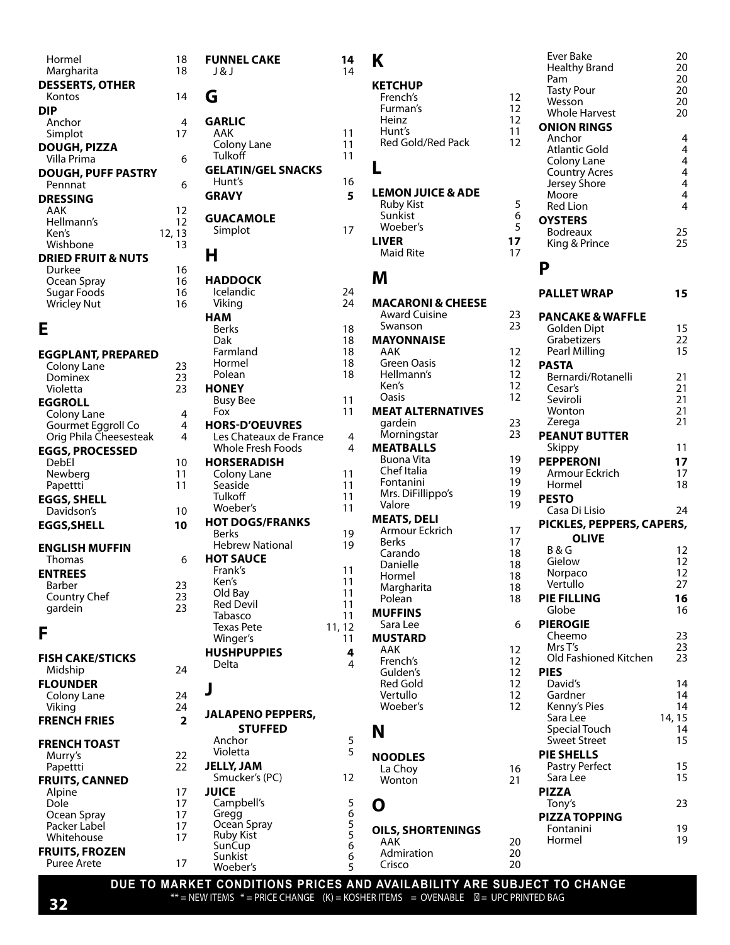| Hormel<br>Margharita                         | 18<br>18            | <b>FUNNEL CAKE</b><br>J & J         | 14<br>14      | Κ                            |                         |
|----------------------------------------------|---------------------|-------------------------------------|---------------|------------------------------|-------------------------|
| <b>DESSERTS, OTHER</b>                       |                     |                                     |               |                              |                         |
| Kontos                                       | 14                  | G                                   |               | <b>KETCHUP</b><br>French's   | 12                      |
| <b>DIP</b>                                   |                     |                                     |               | Furman's                     | 12                      |
| Anchor                                       | 4                   | <b>GARLIC</b>                       |               | Heinz                        | 12                      |
| Simplot                                      | 17                  | AAK                                 | 11            | Hunt's                       | 11                      |
| <b>DOUGH, PIZZA</b>                          |                     | Colony Lane                         | 11            | Red Gold/Red Pack            | 12                      |
| Villa Prima                                  | 6                   | Tulkoff                             | 11            |                              |                         |
| <b>DOUGH, PUFF PASTRY</b>                    |                     | <b>GELATIN/GEL SNACKS</b>           |               | L                            |                         |
| Pennnat                                      | 6                   | Hunt's                              | 16            |                              |                         |
| <b>DRESSING</b>                              |                     | <b>GRAVY</b>                        | 5             | <b>LEMON JUICE &amp; ADE</b> |                         |
| AAK                                          | 12                  |                                     |               | <b>Ruby Kist</b><br>Sunkist  | 5<br>6                  |
| Hellmann's                                   | 12                  | <b>GUACAMOLE</b>                    | 17            | Woeber's                     | 5                       |
| Ken's                                        | 12, 13              | Simplot                             |               | <b>LIVER</b>                 | 17                      |
| Wishbone                                     | 13                  | н                                   |               | Maid Rite                    | 17                      |
| <b>DRIED FRUIT &amp; NUTS</b>                |                     |                                     |               |                              |                         |
| Durkee<br>Ocean Spray                        | 16<br>16            | <b>HADDOCK</b>                      |               | M                            |                         |
| Sugar Foods                                  | 16                  | <b>Icelandic</b>                    | 24            |                              |                         |
| <b>Wricley Nut</b>                           | 16                  | Viking                              | 24            | <b>MACARONI &amp; CHEESE</b> |                         |
|                                              |                     | <b>HAM</b>                          |               | <b>Award Cuisine</b>         | 23                      |
| Е                                            |                     | Berks                               | 18            | Swanson                      | 23                      |
|                                              |                     | Dak                                 | 18            | <b>MAYONNAISE</b>            |                         |
| <b>EGGPLANT, PREPARED</b>                    |                     | Farmland                            | 18            | AAK                          | 12                      |
| Colony Lane                                  | 23                  | Hormel                              | 18            | Green Oasis                  | 12                      |
| Dominex                                      | 23                  | Polean                              | 18            | Hellmann's<br>Ken's          | 12<br>12                |
| Violetta                                     | 23                  | <b>HONEY</b>                        |               | Oasis                        | 12                      |
| <b>EGGROLL</b>                               |                     | <b>Busy Bee</b><br>Fox              | 11<br>11      | <b>MEAT ALTERNATIVES</b>     |                         |
| Colony Lane                                  | $\overline{4}$<br>4 | <b>HORS-D'OEUVRES</b>               |               | gardein                      | 23                      |
| Gourmet Eggroll Co<br>Orig Phila Cheesesteak | 4                   | Les Chateaux de France              | 4             | Morningstar                  | 23                      |
| <b>EGGS, PROCESSED</b>                       |                     | Whole Fresh Foods                   | 4             | <b>MEATBALLS</b>             |                         |
| DebEl                                        | 10                  | <b>HORSERADISH</b>                  |               | Buona Vita                   | 19                      |
| Newberg                                      | 11                  | Colony Lane                         | 11            | Chef Italia                  | 19                      |
| Papettti                                     | 11                  | Seaside                             | 11            | Fontanini                    | 19                      |
| <b>EGGS, SHELL</b>                           |                     | <b>Tulkoff</b>                      | 11            | Mrs. DiFillippo's            | 19                      |
| Davidson's                                   | 10                  | Woeber's                            | 11            | Valore                       | 19                      |
| <b>EGGS, SHELL</b>                           | 10                  | <b>HOT DOGS/FRANKS</b>              |               | <b>MEATS, DELI</b>           |                         |
|                                              |                     | <b>Berks</b>                        | 19            | Armour Eckrich<br>Berks      | 17<br>17                |
| <b>ENGLISH MUFFIN</b>                        |                     | <b>Hebrew National</b>              | 19            | Carando                      | 18                      |
| Thomas                                       | 6                   | <b>HOT SAUCE</b>                    |               | Danielle                     | 18                      |
| <b>ENTREES</b>                               |                     | Frank's                             | 11<br>11      | Hormel                       | 18                      |
| Barber                                       | 23                  | Ken's<br>Old Bay                    | 11            | Margharita                   | 18                      |
| Country Chef                                 | 23<br>23            | <b>Red Devil</b>                    | 11            | Polean                       | 18                      |
| gardein                                      |                     | Tabasco                             | 11            | <b>MUFFINS</b>               |                         |
| F                                            |                     | <b>Texas Pete</b>                   | 11, 12        | Sara Lee                     | 6                       |
|                                              |                     | Winger's                            | 11            | <b>MUSTARD</b>               |                         |
| <b>FISH CAKE/STICKS</b>                      |                     | <b>HUSHPUPPIES</b>                  | 4             | AAK                          | 12                      |
| Midship                                      | 24                  | Delta                               | 4             | French's<br>Gulden's         | 12<br>$12 \overline{ }$ |
| <b>FLOUNDER</b>                              |                     |                                     |               | Red Gold                     | 12                      |
| Colony Lane                                  | 24                  | J                                   |               | Vertullo                     | 12                      |
| Viking                                       | 24                  |                                     |               | Woeber's                     | 12                      |
| <b>FRENCH FRIES</b>                          | $\overline{2}$      | <b>JALAPENO PEPPERS,</b>            |               |                              |                         |
|                                              |                     | <b>STUFFED</b>                      |               | N                            |                         |
| <b>FRENCH TOAST</b>                          |                     | Anchor<br>Violetta                  | 5<br>5        |                              |                         |
| Murry's                                      | 22                  |                                     |               | <b>NOODLES</b>               |                         |
| Papettti                                     | 22                  | <b>JELLY, JAM</b><br>Smucker's (PC) | 12            | La Choy                      | 16                      |
| <b>FRUITS, CANNED</b>                        |                     | <b>JUICE</b>                        |               | Wonton                       | 21                      |
| Alpine<br><b>Dole</b>                        | 17<br>17            | Campbell's                          |               |                              |                         |
| Ocean Spray                                  | 17                  | Gregg                               | $\frac{5}{6}$ | O                            |                         |
| Packer Label                                 | 17                  | Ocean Spray                         | $\frac{5}{5}$ | <b>OILS, SHORTENINGS</b>     |                         |
| Whitehouse                                   | 17                  | <b>Ruby Kist</b>                    |               | AAK                          | 20                      |
| <b>FRUITS, FROZEN</b>                        |                     | SunCup<br>Sunkist                   | 6<br>6        | Admiration                   | 20                      |
| <b>Puree Arete</b>                           | 17                  | Woeber's                            | 5             | Crisco                       | 20                      |
|                                              |                     |                                     |               |                              |                         |

|                          |                 | <b>Ever Bake</b><br><b>Healthy Brand</b><br>Pam | 20<br>20<br>20      |
|--------------------------|-----------------|-------------------------------------------------|---------------------|
| <b>IUP</b><br>:h's       | 12              | <b>Tasty Pour</b>                               | 20                  |
| an's                     | 12              | Wesson                                          | 20                  |
| Ζ                        | 12 <sup>2</sup> | <b>Whole Harvest</b>                            | 20                  |
| 's                       | 11              | <b>ONION RINGS</b><br>Anchor                    | 4                   |
| Gold/Red Pack            | 12              | <b>Atlantic Gold</b>                            | 4                   |
|                          |                 | Colony Lane                                     | $\overline{4}$      |
|                          |                 | <b>Country Acres</b>                            | 4<br>$\overline{4}$ |
| N JUICE & ADE            |                 | Jersey Shore<br>Moore                           | 4                   |
| Kist                     | 5               | <b>Red Lion</b>                                 | 4                   |
| ist<br>per's             | 6<br>5          | <b>OYSTERS</b>                                  |                     |
|                          | 17              | <b>Bodreaux</b>                                 | 25                  |
| Rite                     | 17              | King & Prince                                   | 25                  |
|                          |                 | P                                               |                     |
| <b>RONI &amp; CHEESE</b> |                 | <b>PALLET WRAP</b>                              | 15                  |
| d Cuisine                | 23              | <b>PANCAKE &amp; WAFFLE</b>                     |                     |
| ıson                     | 23              | Golden Dipt                                     | 15                  |
| <b>NNAISE</b>            |                 | Grabetizers                                     | 22                  |
| n Oasis                  | 12<br>12        | Pearl Milling                                   | 15                  |
| าann's                   | 12              | <b>PASTA</b><br>Bernardi/Rotanelli              | 21                  |
|                          | 12              | Cesar's                                         | 21                  |
|                          | 12              | Seviroli                                        | 21                  |
| <b>ALTERNATIVES</b>      |                 | Wonton                                          | 21                  |
| ein<br>ingstar           | 23<br>23        | Zerega                                          | 21                  |
| <b>BALLS</b>             |                 | <b>PEANUT BUTTER</b><br>Skippy                  | 11                  |
| a Vita                   | 19              | <b>PEPPERONI</b>                                | 17                  |
| Italia                   | 19              | Armour Eckrich                                  | 17                  |
| anini<br>DiFillippo's    | 19<br>19        | Hormel                                          | 18                  |
| e                        | 19              | <b>PESTO</b>                                    |                     |
| S, DELI                  |                 | Casa Di Lisio                                   | 24                  |
| our Eckrich              | 17              | PICKLES, PEPPERS, CAPERS,                       |                     |
|                          | 17              | OLIVE<br><b>B&amp;G</b>                         | 12                  |
| าdo<br>elle              | 18<br>18        | Gielow                                          | 12                  |
| າel                      | 18              | Norpaco                                         | 12                  |
| harita                   | 18              | Vertullo                                        | 27                  |
| ın                       | 18              | <b>PIE FILLING</b>                              | 16<br>16            |
| INS<br>Lee               | 6               | Globe<br><b>PIEROGIE</b>                        |                     |
| <b>ARD</b>               |                 | Cheemo                                          | 23                  |
|                          | 12              | Mrs T's                                         | 23                  |
| :h's                     | 12              | Old Fashioned Kitchen                           | 23                  |
| en's                     | 12              | <b>PIES</b>                                     |                     |
| Gold<br>ıllo             | 12<br>12        | David's<br>Gardner                              | 14<br>14            |
| per's                    | 12              | Kenny's Pies                                    | 14                  |
|                          |                 | Sara Lee                                        | 14, 15              |
|                          |                 | <b>Special Touch</b><br><b>Sweet Street</b>     | 14<br>15            |
|                          |                 | <b>PIE SHELLS</b>                               |                     |
| LES                      | 16              | <b>Pastry Perfect</b>                           | 15                  |
| ıoy<br>:on               | 21              | Sara Lee                                        | 15                  |
|                          |                 | <b>PIZZA</b>                                    |                     |
|                          |                 | Tony's                                          | 23                  |
|                          |                 | <b>PIZZA TOPPING</b>                            |                     |
| <b>SHORTENINGS</b>       | 20              | Fontanini<br>Hormel                             | 19<br>19            |
| iration                  | 20              |                                                 |                     |
| C                        | 20              |                                                 |                     |